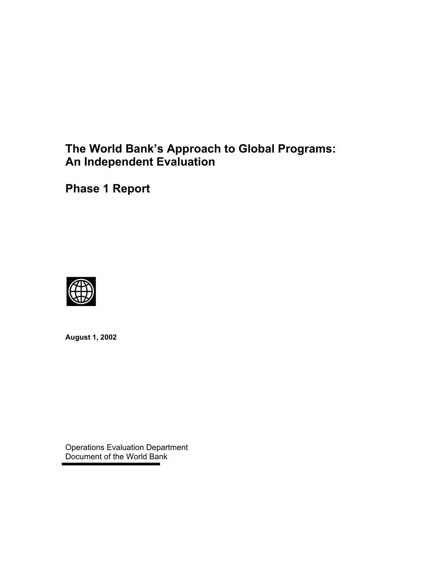# **The World Bank's Approach to Global Programs: An Independent Evaluation**

**Phase 1 Report**



**August 1, 2002** 

Operations Evaluation Department Document of the World Bank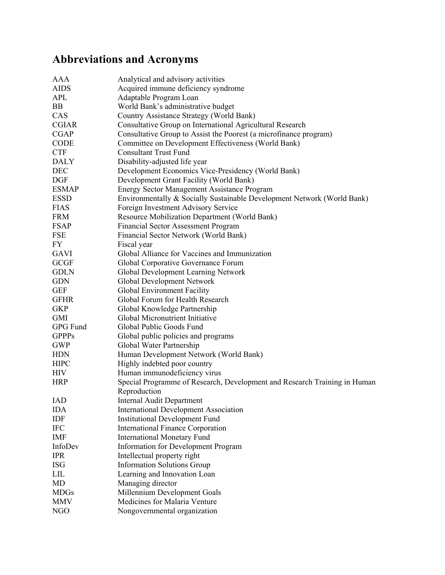# **Abbreviations and Acronyms**

| AAA          | Analytical and advisory activities                                        |
|--------------|---------------------------------------------------------------------------|
| <b>AIDS</b>  | Acquired immune deficiency syndrome                                       |
| <b>APL</b>   | Adaptable Program Loan                                                    |
| BB           | World Bank's administrative budget                                        |
| CAS          | Country Assistance Strategy (World Bank)                                  |
| <b>CGIAR</b> | Consultative Group on International Agricultural Research                 |
| <b>CGAP</b>  | Consultative Group to Assist the Poorest (a microfinance program)         |
| CODE         | Committee on Development Effectiveness (World Bank)                       |
| <b>CTF</b>   | <b>Consultant Trust Fund</b>                                              |
| <b>DALY</b>  | Disability-adjusted life year                                             |
| <b>DEC</b>   | Development Economics Vice-Presidency (World Bank)                        |
| <b>DGF</b>   | Development Grant Facility (World Bank)                                   |
| <b>ESMAP</b> | <b>Energy Sector Management Assistance Program</b>                        |
| <b>ESSD</b>  | Environmentally & Socially Sustainable Development Network (World Bank)   |
| <b>FIAS</b>  | Foreign Investment Advisory Service                                       |
| <b>FRM</b>   | Resource Mobilization Department (World Bank)                             |
| <b>FSAP</b>  | <b>Financial Sector Assessment Program</b>                                |
| <b>FSE</b>   | Financial Sector Network (World Bank)                                     |
| FY           | Fiscal year                                                               |
| <b>GAVI</b>  | Global Alliance for Vaccines and Immunization                             |
| <b>GCGF</b>  | Global Corporative Governance Forum                                       |
| <b>GDLN</b>  | Global Development Learning Network                                       |
| <b>GDN</b>   | Global Development Network                                                |
| <b>GEF</b>   | Global Environment Facility                                               |
| <b>GFHR</b>  | Global Forum for Health Research                                          |
| <b>GKP</b>   | Global Knowledge Partnership                                              |
| <b>GMI</b>   | Global Micronutrient Initiative                                           |
| GPG Fund     | Global Public Goods Fund                                                  |
| <b>GPPPs</b> | Global public policies and programs                                       |
| <b>GWP</b>   | Global Water Partnership                                                  |
| <b>HDN</b>   | Human Development Network (World Bank)                                    |
| <b>HIPC</b>  | Highly indebted poor country                                              |
| <b>HIV</b>   | Human immunodeficiency virus                                              |
| <b>HRP</b>   | Special Programme of Research, Development and Research Training in Human |
|              | Reproduction                                                              |
| <b>IAD</b>   | <b>Internal Audit Department</b>                                          |
| IDA          | <b>International Development Association</b>                              |
| IDF          | <b>Institutional Development Fund</b>                                     |
| $\rm IFC$    | <b>International Finance Corporation</b>                                  |
| IMF          | <b>International Monetary Fund</b>                                        |
| InfoDev      | Information for Development Program                                       |
| <b>IPR</b>   | Intellectual property right                                               |
| <b>ISG</b>   | <b>Information Solutions Group</b>                                        |
| LIL          | Learning and Innovation Loan                                              |
| MD           | Managing director                                                         |
| <b>MDGs</b>  | Millennium Development Goals                                              |
| <b>MMV</b>   | Medicines for Malaria Venture                                             |
| <b>NGO</b>   | Nongovernmental organization                                              |
|              |                                                                           |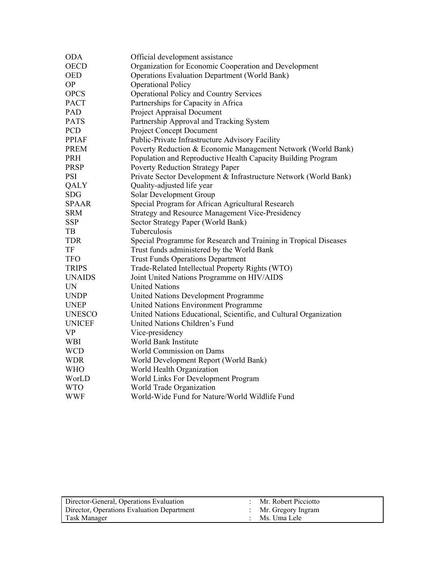| <b>ODA</b>    | Official development assistance                                   |
|---------------|-------------------------------------------------------------------|
| <b>OECD</b>   | Organization for Economic Cooperation and Development             |
| <b>OED</b>    | <b>Operations Evaluation Department (World Bank)</b>              |
| <b>OP</b>     | <b>Operational Policy</b>                                         |
| <b>OPCS</b>   | <b>Operational Policy and Country Services</b>                    |
| <b>PACT</b>   | Partnerships for Capacity in Africa                               |
| PAD           | Project Appraisal Document                                        |
| <b>PATS</b>   | Partnership Approval and Tracking System                          |
| PCD           | Project Concept Document                                          |
| <b>PPIAF</b>  | Public-Private Infrastructure Advisory Facility                   |
| <b>PREM</b>   | Poverty Reduction & Economic Management Network (World Bank)      |
| PRH           | Population and Reproductive Health Capacity Building Program      |
| <b>PRSP</b>   | <b>Poverty Reduction Strategy Paper</b>                           |
| <b>PSI</b>    | Private Sector Development & Infrastructure Network (World Bank)  |
| QALY          | Quality-adjusted life year                                        |
| <b>SDG</b>    | Solar Development Group                                           |
| <b>SPAAR</b>  | Special Program for African Agricultural Research                 |
| <b>SRM</b>    | <b>Strategy and Resource Management Vice-Presidency</b>           |
| <b>SSP</b>    | Sector Strategy Paper (World Bank)                                |
| TB            | Tuberculosis                                                      |
| <b>TDR</b>    | Special Programme for Research and Training in Tropical Diseases  |
| TF            | Trust funds administered by the World Bank                        |
| <b>TFO</b>    | <b>Trust Funds Operations Department</b>                          |
| <b>TRIPS</b>  | Trade-Related Intellectual Property Rights (WTO)                  |
| UNAIDS        | Joint United Nations Programme on HIV/AIDS                        |
| <b>UN</b>     | <b>United Nations</b>                                             |
| <b>UNDP</b>   | United Nations Development Programme                              |
| <b>UNEP</b>   | United Nations Environment Programme                              |
| UNESCO        | United Nations Educational, Scientific, and Cultural Organization |
| <b>UNICEF</b> | United Nations Children's Fund                                    |
| <b>VP</b>     | Vice-presidency                                                   |
| <b>WBI</b>    | World Bank Institute                                              |
| <b>WCD</b>    | World Commission on Dams                                          |
| <b>WDR</b>    | World Development Report (World Bank)                             |
| <b>WHO</b>    | World Health Organization                                         |
| WorLD         | World Links For Development Program                               |
| <b>WTO</b>    | World Trade Organization                                          |
| <b>WWF</b>    | World-Wide Fund for Nature/World Wildlife Fund                    |

| Director-General, Operations Evaluation    | Mr. Robert Picciotto |
|--------------------------------------------|----------------------|
| Director, Operations Evaluation Department | Mr. Gregory Ingram   |
| Task Manager                               | Ms. Uma Lele         |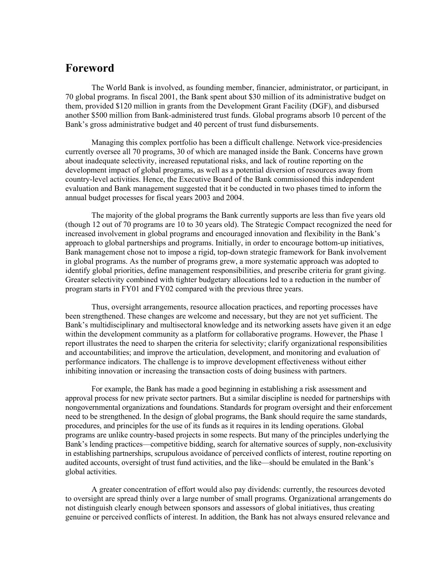# <span id="page-4-0"></span>**Foreword**

The World Bank is involved, as founding member, financier, administrator, or participant, in 70 global programs. In fiscal 2001, the Bank spent about \$30 million of its administrative budget on them, provided \$120 million in grants from the Development Grant Facility (DGF), and disbursed another \$500 million from Bank-administered trust funds. Global programs absorb 10 percent of the Bank's gross administrative budget and 40 percent of trust fund disbursements.

Managing this complex portfolio has been a difficult challenge. Network vice-presidencies currently oversee all 70 programs, 30 of which are managed inside the Bank. Concerns have grown about inadequate selectivity, increased reputational risks, and lack of routine reporting on the development impact of global programs, as well as a potential diversion of resources away from country-level activities. Hence, the Executive Board of the Bank commissioned this independent evaluation and Bank management suggested that it be conducted in two phases timed to inform the annual budget processes for fiscal years 2003 and 2004.

The majority of the global programs the Bank currently supports are less than five years old (though 12 out of 70 programs are 10 to 30 years old). The Strategic Compact recognized the need for increased involvement in global programs and encouraged innovation and flexibility in the Bank's approach to global partnerships and programs. Initially, in order to encourage bottom-up initiatives, Bank management chose not to impose a rigid, top-down strategic framework for Bank involvement in global programs. As the number of programs grew, a more systematic approach was adopted to identify global priorities, define management responsibilities, and prescribe criteria for grant giving. Greater selectivity combined with tighter budgetary allocations led to a reduction in the number of program starts in FY01 and FY02 compared with the previous three years.

Thus, oversight arrangements, resource allocation practices, and reporting processes have been strengthened. These changes are welcome and necessary, but they are not yet sufficient. The Bank's multidisciplinary and multisectoral knowledge and its networking assets have given it an edge within the development community as a platform for collaborative programs. However, the Phase 1 report illustrates the need to sharpen the criteria for selectivity; clarify organizational responsibilities and accountabilities; and improve the articulation, development, and monitoring and evaluation of performance indicators. The challenge is to improve development effectiveness without either inhibiting innovation or increasing the transaction costs of doing business with partners.

For example, the Bank has made a good beginning in establishing a risk assessment and approval process for new private sector partners. But a similar discipline is needed for partnerships with nongovernmental organizations and foundations. Standards for program oversight and their enforcement need to be strengthened. In the design of global programs, the Bank should require the same standards, procedures, and principles for the use of its funds as it requires in its lending operations. Global programs are unlike country-based projects in some respects. But many of the principles underlying the Bank's lending practices—competitive bidding, search for alternative sources of supply, non-exclusivity in establishing partnerships, scrupulous avoidance of perceived conflicts of interest, routine reporting on audited accounts, oversight of trust fund activities, and the like—should be emulated in the Bank's global activities.

A greater concentration of effort would also pay dividends: currently, the resources devoted to oversight are spread thinly over a large number of small programs. Organizational arrangements do not distinguish clearly enough between sponsors and assessors of global initiatives, thus creating genuine or perceived conflicts of interest. In addition, the Bank has not always ensured relevance and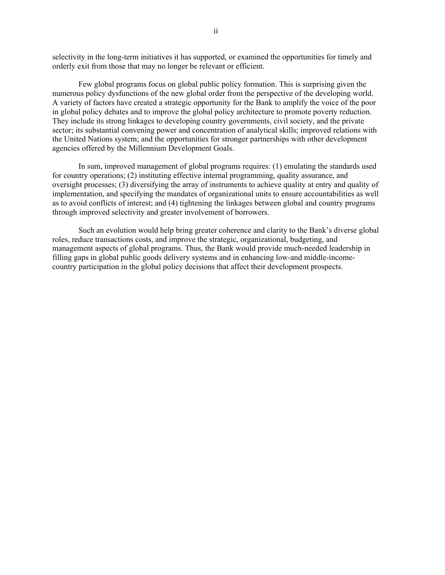selectivity in the long-term initiatives it has supported, or examined the opportunities for timely and orderly exit from those that may no longer be relevant or efficient.

Few global programs focus on global public policy formation. This is surprising given the numerous policy dysfunctions of the new global order from the perspective of the developing world. A variety of factors have created a strategic opportunity for the Bank to amplify the voice of the poor in global policy debates and to improve the global policy architecture to promote poverty reduction. They include its strong linkages to developing country governments, civil society, and the private sector; its substantial convening power and concentration of analytical skills; improved relations with the United Nations system; and the opportunities for stronger partnerships with other development agencies offered by the Millennium Development Goals.

In sum, improved management of global programs requires: (1) emulating the standards used for country operations; (2) instituting effective internal programming, quality assurance, and oversight processes; (3) diversifying the array of instruments to achieve quality at entry and quality of implementation, and specifying the mandates of organizational units to ensure accountabilities as well as to avoid conflicts of interest; and (4) tightening the linkages between global and country programs through improved selectivity and greater involvement of borrowers.

Such an evolution would help bring greater coherence and clarity to the Bank's diverse global roles, reduce transactions costs, and improve the strategic, organizational, budgeting, and management aspects of global programs. Thus, the Bank would provide much-needed leadership in filling gaps in global public goods delivery systems and in enhancing low-and middle-incomecountry participation in the global policy decisions that affect their development prospects.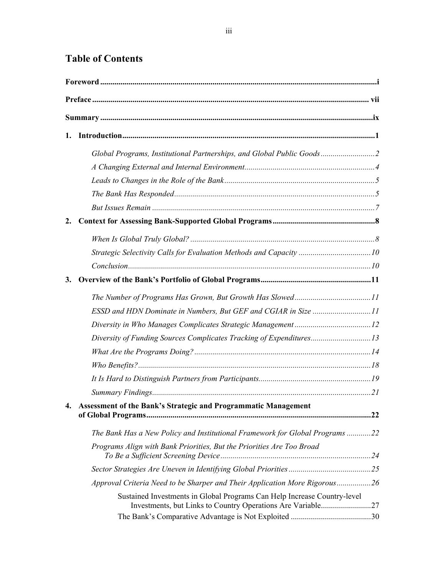# **Table of Contents**

| 1. |                                                                              |  |  |
|----|------------------------------------------------------------------------------|--|--|
|    | Global Programs, Institutional Partnerships, and Global Public Goods         |  |  |
|    |                                                                              |  |  |
|    |                                                                              |  |  |
|    |                                                                              |  |  |
|    |                                                                              |  |  |
| 2. |                                                                              |  |  |
|    |                                                                              |  |  |
|    | Strategic Selectivity Calls for Evaluation Methods and Capacity 10           |  |  |
|    |                                                                              |  |  |
| 3. |                                                                              |  |  |
|    |                                                                              |  |  |
|    | ESSD and HDN Dominate in Numbers, But GEF and CGIAR in Size 11               |  |  |
|    |                                                                              |  |  |
|    | Diversity of Funding Sources Complicates Tracking of Expenditures13          |  |  |
|    |                                                                              |  |  |
|    |                                                                              |  |  |
|    |                                                                              |  |  |
|    |                                                                              |  |  |
| 4. | Assessment of the Bank's Strategic and Programmatic Management               |  |  |
|    | The Bank Has a New Policy and Institutional Framework for Global Programs 22 |  |  |
|    | Programs Align with Bank Priorities, But the Priorities Are Too Broad        |  |  |
|    |                                                                              |  |  |
|    | Approval Criteria Need to be Sharper and Their Application More Rigorous26   |  |  |
|    | Sustained Investments in Global Programs Can Help Increase Country-level     |  |  |
|    |                                                                              |  |  |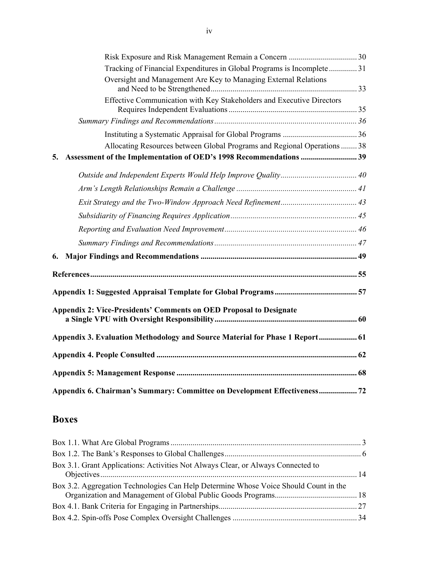|    | Tracking of Financial Expenditures in Global Programs is Incomplete  31      |  |
|----|------------------------------------------------------------------------------|--|
|    | Oversight and Management Are Key to Managing External Relations              |  |
|    | Effective Communication with Key Stakeholders and Executive Directors        |  |
|    |                                                                              |  |
|    |                                                                              |  |
|    | Allocating Resources between Global Programs and Regional Operations  38     |  |
| 5. | Assessment of the Implementation of OED's 1998 Recommendations  39           |  |
|    |                                                                              |  |
|    |                                                                              |  |
|    |                                                                              |  |
|    |                                                                              |  |
|    |                                                                              |  |
|    |                                                                              |  |
|    |                                                                              |  |
|    |                                                                              |  |
|    |                                                                              |  |
|    | <b>Appendix 2: Vice-Presidents' Comments on OED Proposal to Designate</b>    |  |
|    | Appendix 3. Evaluation Methodology and Source Material for Phase 1 Report 61 |  |
|    |                                                                              |  |
|    |                                                                              |  |
|    | Appendix 6. Chairman's Summary: Committee on Development Effectiveness 72    |  |

# **Boxes**

| Box 3.1. Grant Applications: Activities Not Always Clear, or Always Connected to     |  |
|--------------------------------------------------------------------------------------|--|
| Box 3.2. Aggregation Technologies Can Help Determine Whose Voice Should Count in the |  |
|                                                                                      |  |
|                                                                                      |  |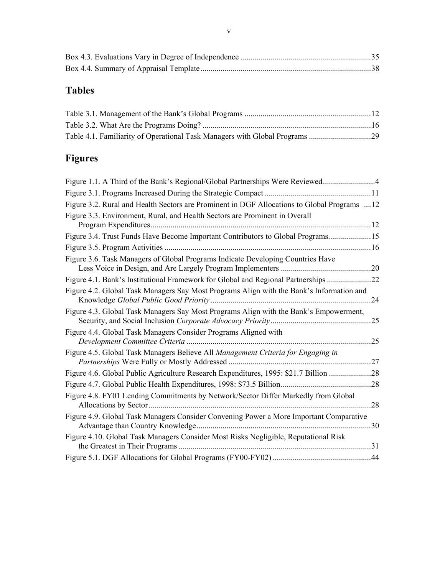# **Tables**

# **Figures**

| Figure 1.1. A Third of the Bank's Regional/Global Partnerships Were Reviewed4               |     |
|---------------------------------------------------------------------------------------------|-----|
|                                                                                             |     |
| Figure 3.2. Rural and Health Sectors are Prominent in DGF Allocations to Global Programs 12 |     |
| Figure 3.3. Environment, Rural, and Health Sectors are Prominent in Overall                 |     |
| Figure 3.4. Trust Funds Have Become Important Contributors to Global Programs15             |     |
|                                                                                             |     |
| Figure 3.6. Task Managers of Global Programs Indicate Developing Countries Have             |     |
| Figure 4.1. Bank's Institutional Framework for Global and Regional Partnerships 22          |     |
| Figure 4.2. Global Task Managers Say Most Programs Align with the Bank's Information and    | .24 |
| Figure 4.3. Global Task Managers Say Most Programs Align with the Bank's Empowerment,       |     |
| Figure 4.4. Global Task Managers Consider Programs Aligned with                             |     |
| Figure 4.5. Global Task Managers Believe All Management Criteria for Engaging in            |     |
| Figure 4.6. Global Public Agriculture Research Expenditures, 1995: \$21.7 Billion 28        |     |
|                                                                                             |     |
| Figure 4.8. FY01 Lending Commitments by Network/Sector Differ Markedly from Global          | 28  |
| Figure 4.9. Global Task Managers Consider Convening Power a More Important Comparative      |     |
| Figure 4.10. Global Task Managers Consider Most Risks Negligible, Reputational Risk         |     |
|                                                                                             |     |
|                                                                                             |     |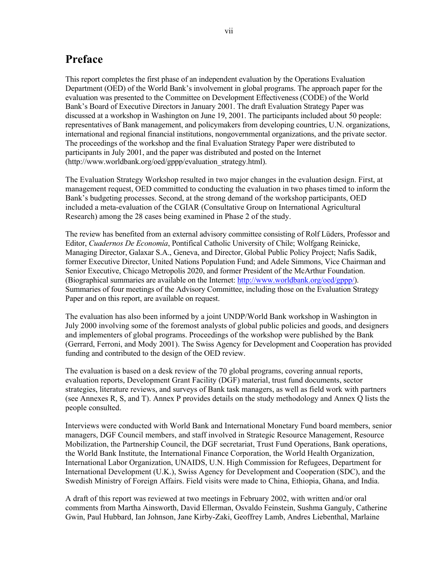# <span id="page-10-0"></span>**Preface**

This report completes the first phase of an independent evaluation by the Operations Evaluation Department (OED) of the World Bank's involvement in global programs. The approach paper for the evaluation was presented to the Committee on Development Effectiveness (CODE) of the World Bank's Board of Executive Directors in January 2001. The draft Evaluation Strategy Paper was discussed at a workshop in Washington on June 19, 2001. The participants included about 50 people: representatives of Bank management, and policymakers from developing countries, U.N. organizations, international and regional financial institutions, nongovernmental organizations, and the private sector. The proceedings of the workshop and the final Evaluation Strategy Paper were distributed to participants in July 2001, and the paper was distributed and posted on the Internet (http://www.worldbank.org/oed/gppp/evaluation\_strategy.html).

The Evaluation Strategy Workshop resulted in two major changes in the evaluation design. First, at management request, OED committed to conducting the evaluation in two phases timed to inform the Bank's budgeting processes. Second, at the strong demand of the workshop participants, OED included a meta-evaluation of the CGIAR (Consultative Group on International Agricultural Research) among the 28 cases being examined in Phase 2 of the study.

The review has benefited from an external advisory committee consisting of Rolf Lüders, Professor and Editor, *Cuadernos De Economía*, Pontifical Catholic University of Chile; Wolfgang Reinicke, Managing Director, Galaxar S.A., Geneva, and Director, Global Public Policy Project; Nafis Sadik, former Executive Director, United Nations Population Fund; and Adele Simmons, Vice Chairman and Senior Executive, Chicago Metropolis 2020, and former President of the McArthur Foundation. (Biographical summaries are available on the Internet: [http://www.worldbank.org/oed/gppp/\)](http://www.worldbank.org/oed/gppp/). Summaries of four meetings of the Advisory Committee, including those on the Evaluation Strategy Paper and on this report, are available on request.

The evaluation has also been informed by a joint UNDP/World Bank workshop in Washington in July 2000 involving some of the foremost analysts of global public policies and goods, and designers and implementers of global programs. Proceedings of the workshop were published by the Bank (Gerrard, Ferroni, and Mody 2001). The Swiss Agency for Development and Cooperation has provided funding and contributed to the design of the OED review.

The evaluation is based on a desk review of the 70 global programs, covering annual reports, evaluation reports, Development Grant Facility (DGF) material, trust fund documents, sector strategies, literature reviews, and surveys of Bank task managers, as well as field work with partners (see Annexes R, S, and T). Annex P provides details on the study methodology and Annex Q lists the people consulted.

Interviews were conducted with World Bank and International Monetary Fund board members, senior managers, DGF Council members, and staff involved in Strategic Resource Management, Resource Mobilization, the Partnership Council, the DGF secretariat, Trust Fund Operations, Bank operations, the World Bank Institute, the International Finance Corporation, the World Health Organization, International Labor Organization, UNAIDS, U.N. High Commission for Refugees, Department for International Development (U.K.), Swiss Agency for Development and Cooperation (SDC), and the Swedish Ministry of Foreign Affairs. Field visits were made to China, Ethiopia, Ghana, and India.

A draft of this report was reviewed at two meetings in February 2002, with written and/or oral comments from Martha Ainsworth, David Ellerman, Osvaldo Feinstein, Sushma Ganguly, Catherine Gwin, Paul Hubbard, Ian Johnson, Jane Kirby-Zaki, Geoffrey Lamb, Andres Liebenthal, Marlaine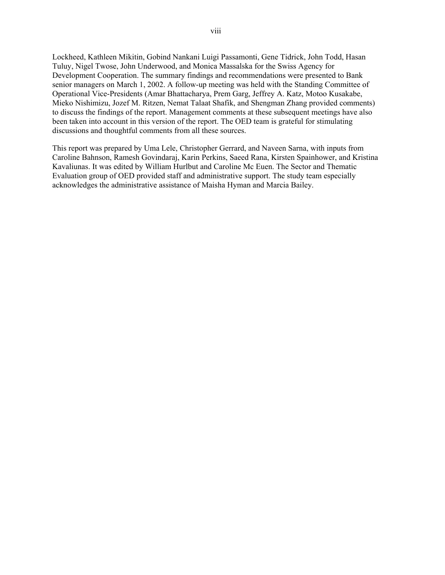Lockheed, Kathleen Mikitin, Gobind Nankani Luigi Passamonti, Gene Tidrick, John Todd, Hasan Tuluy, Nigel Twose, John Underwood, and Monica Massalska for the Swiss Agency for Development Cooperation. The summary findings and recommendations were presented to Bank senior managers on March 1, 2002. A follow-up meeting was held with the Standing Committee of Operational Vice-Presidents (Amar Bhattacharya, Prem Garg, Jeffrey A. Katz, Motoo Kusakabe, Mieko Nishimizu, Jozef M. Ritzen, Nemat Talaat Shafik, and Shengman Zhang provided comments) to discuss the findings of the report. Management comments at these subsequent meetings have also been taken into account in this version of the report. The OED team is grateful for stimulating discussions and thoughtful comments from all these sources.

This report was prepared by Uma Lele, Christopher Gerrard, and Naveen Sarna, with inputs from Caroline Bahnson, Ramesh Govindaraj, Karin Perkins, Saeed Rana, Kirsten Spainhower, and Kristina Kavaliunas. It was edited by William Hurlbut and Caroline Mc Euen. The Sector and Thematic Evaluation group of OED provided staff and administrative support. The study team especially acknowledges the administrative assistance of Maisha Hyman and Marcia Bailey.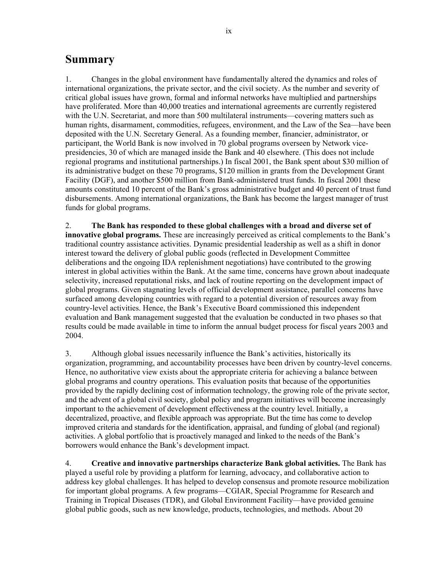# <span id="page-12-0"></span>**Summary**

1. Changes in the global environment have fundamentally altered the dynamics and roles of international organizations, the private sector, and the civil society. As the number and severity of critical global issues have grown, formal and informal networks have multiplied and partnerships have proliferated. More than 40,000 treaties and international agreements are currently registered with the U.N. Secretariat, and more than 500 multilateral instruments—covering matters such as human rights, disarmament, commodities, refugees, environment, and the Law of the Sea—have been deposited with the U.N. Secretary General. As a founding member, financier, administrator, or participant, the World Bank is now involved in 70 global programs overseen by Network vicepresidencies, 30 of which are managed inside the Bank and 40 elsewhere. (This does not include regional programs and institutional partnerships.) In fiscal 2001, the Bank spent about \$30 million of its administrative budget on these 70 programs, \$120 million in grants from the Development Grant Facility (DGF), and another \$500 million from Bank-administered trust funds. In fiscal 2001 these amounts constituted 10 percent of the Bank's gross administrative budget and 40 percent of trust fund disbursements. Among international organizations, the Bank has become the largest manager of trust funds for global programs.

2. **The Bank has responded to these global challenges with a broad and diverse set of innovative global programs.** These are increasingly perceived as critical complements to the Bank's traditional country assistance activities. Dynamic presidential leadership as well as a shift in donor interest toward the delivery of global public goods (reflected in Development Committee deliberations and the ongoing IDA replenishment negotiations) have contributed to the growing interest in global activities within the Bank. At the same time, concerns have grown about inadequate selectivity, increased reputational risks, and lack of routine reporting on the development impact of global programs. Given stagnating levels of official development assistance, parallel concerns have surfaced among developing countries with regard to a potential diversion of resources away from country-level activities. Hence, the Bank's Executive Board commissioned this independent evaluation and Bank management suggested that the evaluation be conducted in two phases so that results could be made available in time to inform the annual budget process for fiscal years 2003 and 2004.

3. Although global issues necessarily influence the Bank's activities, historically its organization, programming, and accountability processes have been driven by country-level concerns. Hence, no authoritative view exists about the appropriate criteria for achieving a balance between global programs and country operations. This evaluation posits that because of the opportunities provided by the rapidly declining cost of information technology, the growing role of the private sector, and the advent of a global civil society, global policy and program initiatives will become increasingly important to the achievement of development effectiveness at the country level. Initially, a decentralized, proactive, and flexible approach was appropriate. But the time has come to develop improved criteria and standards for the identification, appraisal, and funding of global (and regional) activities. A global portfolio that is proactively managed and linked to the needs of the Bank's borrowers would enhance the Bank's development impact.

4. **Creative and innovative partnerships characterize Bank global activities.** The Bank has played a useful role by providing a platform for learning, advocacy, and collaborative action to address key global challenges. It has helped to develop consensus and promote resource mobilization for important global programs. A few programs—CGIAR, Special Programme for Research and Training in Tropical Diseases (TDR), and Global Environment Facility—have provided genuine global public goods, such as new knowledge, products, technologies, and methods. About 20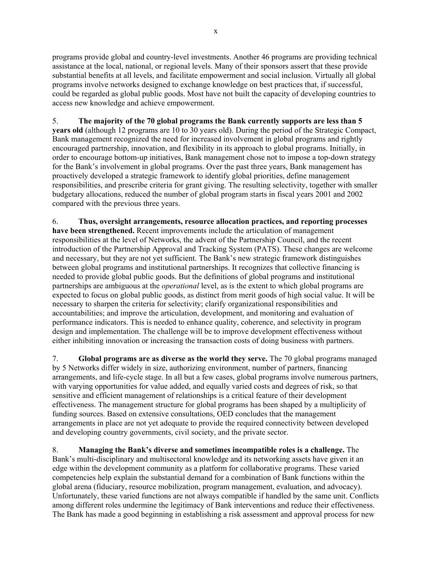programs provide global and country-level investments. Another 46 programs are providing technical assistance at the local, national, or regional levels. Many of their sponsors assert that these provide substantial benefits at all levels, and facilitate empowerment and social inclusion. Virtually all global programs involve networks designed to exchange knowledge on best practices that, if successful, could be regarded as global public goods. Most have not built the capacity of developing countries to access new knowledge and achieve empowerment.

5. **The majority of the 70 global programs the Bank currently supports are less than 5 years old** (although 12 programs are 10 to 30 years old). During the period of the Strategic Compact, Bank management recognized the need for increased involvement in global programs and rightly encouraged partnership, innovation, and flexibility in its approach to global programs. Initially, in order to encourage bottom-up initiatives, Bank management chose not to impose a top-down strategy for the Bank's involvement in global programs. Over the past three years, Bank management has proactively developed a strategic framework to identify global priorities, define management responsibilities, and prescribe criteria for grant giving. The resulting selectivity, together with smaller budgetary allocations, reduced the number of global program starts in fiscal years 2001 and 2002 compared with the previous three years.

6. **Thus, oversight arrangements, resource allocation practices, and reporting processes have been strengthened.** Recent improvements include the articulation of management responsibilities at the level of Networks, the advent of the Partnership Council, and the recent introduction of the Partnership Approval and Tracking System (PATS). These changes are welcome and necessary, but they are not yet sufficient. The Bank's new strategic framework distinguishes between global programs and institutional partnerships. It recognizes that collective financing is needed to provide global public goods. But the definitions of global programs and institutional partnerships are ambiguous at the *operational* level, as is the extent to which global programs are expected to focus on global public goods, as distinct from merit goods of high social value. It will be necessary to sharpen the criteria for selectivity; clarify organizational responsibilities and accountabilities; and improve the articulation, development, and monitoring and evaluation of performance indicators. This is needed to enhance quality, coherence, and selectivity in program design and implementation. The challenge will be to improve development effectiveness without either inhibiting innovation or increasing the transaction costs of doing business with partners.

7. **Global programs are as diverse as the world they serve.** The 70 global programs managed by 5 Networks differ widely in size, authorizing environment, number of partners, financing arrangements, and life-cycle stage. In all but a few cases, global programs involve numerous partners, with varying opportunities for value added, and equally varied costs and degrees of risk, so that sensitive and efficient management of relationships is a critical feature of their development effectiveness. The management structure for global programs has been shaped by a multiplicity of funding sources. Based on extensive consultations, OED concludes that the management arrangements in place are not yet adequate to provide the required connectivity between developed and developing country governments, civil society, and the private sector.

8. **Managing the Bank's diverse and sometimes incompatible roles is a challenge.** The Bank's multi-disciplinary and multisectoral knowledge and its networking assets have given it an edge within the development community as a platform for collaborative programs. These varied competencies help explain the substantial demand for a combination of Bank functions within the global arena (fiduciary, resource mobilization, program management, evaluation, and advocacy). Unfortunately, these varied functions are not always compatible if handled by the same unit. Conflicts among different roles undermine the legitimacy of Bank interventions and reduce their effectiveness. The Bank has made a good beginning in establishing a risk assessment and approval process for new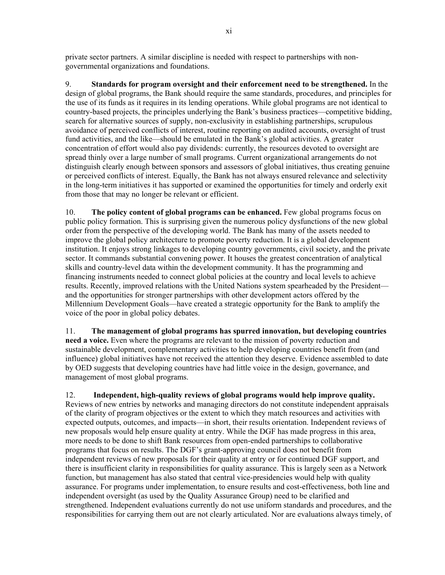private sector partners. A similar discipline is needed with respect to partnerships with nongovernmental organizations and foundations.

9. **Standards for program oversight and their enforcement need to be strengthened.** In the design of global programs, the Bank should require the same standards, procedures, and principles for the use of its funds as it requires in its lending operations. While global programs are not identical to country-based projects, the principles underlying the Bank's business practices—competitive bidding, search for alternative sources of supply, non-exclusivity in establishing partnerships, scrupulous avoidance of perceived conflicts of interest, routine reporting on audited accounts, oversight of trust fund activities, and the like—should be emulated in the Bank's global activities. A greater concentration of effort would also pay dividends: currently, the resources devoted to oversight are spread thinly over a large number of small programs. Current organizational arrangements do not distinguish clearly enough between sponsors and assessors of global initiatives, thus creating genuine or perceived conflicts of interest. Equally, the Bank has not always ensured relevance and selectivity in the long-term initiatives it has supported or examined the opportunities for timely and orderly exit from those that may no longer be relevant or efficient.

10. **The policy content of global programs can be enhanced.** Few global programs focus on public policy formation. This is surprising given the numerous policy dysfunctions of the new global order from the perspective of the developing world. The Bank has many of the assets needed to improve the global policy architecture to promote poverty reduction. It is a global development institution. It enjoys strong linkages to developing country governments, civil society, and the private sector. It commands substantial convening power. It houses the greatest concentration of analytical skills and country-level data within the development community. It has the programming and financing instruments needed to connect global policies at the country and local levels to achieve results. Recently, improved relations with the United Nations system spearheaded by the President and the opportunities for stronger partnerships with other development actors offered by the Millennium Development Goals—have created a strategic opportunity for the Bank to amplify the voice of the poor in global policy debates.

11. **The management of global programs has spurred innovation, but developing countries need a voice.** Even where the programs are relevant to the mission of poverty reduction and sustainable development, complementary activities to help developing countries benefit from (and influence) global initiatives have not received the attention they deserve. Evidence assembled to date by OED suggests that developing countries have had little voice in the design, governance, and management of most global programs.

12. **Independent, high-quality reviews of global programs would help improve quality.** Reviews of new entries by networks and managing directors do not constitute independent appraisals of the clarity of program objectives or the extent to which they match resources and activities with expected outputs, outcomes, and impacts—in short, their results orientation. Independent reviews of new proposals would help ensure quality at entry. While the DGF has made progress in this area, more needs to be done to shift Bank resources from open-ended partnerships to collaborative programs that focus on results. The DGF's grant-approving council does not benefit from independent reviews of new proposals for their quality at entry or for continued DGF support, and there is insufficient clarity in responsibilities for quality assurance. This is largely seen as a Network function, but management has also stated that central vice-presidencies would help with quality assurance. For programs under implementation, to ensure results and cost-effectiveness, both line and independent oversight (as used by the Quality Assurance Group) need to be clarified and strengthened. Independent evaluations currently do not use uniform standards and procedures, and the responsibilities for carrying them out are not clearly articulated. Nor are evaluations always timely, of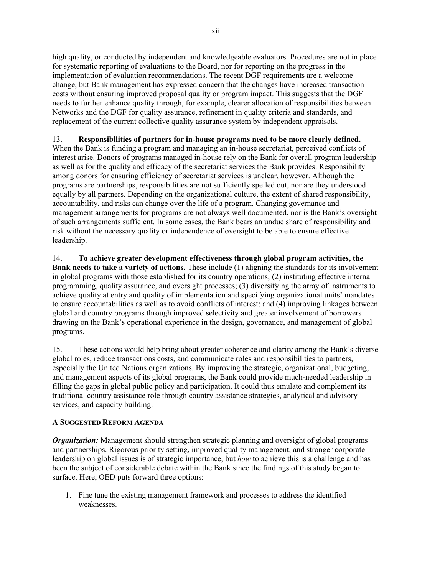high quality, or conducted by independent and knowledgeable evaluators. Procedures are not in place for systematic reporting of evaluations to the Board, nor for reporting on the progress in the implementation of evaluation recommendations. The recent DGF requirements are a welcome change, but Bank management has expressed concern that the changes have increased transaction costs without ensuring improved proposal quality or program impact. This suggests that the DGF needs to further enhance quality through, for example, clearer allocation of responsibilities between Networks and the DGF for quality assurance, refinement in quality criteria and standards, and replacement of the current collective quality assurance system by independent appraisals.

## 13. **Responsibilities of partners for in-house programs need to be more clearly defined.**  When the Bank is funding a program and managing an in-house secretariat, perceived conflicts of interest arise. Donors of programs managed in-house rely on the Bank for overall program leadership as well as for the quality and efficacy of the secretariat services the Bank provides. Responsibility among donors for ensuring efficiency of secretariat services is unclear, however. Although the programs are partnerships, responsibilities are not sufficiently spelled out, nor are they understood equally by all partners. Depending on the organizational culture, the extent of shared responsibility, accountability, and risks can change over the life of a program. Changing governance and management arrangements for programs are not always well documented, nor is the Bank's oversight of such arrangements sufficient. In some cases, the Bank bears an undue share of responsibility and risk without the necessary quality or independence of oversight to be able to ensure effective leadership.

14. **To achieve greater development effectiveness through global program activities, the Bank needs to take a variety of actions.** These include (1) aligning the standards for its involvement in global programs with those established for its country operations; (2) instituting effective internal programming, quality assurance, and oversight processes; (3) diversifying the array of instruments to achieve quality at entry and quality of implementation and specifying organizational units' mandates to ensure accountabilities as well as to avoid conflicts of interest; and (4) improving linkages between global and country programs through improved selectivity and greater involvement of borrowers drawing on the Bank's operational experience in the design, governance, and management of global programs.

15. These actions would help bring about greater coherence and clarity among the Bank's diverse global roles, reduce transactions costs, and communicate roles and responsibilities to partners, especially the United Nations organizations. By improving the strategic, organizational, budgeting, and management aspects of its global programs, the Bank could provide much-needed leadership in filling the gaps in global public policy and participation. It could thus emulate and complement its traditional country assistance role through country assistance strategies, analytical and advisory services, and capacity building.

# **A SUGGESTED REFORM AGENDA**

*Organization:* Management should strengthen strategic planning and oversight of global programs and partnerships. Rigorous priority setting, improved quality management, and stronger corporate leadership on global issues is of strategic importance, but *how* to achieve this is a challenge and has been the subject of considerable debate within the Bank since the findings of this study began to surface. Here, OED puts forward three options:

1. Fine tune the existing management framework and processes to address the identified weaknesses.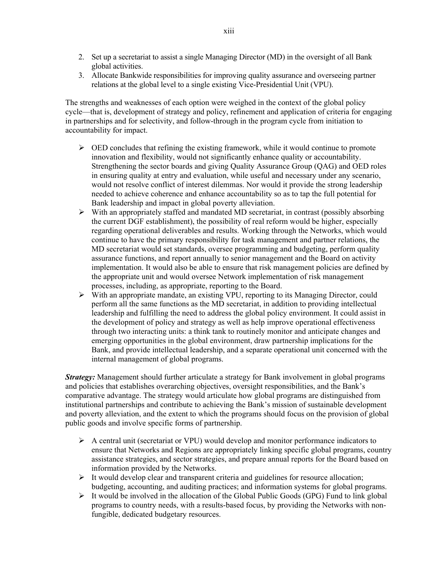- 2. Set up a secretariat to assist a single Managing Director (MD) in the oversight of all Bank global activities.
- 3. Allocate Bankwide responsibilities for improving quality assurance and overseeing partner relations at the global level to a single existing Vice-Presidential Unit (VPU).

The strengths and weaknesses of each option were weighed in the context of the global policy cycle—that is, development of strategy and policy, refinement and application of criteria for engaging in partnerships and for selectivity, and follow-through in the program cycle from initiation to accountability for impact.

- $\triangleright$  OED concludes that refining the existing framework, while it would continue to promote innovation and flexibility, would not significantly enhance quality or accountability. Strengthening the sector boards and giving Quality Assurance Group (QAG) and OED roles in ensuring quality at entry and evaluation, while useful and necessary under any scenario, would not resolve conflict of interest dilemmas. Nor would it provide the strong leadership needed to achieve coherence and enhance accountability so as to tap the full potential for Bank leadership and impact in global poverty alleviation.
- ¾ With an appropriately staffed and mandated MD secretariat, in contrast (possibly absorbing the current DGF establishment), the possibility of real reform would be higher, especially regarding operational deliverables and results. Working through the Networks, which would continue to have the primary responsibility for task management and partner relations, the MD secretariat would set standards, oversee programming and budgeting, perform quality assurance functions, and report annually to senior management and the Board on activity implementation. It would also be able to ensure that risk management policies are defined by the appropriate unit and would oversee Network implementation of risk management processes, including, as appropriate, reporting to the Board.
- $\triangleright$  With an appropriate mandate, an existing VPU, reporting to its Managing Director, could perform all the same functions as the MD secretariat, in addition to providing intellectual leadership and fulfilling the need to address the global policy environment. It could assist in the development of policy and strategy as well as help improve operational effectiveness through two interacting units: a think tank to routinely monitor and anticipate changes and emerging opportunities in the global environment, draw partnership implications for the Bank, and provide intellectual leadership, and a separate operational unit concerned with the internal management of global programs.

*Strategy:* Management should further articulate a strategy for Bank involvement in global programs and policies that establishes overarching objectives, oversight responsibilities, and the Bank's comparative advantage. The strategy would articulate how global programs are distinguished from institutional partnerships and contribute to achieving the Bank's mission of sustainable development and poverty alleviation, and the extent to which the programs should focus on the provision of global public goods and involve specific forms of partnership.

- $\triangleright$  A central unit (secretariat or VPU) would develop and monitor performance indicators to ensure that Networks and Regions are appropriately linking specific global programs, country assistance strategies, and sector strategies, and prepare annual reports for the Board based on information provided by the Networks.
- $\triangleright$  It would develop clear and transparent criteria and guidelines for resource allocation; budgeting, accounting, and auditing practices; and information systems for global programs.
- $\triangleright$  It would be involved in the allocation of the Global Public Goods (GPG) Fund to link global programs to country needs, with a results-based focus, by providing the Networks with nonfungible, dedicated budgetary resources.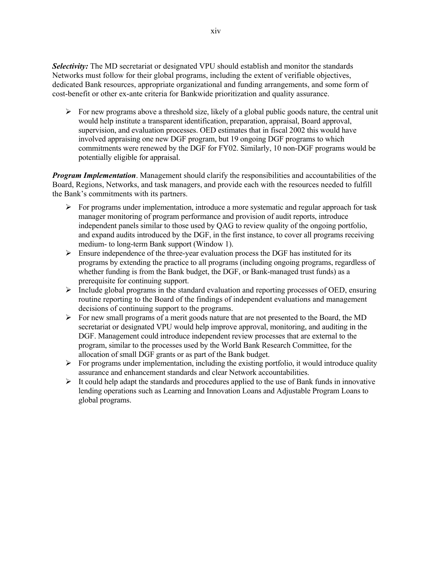*Selectivity:* The MD secretariat or designated VPU should establish and monitor the standards Networks must follow for their global programs, including the extent of verifiable objectives, dedicated Bank resources, appropriate organizational and funding arrangements, and some form of cost-benefit or other ex-ante criteria for Bankwide prioritization and quality assurance.

 $\triangleright$  For new programs above a threshold size, likely of a global public goods nature, the central unit would help institute a transparent identification, preparation, appraisal, Board approval, supervision, and evaluation processes. OED estimates that in fiscal 2002 this would have involved appraising one new DGF program, but 19 ongoing DGF programs to which commitments were renewed by the DGF for FY02. Similarly, 10 non-DGF programs would be potentially eligible for appraisal.

*Program Implementation*. Management should clarify the responsibilities and accountabilities of the Board, Regions, Networks, and task managers, and provide each with the resources needed to fulfill the Bank's commitments with its partners.

- $\triangleright$  For programs under implementation, introduce a more systematic and regular approach for task manager monitoring of program performance and provision of audit reports, introduce independent panels similar to those used by QAG to review quality of the ongoing portfolio, and expand audits introduced by the DGF, in the first instance, to cover all programs receiving medium- to long-term Bank support (Window 1).
- $\triangleright$  Ensure independence of the three-year evaluation process the DGF has instituted for its programs by extending the practice to all programs (including ongoing programs, regardless of whether funding is from the Bank budget, the DGF, or Bank-managed trust funds) as a prerequisite for continuing support.
- $\triangleright$  Include global programs in the standard evaluation and reporting processes of OED, ensuring routine reporting to the Board of the findings of independent evaluations and management decisions of continuing support to the programs.
- $\triangleright$  For new small programs of a merit goods nature that are not presented to the Board, the MD secretariat or designated VPU would help improve approval, monitoring, and auditing in the DGF. Management could introduce independent review processes that are external to the program, similar to the processes used by the World Bank Research Committee, for the allocation of small DGF grants or as part of the Bank budget.
- $\triangleright$  For programs under implementation, including the existing portfolio, it would introduce quality assurance and enhancement standards and clear Network accountabilities.
- $\triangleright$  It could help adapt the standards and procedures applied to the use of Bank funds in innovative lending operations such as Learning and Innovation Loans and Adjustable Program Loans to global programs.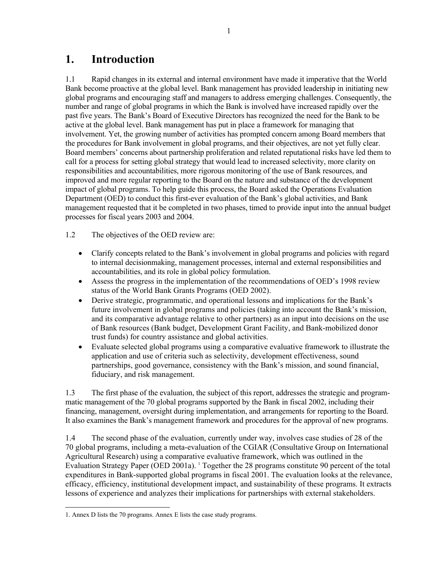# <span id="page-18-0"></span>**1. Introduction**

1.1 Rapid changes in its external and internal environment have made it imperative that the World Bank become proactive at the global level. Bank management has provided leadership in initiating new global programs and encouraging staff and managers to address emerging challenges. Consequently, the number and range of global programs in which the Bank is involved have increased rapidly over the past five years. The Bank's Board of Executive Directors has recognized the need for the Bank to be active at the global level. Bank management has put in place a framework for managing that involvement. Yet, the growing number of activities has prompted concern among Board members that the procedures for Bank involvement in global programs, and their objectives, are not yet fully clear. Board members' concerns about partnership proliferation and related reputational risks have led them to call for a process for setting global strategy that would lead to increased selectivity, more clarity on responsibilities and accountabilities, more rigorous monitoring of the use of Bank resources, and improved and more regular reporting to the Board on the nature and substance of the development impact of global programs. To help guide this process, the Board asked the Operations Evaluation Department (OED) to conduct this first-ever evaluation of the Bank's global activities, and Bank management requested that it be completed in two phases, timed to provide input into the annual budget processes for fiscal years 2003 and 2004.

1.2 The objectives of the OED review are:

- Clarify concepts related to the Bank's involvement in global programs and policies with regard to internal decisionmaking, management processes, internal and external responsibilities and accountabilities, and its role in global policy formulation.
- Assess the progress in the implementation of the recommendations of OED's 1998 review status of the World Bank Grants Programs (OED 2002).
- Derive strategic, programmatic, and operational lessons and implications for the Bank's future involvement in global programs and policies (taking into account the Bank's mission, and its comparative advantage relative to other partners) as an input into decisions on the use of Bank resources (Bank budget, Development Grant Facility, and Bank-mobilized donor trust funds) for country assistance and global activities.
- Evaluate selected global programs using a comparative evaluative framework to illustrate the application and use of criteria such as selectivity, development effectiveness, sound partnerships, good governance, consistency with the Bank's mission, and sound financial, fiduciary, and risk management.

1.3 The first phase of the evaluation, the subject of this report, addresses the strategic and programmatic management of the 70 global programs supported by the Bank in fiscal 2002, including their financing, management, oversight during implementation, and arrangements for reporting to the Board. It also examines the Bank's management framework and procedures for the approval of new programs.

1.4 The second phase of the evaluation, currently under way, involves case studies of 28 of the 70 global programs, including a meta-evaluation of the CGIAR (Consultative Group on International Agricultural Research) using a comparative evaluative framework, which was outlined in the Evaluation Strategy Paper (OED 200[1](#page-18-1)a). <sup>1</sup> Together the 28 programs constitute 90 percent of the total expenditures in Bank-supported global programs in fiscal 2001. The evaluation looks at the relevance, efficacy, efficiency, institutional development impact, and sustainability of these programs. It extracts lessons of experience and analyzes their implications for partnerships with external stakeholders.

<span id="page-18-1"></span> <sup>1.</sup> Annex D lists the 70 programs. Annex E lists the case study programs.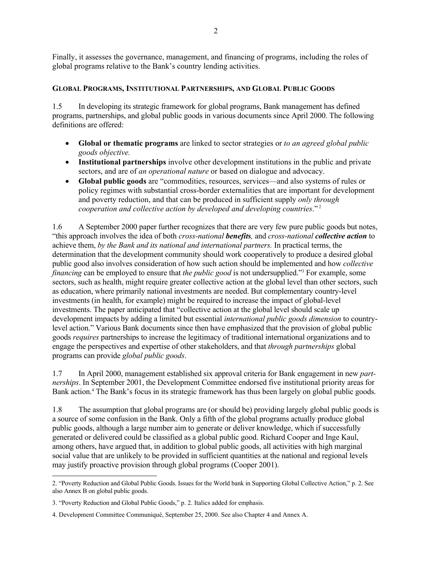<span id="page-19-0"></span>Finally, it assesses the governance, management, and financing of programs, including the roles of global programs relative to the Bank's country lending activities.

#### **GLOBAL PROGRAMS, INSTITUTIONAL PARTNERSHIPS, AND GLOBAL PUBLIC GOODS**

1.5 In developing its strategic framework for global programs, Bank management has defined programs, partnerships, and global public goods in various documents since April 2000. The following definitions are offered:

- **Global or thematic programs** are linked to sector strategies or *to an agreed global public goods objective.*
- **Institutional partnerships** involve other development institutions in the public and private sectors, and are of *an operational nature* or based on dialogue and advocacy.
- **Global public goods** are "commodities, resources, services—and also systems of rules or policy regimes with substantial cross-border externalities that are important for development and poverty reduction, and that can be produced in sufficient supply *only through cooperation and collective action by developed and developing countries*." [2](#page-19-1)

1.6 A September 2000 paper further recognizes that there are very few pure public goods but notes, "this approach involves the idea of both *cross-national benefits,* and *cross-national collective action* to achieve them, *by the Bank and its national and international partners.* In practical terms, the determination that the development community should work cooperatively to produce a desired global public good also involves consideration of how such action should be implemented and how *collective financing* can be employed to ensure that *the public good* is not undersupplied."[3](#page-19-2) For example, some sectors, such as health, might require greater collective action at the global level than other sectors, such as education, where primarily national investments are needed. But complementary country-level investments (in health, for example) might be required to increase the impact of global-level investments. The paper anticipated that "collective action at the global level should scale up development impacts by adding a limited but essential *international public goods dimension* to countrylevel action." Various Bank documents since then have emphasized that the provision of global public goods *requires* partnerships to increase the legitimacy of traditional international organizations and to engage the perspectives and expertise of other stakeholders, and that *through partnerships* global programs can provide *global public goods*.

1.7 In April 2000, management established six approval criteria for Bank engagement in new *partnerships*. In September 2001, the Development Committee endorsed five institutional priority areas for Bankaction.<sup>4</sup> The Bank's focus in its strategic framework has thus been largely on global public goods.

1.8 The assumption that global programs are (or should be) providing largely global public goods is a source of some confusion in the Bank. Only a fifth of the global programs actually produce global public goods, although a large number aim to generate or deliver knowledge, which if successfully generated or delivered could be classified as a global public good. Richard Cooper and Inge Kaul, among others, have argued that, in addition to global public goods, all activities with high marginal social value that are unlikely to be provided in sufficient quantities at the national and regional levels may justify proactive provision through global programs (Cooper 2001).

l

<span id="page-19-1"></span><sup>2. &</sup>quot;Poverty Reduction and Global Public Goods. Issues for the World bank in Supporting Global Collective Action," p. 2. See also Annex B on global public goods.

<span id="page-19-2"></span><sup>3. &</sup>quot;Poverty Reduction and Global Public Goods," p. 2. Italics added for emphasis.

<span id="page-19-3"></span><sup>4.</sup> Development Committee Communiqué, September 25, 2000. See also Chapter 4 and Annex A.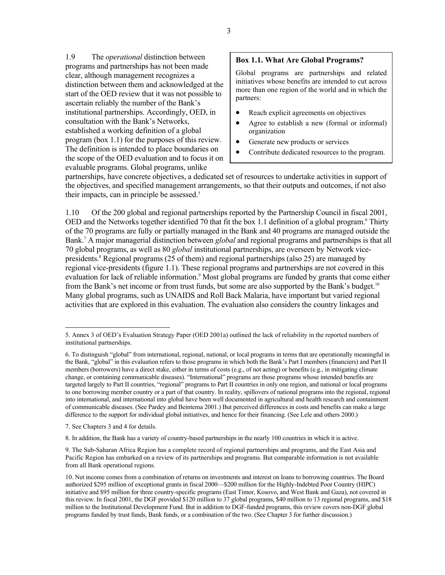1.9 The *operational* distinction between programs and partnerships has not been made clear, although management recognizes a distinction between them and acknowledged at the start of the OED review that it was not possible to ascertain reliably the number of the Bank's institutional partnerships. Accordingly, OED, in consultation with the Bank's Networks, established a working definition of a global program (box 1.1) for the purposes of this review. The definition is intended to place boundaries on the scope of the OED evaluation and to focus it on evaluable programs. Global programs, unlike

## **Box 1.1. What Are Global Programs?**

Global programs are partnerships and related initiatives whose benefits are intended to cut across more than one region of the world and in which the partners:

- Reach explicit agreements on objectives
- Agree to establish a new (formal or informal) organization
- Generate new products or services
- Contribute dedicated resources to the program.

partnerships, have concrete objectives, a dedicated set of resources to undertake activities in support of the objectives, and specified management arrangements, so that their outputs and outcomes, if not also their impacts, can in principle be assessed. 5 

1.10 Of the 200 global and regional partnerships reported by the Partnership Council in fiscal 2001, OED and the Networks together identified 70 that fit the box 1.1 definition of a global program.<sup>[6](#page-20-1)</sup> Thirty of the 70 programs are fully or partially managed in the Bank and 40 programs are managed outside the Bank.[7](#page-20-2) A major managerial distinction between *global* and regional programs and partnerships is that all 70 global programs, as well as 80 *global* institutional partnerships, are overseen by Network vice-presidents.<sup>8</sup> [R](#page-20-3)egional programs (25 of them) and regional partnerships (also 25) are managed by regional vice-presidents (figure 1.1). These regional programs and partnerships are not covered in this evaluation for lack of reliable information. [9](#page-20-4) Most global programs are funded by grants that come either from the Bank's net income or from trust funds, but some are also supported by the Bank's budget.<sup>[10](#page-20-5)</sup> Many global programs, such as UNAIDS and Roll Back Malaria, have important but varied regional activities that are explored in this evaluation. The evaluation also considers the country linkages and

<span id="page-20-2"></span>7. See Chapters 3 and 4 for details.

<span id="page-20-3"></span>8. In addition, the Bank has a variety of country-based partnerships in the nearly 100 countries in which it is active.

<span id="page-20-4"></span>9. The Sub-Saharan Africa Region has a complete record of regional partnerships and programs, and the East Asia and Pacific Region has embarked on a review of its partnerships and programs. But comparable information is not available from all Bank operational regions.

<span id="page-20-0"></span> <sup>5.</sup> Annex 3 of OED's Evaluation Strategy Paper (OED 2001a) outlined the lack of reliability in the reported numbers of institutional partnerships.

<span id="page-20-1"></span><sup>6.</sup> To distinguish "global" from international, regional, national, or local programs in terms that are operationally meaningful in the Bank, "global" in this evaluation refers to those programs in which both the Bank's Part I members (financiers) and Part II members (borrowers) have a direct stake, either in terms of costs (e.g., of not acting) or benefits (e.g., in mitigating climate change, or containing communicable diseases). "International" programs are those programs whose intended benefits are targeted largely to Part II countries, "regional" programs to Part II countries in only one region, and national or local programs to one borrowing member country or a part of that country. In reality, spillovers of national programs into the regional, regional into international, and international into global have been well documented in agricultural and health research and containment of communicable diseases. (See Pardey and Beintema 2001.) But perceived differences in costs and benefits can make a large difference to the support for individual global initiatives, and hence for their financing. (See Lele and others 2000.)

<span id="page-20-5"></span><sup>10.</sup> Net income comes from a combination of returns on investments and interest on loans to borrowing countries. The Board authorized \$295 million of exceptional grants in fiscal 2000—\$200 million for the Highly-Indebted Poor Country (HIPC) initiative and \$95 million for three country-specific programs (East Timor, Kosovo, and West Bank and Gaza), not covered in this review. In fiscal 2001, the DGF provided \$120 million to 37 global programs, \$40 million to 13 regional programs, and \$18 million to the Institutional Development Fund. But in addition to DGF-funded programs, this review covers non-DGF global programs funded by trust funds, Bank funds, or a combination of the two. (See Chapter 3 for further discussion.)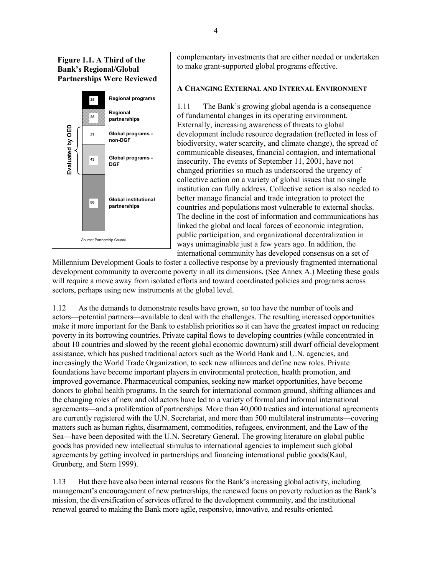# <span id="page-21-0"></span>**Figure 1.1. A Third of the Bank's Regional/Global Partnerships Were Reviewed**



complementary investments that are either needed or undertaken to make grant-supported global programs effective.

### **A CHANGING EXTERNAL AND INTERNAL ENVIRONMENT**

1.11 The Bank's growing global agenda is a consequence of fundamental changes in its operating environment. Externally, increasing awareness of threats to global development include resource degradation (reflected in loss of biodiversity, water scarcity, and climate change), the spread of communicable diseases, financial contagion, and international insecurity. The events of September 11, 2001, have not changed priorities so much as underscored the urgency of collective action on a variety of global issues that no single institution can fully address. Collective action is also needed to better manage financial and trade integration to protect the countries and populations most vulnerable to external shocks. The decline in the cost of information and communications has linked the global and local forces of economic integration, public participation, and organizational decentralization in ways unimaginable just a few years ago. In addition, the international community has developed consensus on a set of

Millennium Development Goals to foster a collective response by a previously fragmented international development community to overcome poverty in all its dimensions. (See Annex A.) Meeting these goals will require a move away from isolated efforts and toward coordinated policies and programs across sectors, perhaps using new instruments at the global level.

1.12 As the demands to demonstrate results have grown, so too have the number of tools and actors—potential partners—available to deal with the challenges. The resulting increased opportunities make it more important for the Bank to establish priorities so it can have the greatest impact on reducing poverty in its borrowing countries. Private capital flows to developing countries (while concentrated in about 10 countries and slowed by the recent global economic downturn) still dwarf official development assistance, which has pushed traditional actors such as the World Bank and U.N. agencies, and increasingly the World Trade Organization, to seek new alliances and define new roles. Private foundations have become important players in environmental protection, health promotion, and improved governance. Pharmaceutical companies, seeking new market opportunities, have become donors to global health programs. In the search for international common ground, shifting alliances and the changing roles of new and old actors have led to a variety of formal and informal international agreements—and a proliferation of partnerships. More than 40,000 treaties and international agreements are currently registered with the U.N. Secretariat, and more than 500 multilateral instruments—covering matters such as human rights, disarmament, commodities, refugees, environment, and the Law of the Sea—have been deposited with the U.N. Secretary General. The growing literature on global public goods has provided new intellectual stimulus to international agencies to implement such global agreements by getting involved in partnerships and financing international public goods(Kaul, Grunberg, and Stern 1999).

1.13 But there have also been internal reasons for the Bank's increasing global activity, including management's encouragement of new partnerships, the renewed focus on poverty reduction as the Bank's mission, the diversification of services offered to the development community, and the institutional renewal geared to making the Bank more agile, responsive, innovative, and results-oriented.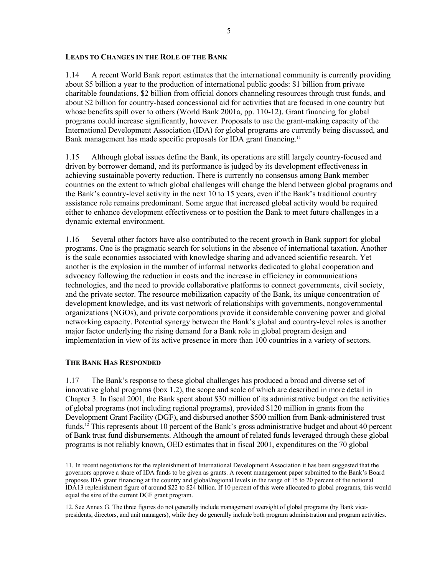#### <span id="page-22-0"></span>**LEADS TO CHANGES IN THE ROLE OF THE BANK**

1.14 A recent World Bank report estimates that the international community is currently providing about \$5 billion a year to the production of international public goods: \$1 billion from private charitable foundations, \$2 billion from official donors channeling resources through trust funds, and about \$2 billion for country-based concessional aid for activities that are focused in one country but whose benefits spill over to others (World Bank 2001a, pp. 110-12). Grant financing for global programs could increase significantly, however. Proposals to use the grant-making capacity of the International Development Association (IDA) for global programs are currently being discussed, and Bank management has made specific proposals for IDA grant financing.<sup>11</sup>

1.15 Although global issues define the Bank, its operations are still largely country-focused and driven by borrower demand, and its performance is judged by its development effectiveness in achieving sustainable poverty reduction. There is currently no consensus among Bank member countries on the extent to which global challenges will change the blend between global programs and the Bank's country-level activity in the next 10 to 15 years, even if the Bank's traditional country assistance role remains predominant. Some argue that increased global activity would be required either to enhance development effectiveness or to position the Bank to meet future challenges in a dynamic external environment.

1.16 Several other factors have also contributed to the recent growth in Bank support for global programs. One is the pragmatic search for solutions in the absence of international taxation. Another is the scale economies associated with knowledge sharing and advanced scientific research. Yet another is the explosion in the number of informal networks dedicated to global cooperation and advocacy following the reduction in costs and the increase in efficiency in communications technologies, and the need to provide collaborative platforms to connect governments, civil society, and the private sector. The resource mobilization capacity of the Bank, its unique concentration of development knowledge, and its vast network of relationships with governments, nongovernmental organizations (NGOs), and private corporations provide it considerable convening power and global networking capacity. Potential synergy between the Bank's global and country-level roles is another major factor underlying the rising demand for a Bank role in global program design and implementation in view of its active presence in more than 100 countries in a variety of sectors.

#### **THE BANK HAS RESPONDED**

1.17 The Bank's response to these global challenges has produced a broad and diverse set of innovative global programs (box 1.2), the scope and scale of which are described in more detail in Chapter 3. In fiscal 2001, the Bank spent about \$30 million of its administrative budget on the activities of global programs (not including regional programs), provided \$120 million in grants from the Development Grant Facility (DGF), and disbursed another \$500 million from Bank-administered trust funds.<sup>12</sup> This represents about 10 percent of the Bank's gross administrative budget and about 40 percent of Bank trust fund disbursements. Although the amount of related funds leveraged through these global programs is not reliably known, OED estimates that in fiscal 2001, expenditures on the 70 global

<span id="page-22-1"></span> <sup>11.</sup> In recent negotiations for the replenishment of International Development Association it has been suggested that the governors approve a share of IDA funds to be given as grants. A recent management paper submitted to the Bank's Board proposes IDA grant financing at the country and global/regional levels in the range of 15 to 20 percent of the notional IDA13 replenishment figure of around \$22 to \$24 billion. If 10 percent of this were allocated to global programs, this would equal the size of the current DGF grant program.

<span id="page-22-2"></span><sup>12.</sup> See Annex G. The three figures do not generally include management oversight of global programs (by Bank vicepresidents, directors, and unit managers), while they do generally include both program administration and program activities.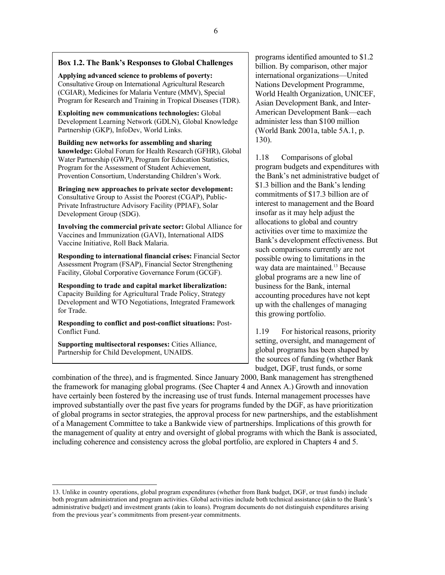# **Box 1.2. The Bank's Responses to Global Challenges**

**Applying advanced science to problems of poverty:** Consultative Group on International Agricultural Research (CGIAR), Medicines for Malaria Venture (MMV), Special Program for Research and Training in Tropical Diseases (TDR).

**Exploiting new communications technologies:** Global Development Learning Network (GDLN), Global Knowledge Partnership (GKP), InfoDev, World Links.

**Building new networks for assembling and sharing knowledge:** Global Forum for Health Research (GFHR), Global Water Partnership (GWP), Program for Education Statistics, Program for the Assessment of Student Achievement, Provention Consortium, Understanding Children's Work.

**Bringing new approaches to private sector development:**  Consultative Group to Assist the Poorest (CGAP), Public-Private Infrastructure Advisory Facility (PPIAF), Solar Development Group (SDG).

**Involving the commercial private sector:** Global Alliance for Vaccines and Immunization (GAVI), International AIDS Vaccine Initiative, Roll Back Malaria.

**Responding to international financial crises:** Financial Sector Assessment Program (FSAP), Financial Sector Strengthening Facility, Global Corporative Governance Forum (GCGF).

**Responding to trade and capital market liberalization:**  Capacity Building for Agricultural Trade Policy, Strategy Development and WTO Negotiations, Integrated Framework for Trade.

**Responding to conflict and post-conflict situations:** Post-Conflict Fund.

**Supporting multisectoral responses:** Cities Alliance, Partnership for Child Development, UNAIDS.

programs identified amounted to \$1.2 billion. By comparison, other major international organizations—United Nations Development Programme, World Health Organization, UNICEF, Asian Development Bank, and Inter-American Development Bank—each administer less than \$100 million (World Bank 2001a, table 5A.1, p. 130).

1.18 Comparisons of global program budgets and expenditures with the Bank's net administrative budget of \$1.3 billion and the Bank's lending commitments of \$17.3 billion are of interest to management and the Board insofar as it may help adjust the allocations to global and country activities over time to maximize the Bank's development effectiveness. But such comparisons currently are not possible owing to limitations in the way data are maintained.<sup>13</sup> Because global programs are a new line of business for the Bank, internal accounting procedures have not kept up with the challenges of managing this growing portfolio.

1.19 For historical reasons, priority setting, oversight, and management of global programs has been shaped by the sources of funding (whether Bank budget, DGF, trust funds, or some

combination of the three), and is fragmented. Since January 2000, Bank management has strengthened the framework for managing global programs. (See Chapter 4 and Annex A.) Growth and innovation have certainly been fostered by the increasing use of trust funds. Internal management processes have improved substantially over the past five years for programs funded by the DGF, as have prioritization of global programs in sector strategies, the approval process for new partnerships, and the establishment of a Management Committee to take a Bankwide view of partnerships. Implications of this growth for the management of quality at entry and oversight of global programs with which the Bank is associated, including coherence and consistency across the global portfolio, are explored in Chapters 4 and 5.

<span id="page-23-0"></span> <sup>13.</sup> Unlike in country operations, global program expenditures (whether from Bank budget, DGF, or trust funds) include both program administration and program activities. Global activities include both technical assistance (akin to the Bank's administrative budget) and investment grants (akin to loans). Program documents do not distinguish expenditures arising from the previous year's commitments from present-year commitments.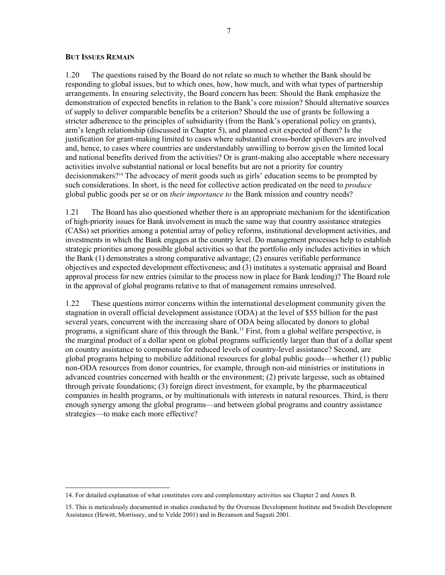#### <span id="page-24-0"></span>**BUT ISSUES REMAIN**

1.20 The questions raised by the Board do not relate so much to whether the Bank should be responding to global issues, but to which ones, how, how much, and with what types of partnership arrangements. In ensuring selectivity, the Board concern has been: Should the Bank emphasize the demonstration of expected benefits in relation to the Bank's core mission? Should alternative sources of supply to deliver comparable benefits be a criterion? Should the use of grants be following a stricter adherence to the principles of subsidiarity (from the Bank's operational policy on grants), arm's length relationship (discussed in Chapter 5), and planned exit expected of them? Is the justification for grant-making limited to cases where substantial cross-border spillovers are involved and, hence, to cases where countries are understandably unwilling to borrow given the limited local and national benefits derived from the activities? Or is grant-making also acceptable where necessary activities involve substantial national or local benefits but are not a priority for country decisionmakers?[14](#page-24-1) The advocacy of merit goods such as girls' education seems to be prompted by such considerations. In short, is the need for collective action predicated on the need to *produce* global public goods per se or on *their importance to* the Bank mission and country needs?

1.21 The Board has also questioned whether there is an appropriate mechanism for the identification of high-priority issues for Bank involvement in much the same way that country assistance strategies (CASs) set priorities among a potential array of policy reforms, institutional development activities, and investments in which the Bank engages at the country level. Do management processes help to establish strategic priorities among possible global activities so that the portfolio only includes activities in which the Bank (1) demonstrates a strong comparative advantage; (2) ensures verifiable performance objectives and expected development effectiveness; and (3) institutes a systematic appraisal and Board approval process for new entries (similar to the process now in place for Bank lending)? The Board role in the approval of global programs relative to that of management remains unresolved.

1.22 These questions mirror concerns within the international development community given the stagnation in overall official development assistance (ODA) at the level of \$55 billion for the past several years, concurrent with the increasing share of ODA being allocated by donors to global programs, a significant share of this through the Bank[.15](#page-24-2) First, from a global welfare perspective, is the marginal product of a dollar spent on global programs sufficiently larger than that of a dollar spent on country assistance to compensate for reduced levels of country-level assistance? Second, are global programs helping to mobilize additional resources for global public goods—whether (1) public non-ODA resources from donor countries, for example, through non-aid ministries or institutions in advanced countries concerned with health or the environment; (2) private largesse, such as obtained through private foundations; (3) foreign direct investment, for example, by the pharmaceutical companies in health programs, or by multinationals with interests in natural resources. Third, is there enough synergy among the global programs—and between global programs and country assistance strategies—to make each more effective?

<span id="page-24-1"></span> <sup>14.</sup> For detailed explanation of what constitutes core and complementary activities see Chapter 2 and Annex B.

<span id="page-24-2"></span><sup>15.</sup> This is meticulously documented in studies conducted by the Overseas Development Institute and Swedish Development Assistance (Hewitt, Morrissey, and te Velde 2001) and in Bezanson and Sagasti 2001.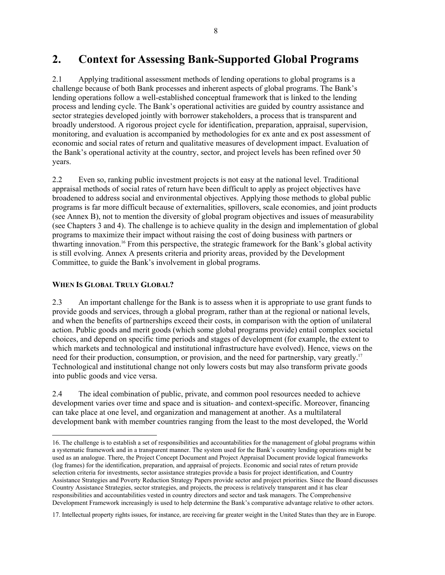# <span id="page-25-0"></span>**2. Context for Assessing Bank-Supported Global Programs**

2.1 Applying traditional assessment methods of lending operations to global programs is a challenge because of both Bank processes and inherent aspects of global programs. The Bank's lending operations follow a well-established conceptual framework that is linked to the lending process and lending cycle. The Bank's operational activities are guided by country assistance and sector strategies developed jointly with borrower stakeholders, a process that is transparent and broadly understood. A rigorous project cycle for identification, preparation, appraisal, supervision, monitoring, and evaluation is accompanied by methodologies for ex ante and ex post assessment of economic and social rates of return and qualitative measures of development impact. Evaluation of the Bank's operational activity at the country, sector, and project levels has been refined over 50 years.

2.2 Even so, ranking public investment projects is not easy at the national level. Traditional appraisal methods of social rates of return have been difficult to apply as project objectives have broadened to address social and environmental objectives. Applying those methods to global public programs is far more difficult because of externalities, spillovers, scale economies, and joint products (see Annex B), not to mention the diversity of global program objectives and issues of measurability (see Chapters 3 and 4). The challenge is to achieve quality in the design and implementation of global programs to maximize their impact without raising the cost of doing business with partners or thwarting innovation.[16](#page-25-1) From this perspective, the strategic framework for the Bank's global activity is still evolving. Annex A presents criteria and priority areas, provided by the Development Committee, to guide the Bank's involvement in global programs.

## **WHEN IS GLOBAL TRULY GLOBAL?**

l

2.3 An important challenge for the Bank is to assess when it is appropriate to use grant funds to provide goods and services, through a global program, rather than at the regional or national levels, and when the benefits of partnerships exceed their costs, in comparison with the option of unilateral action. Public goods and merit goods (which some global programs provide) entail complex societal choices, and depend on specific time periods and stages of development (for example, the extent to which markets and technological and institutional infrastructure have evolved). Hence, views on the need for their production, consumption, or provision, and the need for partnership, vary greatly.<sup>[17](#page-25-2)</sup> Technological and institutional change not only lowers costs but may also transform private goods into public goods and vice versa.

2.4 The ideal combination of public, private, and common pool resources needed to achieve development varies over time and space and is situation- and context-specific. Moreover, financing can take place at one level, and organization and management at another. As a multilateral development bank with member countries ranging from the least to the most developed, the World

<span id="page-25-1"></span><sup>16.</sup> The challenge is to establish a set of responsibilities and accountabilities for the management of global programs within a systematic framework and in a transparent manner. The system used for the Bank's country lending operations might be used as an analogue. There, the Project Concept Document and Project Appraisal Document provide logical frameworks (log frames) for the identification, preparation, and appraisal of projects. Economic and social rates of return provide selection criteria for investments, sector assistance strategies provide a basis for project identification, and Country Assistance Strategies and Poverty Reduction Strategy Papers provide sector and project priorities. Since the Board discusses Country Assistance Strategies, sector strategies, and projects, the process is relatively transparent and it has clear responsibilities and accountabilities vested in country directors and sector and task managers. The Comprehensive Development Framework increasingly is used to help determine the Bank's comparative advantage relative to other actors.

<span id="page-25-2"></span><sup>17.</sup> Intellectual property rights issues, for instance, are receiving far greater weight in the United States than they are in Europe.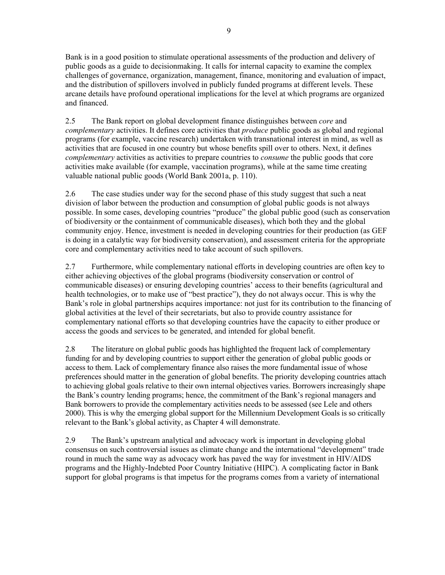Bank is in a good position to stimulate operational assessments of the production and delivery of public goods as a guide to decisionmaking. It calls for internal capacity to examine the complex challenges of governance, organization, management, finance, monitoring and evaluation of impact, and the distribution of spillovers involved in publicly funded programs at different levels. These arcane details have profound operational implications for the level at which programs are organized and financed.

2.5 The Bank report on global development finance distinguishes between *core* and *complementary* activities. It defines core activities that *produce* public goods as global and regional programs (for example, vaccine research) undertaken with transnational interest in mind, as well as activities that are focused in one country but whose benefits spill over to others. Next, it defines *complementary* activities as activities to prepare countries to *consume* the public goods that core activities make available (for example, vaccination programs), while at the same time creating valuable national public goods (World Bank 2001a, p. 110).

2.6 The case studies under way for the second phase of this study suggest that such a neat division of labor between the production and consumption of global public goods is not always possible. In some cases, developing countries "produce" the global public good (such as conservation of biodiversity or the containment of communicable diseases), which both they and the global community enjoy. Hence, investment is needed in developing countries for their production (as GEF is doing in a catalytic way for biodiversity conservation), and assessment criteria for the appropriate core and complementary activities need to take account of such spillovers.

2.7 Furthermore, while complementary national efforts in developing countries are often key to either achieving objectives of the global programs (biodiversity conservation or control of communicable diseases) or ensuring developing countries' access to their benefits (agricultural and health technologies, or to make use of "best practice"), they do not always occur. This is why the Bank's role in global partnerships acquires importance: not just for its contribution to the financing of global activities at the level of their secretariats, but also to provide country assistance for complementary national efforts so that developing countries have the capacity to either produce or access the goods and services to be generated, and intended for global benefit.

2.8 The literature on global public goods has highlighted the frequent lack of complementary funding for and by developing countries to support either the generation of global public goods or access to them. Lack of complementary finance also raises the more fundamental issue of whose preferences should matter in the generation of global benefits. The priority developing countries attach to achieving global goals relative to their own internal objectives varies. Borrowers increasingly shape the Bank's country lending programs; hence, the commitment of the Bank's regional managers and Bank borrowers to provide the complementary activities needs to be assessed (see Lele and others 2000). This is why the emerging global support for the Millennium Development Goals is so critically relevant to the Bank's global activity, as Chapter 4 will demonstrate.

2.9 The Bank's upstream analytical and advocacy work is important in developing global consensus on such controversial issues as climate change and the international "development" trade round in much the same way as advocacy work has paved the way for investment in HIV/AIDS programs and the Highly-Indebted Poor Country Initiative (HIPC). A complicating factor in Bank support for global programs is that impetus for the programs comes from a variety of international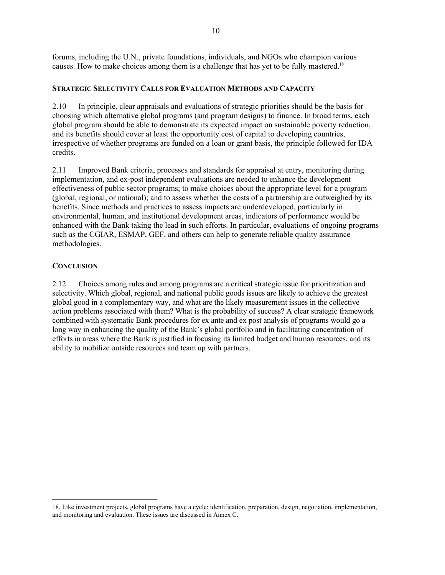<span id="page-27-0"></span>forums, including the U.N., private foundations, individuals, and NGOs who champion various causes. How to make choices among them is a challenge that has yet to be fully mastered.<sup>18</sup>

### **STRATEGIC SELECTIVITY CALLS FOR EVALUATION METHODS AND CAPACITY**

2.10 In principle, clear appraisals and evaluations of strategic priorities should be the basis for choosing which alternative global programs (and program designs) to finance. In broad terms, each global program should be able to demonstrate its expected impact on sustainable poverty reduction, and its benefits should cover at least the opportunity cost of capital to developing countries, irrespective of whether programs are funded on a loan or grant basis, the principle followed for IDA credits.

2.11 Improved Bank criteria, processes and standards for appraisal at entry, monitoring during implementation, and ex-post independent evaluations are needed to enhance the development effectiveness of public sector programs; to make choices about the appropriate level for a program (global, regional, or national); and to assess whether the costs of a partnership are outweighed by its benefits. Since methods and practices to assess impacts are underdeveloped, particularly in environmental, human, and institutional development areas, indicators of performance would be enhanced with the Bank taking the lead in such efforts. In particular, evaluations of ongoing programs such as the CGIAR, ESMAP, GEF, and others can help to generate reliable quality assurance methodologies.

#### **CONCLUSION**

l

2.12 Choices among rules and among programs are a critical strategic issue for prioritization and selectivity. Which global, regional, and national public goods issues are likely to achieve the greatest global good in a complementary way, and what are the likely measurement issues in the collective action problems associated with them? What is the probability of success? A clear strategic framework combined with systematic Bank procedures for ex ante and ex post analysis of programs would go a long way in enhancing the quality of the Bank's global portfolio and in facilitating concentration of efforts in areas where the Bank is justified in focusing its limited budget and human resources, and its ability to mobilize outside resources and team up with partners.

<span id="page-27-1"></span><sup>18.</sup> Like investment projects, global programs have a cycle: identification, preparation, design, negotiation, implementation, and monitoring and evaluation. These issues are discussed in Annex C.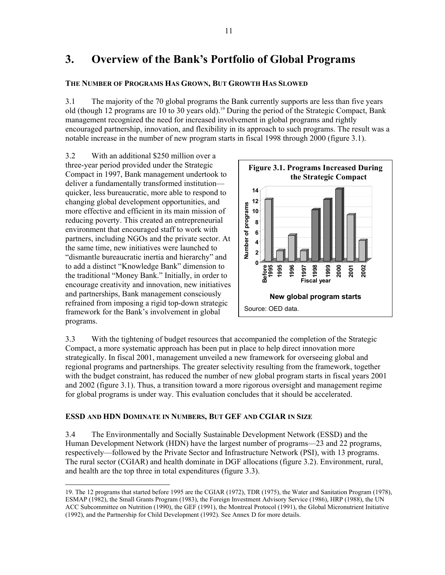# <span id="page-28-0"></span>**3. Overview of the Bank's Portfolio of Global Programs**

## **THE NUMBER OF PROGRAMS HAS GROWN, BUT GROWTH HAS SLOWED**

3.1 The majority of the 70 global programs the Bank currently supports are less than five years old (though 12 programs are 10 to 30 years old).<sup>19</sup> During the period of the Strategic Compact, Bank management recognized the need for increased involvement in global programs and rightly encouraged partnership, innovation, and flexibility in its approach to such programs. The result was a notable increase in the number of new program starts in fiscal 1998 through 2000 (figure 3.1).

3.2 With an additional \$250 million over a three-year period provided under the Strategic Compact in 1997, Bank management undertook to deliver a fundamentally transformed institution quicker, less bureaucratic, more able to respond to changing global development opportunities, and more effective and efficient in its main mission of reducing poverty. This created an entrepreneurial environment that encouraged staff to work with partners, including NGOs and the private sector. At the same time, new initiatives were launched to "dismantle bureaucratic inertia and hierarchy" and to add a distinct "Knowledge Bank" dimension to the traditional "Money Bank." Initially, in order to encourage creativity and innovation, new initiatives and partnerships, Bank management consciously refrained from imposing a rigid top-down strategic framework for the Bank's involvement in global programs.



3.3 With the tightening of budget resources that accompanied the completion of the Strategic Compact, a more systematic approach has been put in place to help direct innovation more strategically. In fiscal 2001, management unveiled a new framework for overseeing global and regional programs and partnerships. The greater selectivity resulting from the framework, together with the budget constraint, has reduced the number of new global program starts in fiscal years 2001 and 2002 (figure 3.1). Thus, a transition toward a more rigorous oversight and management regime for global programs is under way. This evaluation concludes that it should be accelerated.

## **ESSD AND HDN DOMINATE IN NUMBERS, BUT GEF AND CGIAR IN SIZE**

3.4 The Environmentally and Socially Sustainable Development Network (ESSD) and the Human Development Network (HDN) have the largest number of programs—23 and 22 programs, respectively—followed by the Private Sector and Infrastructure Network (PSI), with 13 programs. The rural sector (CGIAR) and health dominate in DGF allocations (figure 3.2). Environment, rural, and health are the top three in total expenditures (figure 3.3).

<span id="page-28-1"></span> <sup>19.</sup> The 12 programs that started before 1995 are the CGIAR (1972), TDR (1975), the Water and Sanitation Program (1978), ESMAP (1982), the Small Grants Program (1983), the Foreign Investment Advisory Service (1986), HRP (1988), the UN ACC Subcommittee on Nutrition (1990), the GEF (1991), the Montreal Protocol (1991), the Global Micronutrient Initiative (1992), and the Partnership for Child Development (1992). See Annex D for more details.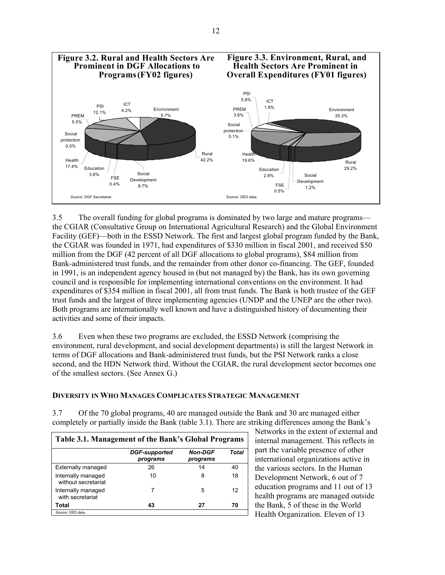<span id="page-29-0"></span>

3.5 The overall funding for global programs is dominated by two large and mature programs the CGIAR (Consultative Group on International Agricultural Research) and the Global Environment Facility (GEF)—both in the ESSD Network. The first and largest global program funded by the Bank, the CGIAR was founded in 1971, had expenditures of \$330 million in fiscal 2001, and received \$50 million from the DGF (42 percent of all DGF allocations to global programs), \$84 million from Bank-administered trust funds, and the remainder from other donor co-financing. The GEF, founded in 1991, is an independent agency housed in (but not managed by) the Bank, has its own governing council and is responsible for implementing international conventions on the environment. It had expenditures of \$354 million in fiscal 2001, all from trust funds. The Bank is both trustee of the GEF trust funds and the largest of three implementing agencies (UNDP and the UNEP are the other two). Both programs are internationally well known and have a distinguished history of documenting their activities and some of their impacts.

3.6 Even when these two programs are excluded, the ESSD Network (comprising the environment, rural development, and social development departments) is still the largest Network in terms of DGF allocations and Bank-administered trust funds, but the PSI Network ranks a close second, and the HDN Network third. Without the CGIAR, the rural development sector becomes one of the smallest sectors. (See Annex G.)

## **DIVERSITY IN WHO MANAGES COMPLICATES STRATEGIC MANAGEMENT**

3.7 Of the 70 global programs, 40 are managed outside the Bank and 30 are managed either completely or partially inside the Bank (table 3.1). There are striking differences among the Bank's

| Table 3.1. Management of the Bank's Global Programs |                                  |                            |       |  |
|-----------------------------------------------------|----------------------------------|----------------------------|-------|--|
|                                                     | <b>DGF-supported</b><br>programs | <b>Non-DGF</b><br>programs | Total |  |
| <b>Externally managed</b>                           | 26                               | 14                         | 40    |  |
| Internally managed<br>without secretariat           | 10                               | 8                          | 18    |  |
| Internally managed<br>with secretariat              |                                  | 5                          | 12    |  |
| Total                                               | 43                               | 27                         | 70    |  |
| Source: OED data.                                   |                                  |                            |       |  |

Networks in the extent of external and internal management. This reflects in part the variable presence of other international organizations active in the various sectors. In the Human Development Network, 6 out of 7 education programs and 11 out of 13 health programs are managed outside the Bank, 5 of these in the World Health Organization. Eleven of 13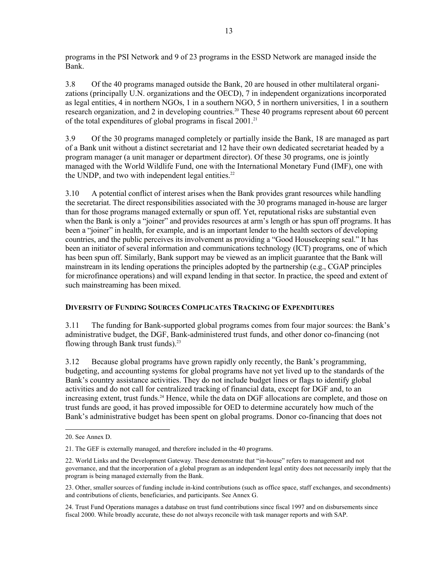<span id="page-30-0"></span>programs in the PSI Network and 9 of 23 programs in the ESSD Network are managed inside the Bank.

3.8 Of the 40 programs managed outside the Bank, 20 are housed in other multilateral organizations (principally U.N. organizations and the OECD), 7 in independent organizations incorporated as legal entities, 4 in northern NGOs, 1 in a southern NGO, 5 in northern universities, 1 in a southern research organization, and 2 in developing countries.<sup>20</sup> These 40 programs represent about 60 percent of the total expenditures of global programs in fiscal 2001.<sup>[21](#page-30-2)</sup>

3.9 Of the 30 programs managed completely or partially inside the Bank, 18 are managed as part of a Bank unit without a distinct secretariat and 12 have their own dedicated secretariat headed by a program manager (a unit manager or department director). Of these 30 programs, one is jointly managed with the World Wildlife Fund, one with the International Monetary Fund (IMF), one with the UNDP, and two with independent legal entities. $22$ 

3.10 A potential conflict of interest arises when the Bank provides grant resources while handling the secretariat. The direct responsibilities associated with the 30 programs managed in-house are larger than for those programs managed externally or spun off. Yet, reputational risks are substantial even when the Bank is only a "joiner" and provides resources at arm's length or has spun off programs. It has been a "joiner" in health, for example, and is an important lender to the health sectors of developing countries, and the public perceives its involvement as providing a "Good Housekeeping seal." It has been an initiator of several information and communications technology (ICT) programs, one of which has been spun off. Similarly, Bank support may be viewed as an implicit guarantee that the Bank will mainstream in its lending operations the principles adopted by the partnership (e.g., CGAP principles for microfinance operations) and will expand lending in that sector. In practice, the speed and extent of such mainstreaming has been mixed.

# **DIVERSITY OF FUNDING SOURCES COMPLICATES TRACKING OF EXPENDITURES**

3.11 The funding for Bank-supported global programs comes from four major sources: the Bank's administrative budget, the DGF, Bank-administered trust funds, and other donor co-financing (not flowing through Bank trust funds)[.23](#page-30-4) 

3.12 Because global programs have grown rapidly only recently, the Bank's programming, budgeting, and accounting systems for global programs have not yet lived up to the standards of the Bank's country assistance activities. They do not include budget lines or flags to identify global activities and do not call for centralized tracking of financial data, except for DGF and, to an increasing extent, trust funds.<sup>24</sup> Hence, while the data on DGF allocations are complete, and those on trust funds are good, it has proved impossible for OED to determine accurately how much of the Bank's administrative budget has been spent on global programs. Donor co-financing that does not

<span id="page-30-1"></span> <sup>20.</sup> See Annex D.

<span id="page-30-2"></span><sup>21.</sup> The GEF is externally managed, and therefore included in the 40 programs.

<span id="page-30-3"></span><sup>22.</sup> World Links and the Development Gateway. These demonstrate that "in-house" refers to management and not governance, and that the incorporation of a global program as an independent legal entity does not necessarily imply that the program is being managed externally from the Bank.

<span id="page-30-4"></span><sup>23.</sup> Other, smaller sources of funding include in-kind contributions (such as office space, staff exchanges, and secondments) and contributions of clients, beneficiaries, and participants. See Annex G.

<span id="page-30-5"></span><sup>24.</sup> Trust Fund Operations manages a database on trust fund contributions since fiscal 1997 and on disbursements since fiscal 2000. While broadly accurate, these do not always reconcile with task manager reports and with SAP.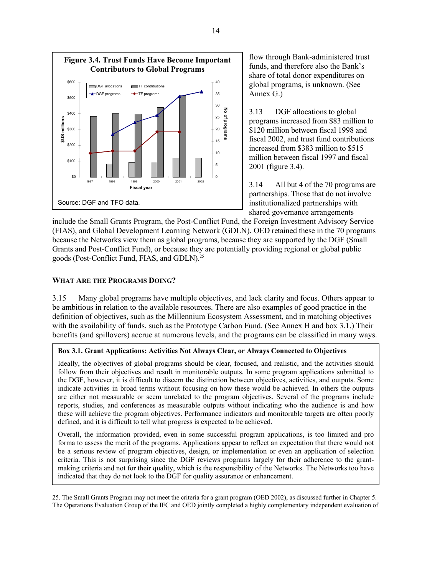<span id="page-31-1"></span><span id="page-31-0"></span>

flow through Bank-administered trust funds, and therefore also the Bank's share of total donor expenditures on global programs, is unknown. (See Annex G.)

3.13 DGF allocations to global programs increased from \$83 million to \$120 million between fiscal 1998 and fiscal 2002, and trust fund contributions increased from \$383 million to \$515 million between fiscal 1997 and fiscal 2001 (figure 3.4).

3.14 All but 4 of the 70 programs are partnerships. Those that do not involve institutionalized partnerships with shared governance arrangements

include the Small Grants Program, the Post-Conflict Fund, the Foreign Investment Advisory Service (FIAS), and Global Development Learning Network (GDLN). OED retained these in the 70 programs because the Networks view them as global programs, because they are supported by the DGF (Small Grants and Post-Conflict Fund), or because they are potentially providing regional or global public goods (Post-Conflict Fund, FIAS, and GDLN).<sup>25</sup>

#### **WHAT ARE THE PROGRAMS DOING?**

1

3.15 Many global programs have multiple objectives, and lack clarity and focus. Others appear to be ambitious in relation to the available resources. There are also examples of good practice in the definition of objectives, such as the Millennium Ecosystem Assessment, and in matching objectives with the availability of funds, such as the Prototype Carbon Fund. (See Annex H and box 3.1.) Their benefits (and spillovers) accrue at numerous levels, and the programs can be classified in many ways.

#### **Box 3.1. Grant Applications: Activities Not Always Clear, or Always Connected to Objectives**

Ideally, the objectives of global programs should be clear, focused, and realistic, and the activities should follow from their objectives and result in monitorable outputs. In some program applications submitted to the DGF, however, it is difficult to discern the distinction between objectives, activities, and outputs. Some indicate activities in broad terms without focusing on how these would be achieved. In others the outputs are either not measurable or seem unrelated to the program objectives. Several of the programs include reports, studies, and conferences as measurable outputs without indicating who the audience is and how these will achieve the program objectives. Performance indicators and monitorable targets are often poorly defined, and it is difficult to tell what progress is expected to be achieved.

Overall, the information provided, even in some successful program applications, is too limited and pro forma to assess the merit of the programs. Applications appear to reflect an expectation that there would not be a serious review of program objectives, design, or implementation or even an application of selection criteria. This is not surprising since the DGF reviews programs largely for their adherence to the grantmaking criteria and not for their quality, which is the responsibility of the Networks. The Networks too have indicated that they do not look to the DGF for quality assurance or enhancement.

<sup>25.</sup> The Small Grants Program may not meet the criteria for a grant program (OED 2002), as discussed further in Chapter 5. The Operations Evaluation Group of the IFC and OED jointly completed a highly complementary independent evaluation of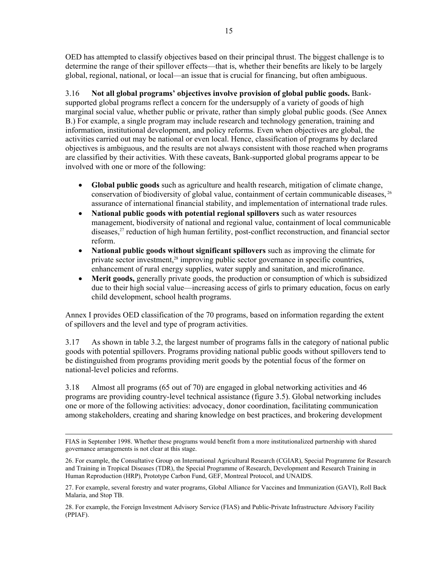OED has attempted to classify objectives based on their principal thrust. The biggest challenge is to determine the range of their spillover effects—that is, whether their benefits are likely to be largely global, regional, national, or local—an issue that is crucial for financing, but often ambiguous.

3.16 **Not all global programs' objectives involve provision of global public goods.** Banksupported global programs reflect a concern for the undersupply of a variety of goods of high marginal social value, whether public or private, rather than simply global public goods. (See Annex B.) For example, a single program may include research and technology generation, training and information, institutional development, and policy reforms. Even when objectives are global, the activities carried out may be national or even local. Hence, classification of programs by declared objectives is ambiguous, and the results are not always consistent with those reached when programs are classified by their activities. With these caveats, Bank-supported global programs appear to be involved with one or more of the following:

- **Global public goods** such as agriculture and health research, mitigation of climate change, conservation of biodiversity of global value, containment of certain communicable diseases, [26](#page-32-0) assurance of international financial stability, and implementation of international trade rules.
- **National public goods with potential regional spillovers** such as water resources management, biodiversity of national and regional value, containment of local communicable diseases,[27](#page-32-1) reduction of high human fertility, post-conflict reconstruction, and financial sector reform.
- **National public goods without significant spillovers** such as improving the climate for private sector investment,<sup>28</sup> improving public sector governance in specific countries, enhancement of rural energy supplies, water supply and sanitation, and microfinance.
- Merit goods, generally private goods, the production or consumption of which is subsidized due to their high social value—increasing access of girls to primary education, focus on early child development, school health programs.

Annex I provides OED classification of the 70 programs, based on information regarding the extent of spillovers and the level and type of program activities.

3.17 As shown in table 3.2, the largest number of programs falls in the category of national public goods with potential spillovers. Programs providing national public goods without spillovers tend to be distinguished from programs providing merit goods by the potential focus of the former on national-level policies and reforms.

3.18 Almost all programs (65 out of 70) are engaged in global networking activities and 46 programs are providing country-level technical assistance (figure 3.5). Global networking includes one or more of the following activities: advocacy, donor coordination, facilitating communication among stakeholders, creating and sharing knowledge on best practices, and brokering development

<span id="page-32-2"></span>28. For example, the Foreign Investment Advisory Service (FIAS) and Public-Private Infrastructure Advisory Facility (PPIAF).

FIAS in September 1998. Whether these programs would benefit from a more institutionalized partnership with shared governance arrangements is not clear at this stage.

<span id="page-32-0"></span><sup>26.</sup> For example, the Consultative Group on International Agricultural Research (CGIAR), Special Programme for Research and Training in Tropical Diseases (TDR), the Special Programme of Research, Development and Research Training in Human Reproduction (HRP), Prototype Carbon Fund, GEF, Montreal Protocol, and UNAIDS.

<span id="page-32-1"></span><sup>27.</sup> For example, several forestry and water programs, Global Alliance for Vaccines and Immunization (GAVI), Roll Back Malaria, and Stop TB.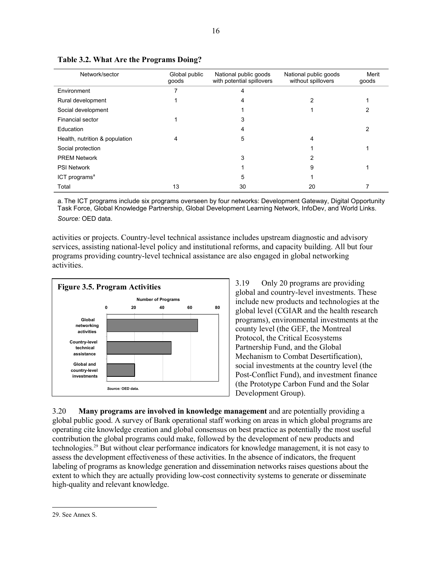| Network/sector                 | Global public<br>goods | National public goods<br>with potential spillovers | National public goods<br>without spillovers | Merit<br>goods |
|--------------------------------|------------------------|----------------------------------------------------|---------------------------------------------|----------------|
| Environment                    |                        |                                                    |                                             |                |
| Rural development              |                        | 4                                                  | 2                                           |                |
| Social development             |                        |                                                    |                                             |                |
| Financial sector               |                        | 3                                                  |                                             |                |
| Education                      |                        |                                                    |                                             | 2              |
| Health, nutrition & population | 4                      | 5                                                  | 4                                           |                |
| Social protection              |                        |                                                    |                                             |                |
| <b>PREM Network</b>            |                        | 3                                                  |                                             |                |
| <b>PSI Network</b>             |                        |                                                    | 9                                           |                |
| ICT programs <sup>a</sup>      |                        | 5                                                  |                                             |                |
| Total                          | 13                     | 30                                                 | 20                                          |                |

**Table 3.2. What Are the Programs Doing?** 

a. The ICT programs include six programs overseen by four networks: Development Gateway, Digital Opportunity Task Force, Global Knowledge Partnership, Global Development Learning Network, InfoDev, and World Links. *Source:* OED data.

activities or projects. Country-level technical assistance includes upstream diagnostic and advisory services, assisting national-level policy and institutional reforms, and capacity building. All but four programs providing country-level technical assistance are also engaged in global networking activities.



3.19 Only 20 programs are providing global and country-level investments. These include new products and technologies at the global level (CGIAR and the health research programs), environmental investments at the county level (the GEF, the Montreal Protocol, the Critical Ecosystems Partnership Fund, and the Global Mechanism to Combat Desertification), social investments at the country level (the Post-Conflict Fund), and investment finance (the Prototype Carbon Fund and the Solar Development Group).

3.20 **Many programs are involved in knowledge management** and are potentially providing a global public good. A survey of Bank operational staff working on areas in which global programs are operating cite knowledge creation and global consensus on best practice as potentially the most useful contribution the global programs could make, followed by the development of new products and technologies[.29](#page-33-0) But without clear performance indicators for knowledge management, it is not easy to assess the development effectiveness of these activities. In the absence of indicators, the frequent labeling of programs as knowledge generation and dissemination networks raises questions about the extent to which they are actually providing low-cost connectivity systems to generate or disseminate high-quality and relevant knowledge.

<span id="page-33-0"></span> <sup>29.</sup> See Annex S.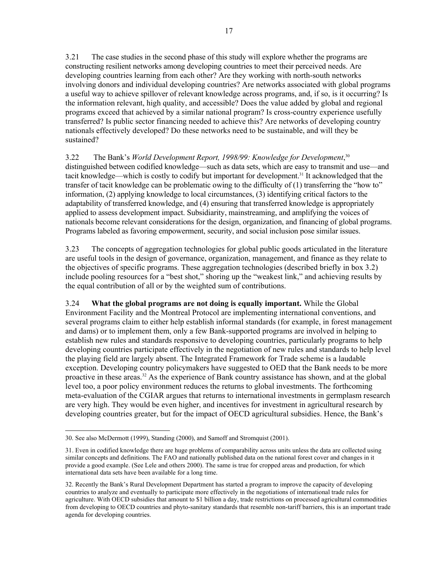3.21 The case studies in the second phase of this study will explore whether the programs are constructing resilient networks among developing countries to meet their perceived needs. Are developing countries learning from each other? Are they working with north-south networks involving donors and individual developing countries? Are networks associated with global programs a useful way to achieve spillover of relevant knowledge across programs, and, if so, is it occurring? Is the information relevant, high quality, and accessible? Does the value added by global and regional programs exceed that achieved by a similar national program? Is cross-country experience usefully transferred? Is public sector financing needed to achieve this? Are networks of developing country nationals effectively developed? Do these networks need to be sustainable, and will they be sustained?

3.22 The Bank's *World Development Report, 1998/99: Knowledge for Development*, [30](#page-34-0) distinguished between codified knowledge—such as data sets, which are easy to transmit and use—and tacit knowledge—which is costly to codify but important for development.[31 I](#page-34-1)t acknowledged that the transfer of tacit knowledge can be problematic owing to the difficulty of (1) transferring the "how to" information, (2) applying knowledge to local circumstances, (3) identifying critical factors to the adaptability of transferred knowledge, and (4) ensuring that transferred knowledge is appropriately applied to assess development impact. Subsidiarity, mainstreaming, and amplifying the voices of nationals become relevant considerations for the design, organization, and financing of global programs. Programs labeled as favoring empowerment, security, and social inclusion pose similar issues.

3.23 The concepts of aggregation technologies for global public goods articulated in the literature are useful tools in the design of governance, organization, management, and finance as they relate to the objectives of specific programs. These aggregation technologies (described briefly in box 3.2) include pooling resources for a "best shot," shoring up the "weakest link," and achieving results by the equal contribution of all or by the weighted sum of contributions.

3.24 **What the global programs are not doing is equally important.** While the Global Environment Facility and the Montreal Protocol are implementing international conventions, and several programs claim to either help establish informal standards (for example, in forest management and dams) or to implement them, only a few Bank-supported programs are involved in helping to establish new rules and standards responsive to developing countries, particularly programs to help developing countries participate effectively in the negotiation of new rules and standards to help level the playing field are largely absent. The Integrated Framework for Trade scheme is a laudable exception. Developing country policymakers have suggested to OED that the Bank needs to be more proactive in these areas.[32](#page-34-2) As the experience of Bank country assistance has shown, and at the global level too, a poor policy environment reduces the returns to global investments. The forthcoming meta-evaluation of the CGIAR argues that returns to international investments in germplasm research are very high. They would be even higher, and incentives for investment in agricultural research by developing countries greater, but for the impact of OECD agricultural subsidies. Hence, the Bank's

<span id="page-34-0"></span> <sup>30.</sup> See also McDermott (1999), Standing (2000), and Samoff and Stromquist (2001).

<span id="page-34-1"></span><sup>31.</sup> Even in codified knowledge there are huge problems of comparability across units unless the data are collected using similar concepts and definitions. The FAO and nationally published data on the national forest cover and changes in it provide a good example. (See Lele and others 2000). The same is true for cropped areas and production, for which international data sets have been available for a long time.

<span id="page-34-2"></span><sup>32.</sup> Recently the Bank's Rural Development Department has started a program to improve the capacity of developing countries to analyze and eventually to participate more effectively in the negotiations of international trade rules for agriculture. With OECD subsidies that amount to \$1 billion a day, trade restrictions on processed agricultural commodities from developing to OECD countries and phyto-sanitary standards that resemble non-tariff barriers, this is an important trade agenda for developing countries.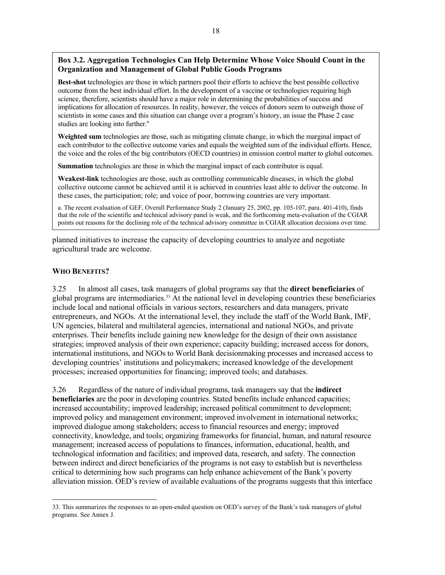### <span id="page-35-0"></span>**Box 3.2. Aggregation Technologies Can Help Determine Whose Voice Should Count in the Organization and Management of Global Public Goods Programs**

**Best-shot** technologies are those in which partners pool their efforts to achieve the best possible collective outcome from the best individual effort. In the development of a vaccine or technologies requiring high science, therefore, scientists should have a major role in determining the probabilities of success and implications for allocation of resources. In reality, however, the voices of donors seem to outweigh those of scientists in some cases and this situation can change over a program's history, an issue the Phase 2 case studies are looking into further.<sup>a</sup>

**Weighted sum** technologies are those, such as mitigating climate change, in which the marginal impact of each contributor to the collective outcome varies and equals the weighted sum of the individual efforts. Hence, the voice and the roles of the big contributors (OECD countries) in emission control matter to global outcomes.

**Summation** technologies are those in which the marginal impact of each contributor is equal.

**Weakest-link** technologies are those, such as controlling communicable diseases, in which the global collective outcome cannot be achieved until it is achieved in countries least able to deliver the outcome. In these cases, the participation; role; and voice of poor, borrowing countries are very important.

a. The recent evaluation of GEF, Overall Performance Study 2 (January 25, 2002, pp. 105-107, para. 401-410), finds that the role of the scientific and technical advisory panel is weak, and the forthcoming meta-evaluation of the CGIAR points out reasons for the declining role of the technical advisory committee in CGIAR allocation decisions over time.

planned initiatives to increase the capacity of developing countries to analyze and negotiate agricultural trade are welcome.

## **WHO BENEFITS?**

3.25 In almost all cases, task managers of global programs say that the **direct beneficiaries** of global programs are intermediaries.<sup>33</sup> At the national level in developing countries these beneficiaries include local and national officials in various sectors, researchers and data managers, private entrepreneurs, and NGOs. At the international level, they include the staff of the World Bank, IMF, UN agencies, bilateral and multilateral agencies, international and national NGOs, and private enterprises. Their benefits include gaining new knowledge for the design of their own assistance strategies; improved analysis of their own experience; capacity building; increased access for donors, international institutions, and NGOs to World Bank decisionmaking processes and increased access to developing countries' institutions and policymakers; increased knowledge of the development processes; increased opportunities for financing; improved tools; and databases.

3.26 Regardless of the nature of individual programs, task managers say that the **indirect beneficiaries** are the poor in developing countries. Stated benefits include enhanced capacities; increased accountability; improved leadership; increased political commitment to development; improved policy and management environment; improved involvement in international networks; improved dialogue among stakeholders; access to financial resources and energy; improved connectivity, knowledge, and tools; organizing frameworks for financial, human, and natural resource management; increased access of populations to finances, information, educational, health, and technological information and facilities; and improved data, research, and safety. The connection between indirect and direct beneficiaries of the programs is not easy to establish but is nevertheless critical to determining how such programs can help enhance achievement of the Bank's poverty alleviation mission. OED's review of available evaluations of the programs suggests that this interface

<span id="page-35-1"></span> <sup>33.</sup> This summarizes the responses to an open-ended question on OED's survey of the Bank's task managers of global programs. See Annex J.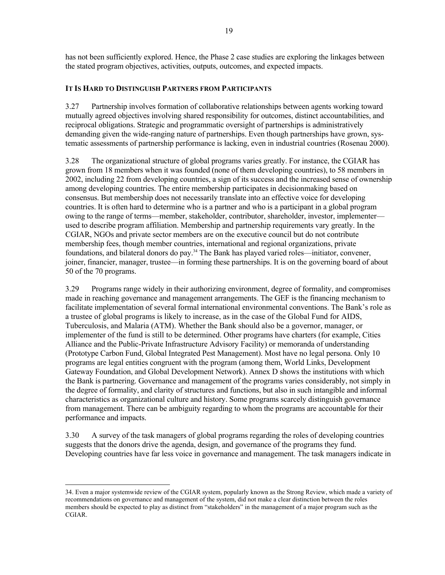has not been sufficiently explored. Hence, the Phase 2 case studies are exploring the linkages between the stated program objectives, activities, outputs, outcomes, and expected impacts.

#### **IT IS HARD TO DISTINGUISH PARTNERS FROM PARTICIPANTS**

3.27 Partnership involves formation of collaborative relationships between agents working toward mutually agreed objectives involving shared responsibility for outcomes, distinct accountabilities, and reciprocal obligations. Strategic and programmatic oversight of partnerships is administratively demanding given the wide-ranging nature of partnerships. Even though partnerships have grown, systematic assessments of partnership performance is lacking, even in industrial countries (Rosenau 2000).

3.28 The organizational structure of global programs varies greatly. For instance, the CGIAR has grown from 18 members when it was founded (none of them developing countries), to 58 members in 2002, including 22 from developing countries, a sign of its success and the increased sense of ownership among developing countries. The entire membership participates in decisionmaking based on consensus. But membership does not necessarily translate into an effective voice for developing countries. It is often hard to determine who is a partner and who is a participant in a global program owing to the range of terms—member, stakeholder, contributor, shareholder, investor, implementer used to describe program affiliation. Membership and partnership requirements vary greatly. In the CGIAR, NGOs and private sector members are on the executive council but do not contribute membership fees, though member countries, international and regional organizations, private foundations, and bilateral donors do pay. [34](#page-36-0) The Bank has played varied roles—initiator, convener, joiner, financier, manager, trustee—in forming these partnerships. It is on the governing board of about 50 of the 70 programs.

3.29 Programs range widely in their authorizing environment, degree of formality, and compromises made in reaching governance and management arrangements. The GEF is the financing mechanism to facilitate implementation of several formal international environmental conventions. The Bank's role as a trustee of global programs is likely to increase, as in the case of the Global Fund for AIDS, Tuberculosis, and Malaria (ATM). Whether the Bank should also be a governor, manager, or implementer of the fund is still to be determined. Other programs have charters (for example, Cities Alliance and the Public-Private Infrastructure Advisory Facility) or memoranda of understanding (Prototype Carbon Fund, Global Integrated Pest Management). Most have no legal persona. Only 10 programs are legal entities congruent with the program (among them, World Links, Development Gateway Foundation, and Global Development Network). Annex D shows the institutions with which the Bank is partnering. Governance and management of the programs varies considerably, not simply in the degree of formality, and clarity of structures and functions, but also in such intangible and informal characteristics as organizational culture and history. Some programs scarcely distinguish governance from management. There can be ambiguity regarding to whom the programs are accountable for their performance and impacts.

3.30 A survey of the task managers of global programs regarding the roles of developing countries suggests that the donors drive the agenda, design, and governance of the programs they fund. Developing countries have far less voice in governance and management. The task managers indicate in

<span id="page-36-0"></span> <sup>34.</sup> Even a major systemwide review of the CGIAR system, popularly known as the Strong Review, which made a variety of recommendations on governance and management of the system, did not make a clear distinction between the roles members should be expected to play as distinct from "stakeholders" in the management of a major program such as the CGIAR.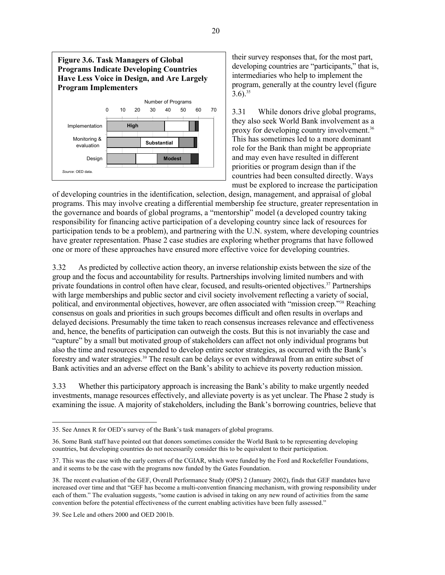

their survey responses that, for the most part, developing countries are "participants," that is, intermediaries who help to implement the program, generally at the country level (figure  $3.6$ ).<sup>35</sup>

3.31 While donors drive global programs, they also seek World Bank involvement as a proxy for developing country involvement.[36](#page-37-1) This has sometimes led to a more dominant role for the Bank than might be appropriate and may even have resulted in different priorities or program design than if the countries had been consulted directly. Ways must be explored to increase the participation

of developing countries in the identification, selection, design, management, and appraisal of global programs. This may involve creating a differential membership fee structure, greater representation in the governance and boards of global programs, a "mentorship" model (a developed country taking responsibility for financing active participation of a developing country since lack of resources for participation tends to be a problem), and partnering with the U.N. system, where developing countries have greater representation. Phase 2 case studies are exploring whether programs that have followed one or more of these approaches have ensured more effective voice for developing countries.

3.32 As predicted by collective action theory, an inverse relationship exists between the size of the group and the focus and accountability for results. Partnerships involving limited numbers and with private foundations in control often have clear, focused, and results-oriented objectives.[37](#page-37-2) Partnerships with large memberships and public sector and civil society involvement reflecting a variety of social, political, and environmental objectives, however, are often associated with "mission creep."[38](#page-37-3) Reaching consensus on goals and priorities in such groups becomes difficult and often results in overlaps and delayed decisions. Presumably the time taken to reach consensus increases relevance and effectiveness and, hence, the benefits of participation can outweigh the costs. But this is not invariably the case and "capture" by a small but motivated group of stakeholders can affect not only individual programs but also the time and resources expended to develop entire sector strategies, as occurred with the Bank's forestry and water strategies[.39](#page-37-4) The result can be delays or even withdrawal from an entire subset of Bank activities and an adverse effect on the Bank's ability to achieve its poverty reduction mission.

3.33 Whether this participatory approach is increasing the Bank's ability to make urgently needed investments, manage resources effectively, and alleviate poverty is as yet unclear. The Phase 2 study is examining the issue. A majority of stakeholders, including the Bank's borrowing countries, believe that

<span id="page-37-0"></span> <sup>35.</sup> See Annex R for OED's survey of the Bank's task managers of global programs.

<span id="page-37-1"></span><sup>36.</sup> Some Bank staff have pointed out that donors sometimes consider the World Bank to be representing developing countries, but developing countries do not necessarily consider this to be equivalent to their participation.

<span id="page-37-2"></span><sup>37.</sup> This was the case with the early centers of the CGIAR, which were funded by the Ford and Rockefeller Foundations, and it seems to be the case with the programs now funded by the Gates Foundation.

<span id="page-37-3"></span><sup>38.</sup> The recent evaluation of the GEF, Overall Performance Study (OPS) 2 (January 2002), finds that GEF mandates have increased over time and that "GEF has become a multi-convention financing mechanism, with growing responsibility under each of them." The evaluation suggests, "some caution is advised in taking on any new round of activities from the same convention before the potential effectiveness of the current enabling activities have been fully assessed."

<span id="page-37-4"></span><sup>39.</sup> See Lele and others 2000 and OED 2001b.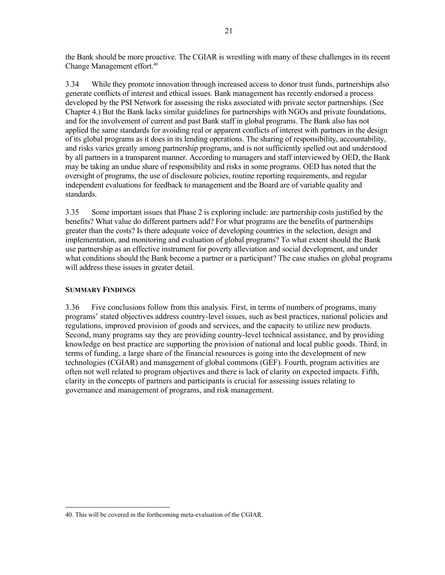the Bank should be more proactive. The CGIAR is wrestling with many of these challenges in its recent Change Management effort. [40](#page-38-0)

3.34 While they promote innovation through increased access to donor trust funds, partnerships also generate conflicts of interest and ethical issues. Bank management has recently endorsed a process developed by the PSI Network for assessing the risks associated with private sector partnerships. (See Chapter 4.) But the Bank lacks similar guidelines for partnerships with NGOs and private foundations, and for the involvement of current and past Bank staff in global programs. The Bank also has not applied the same standards for avoiding real or apparent conflicts of interest with partners in the design of its global programs as it does in its lending operations. The sharing of responsibility, accountability, and risks varies greatly among partnership programs, and is not sufficiently spelled out and understood by all partners in a transparent manner. According to managers and staff interviewed by OED, the Bank may be taking an undue share of responsibility and risks in some programs. OED has noted that the oversight of programs, the use of disclosure policies, routine reporting requirements, and regular independent evaluations for feedback to management and the Board are of variable quality and standards.

3.35 Some important issues that Phase 2 is exploring include: are partnership costs justified by the benefits? What value do different partners add? For what programs are the benefits of partnerships greater than the costs? Is there adequate voice of developing countries in the selection, design and implementation, and monitoring and evaluation of global programs? To what extent should the Bank use partnership as an effective instrument for poverty alleviation and social development, and under what conditions should the Bank become a partner or a participant? The case studies on global programs will address these issues in greater detail.

#### **SUMMARY FINDINGS**

3.36 Five conclusions follow from this analysis. First, in terms of numbers of programs, many programs' stated objectives address country-level issues, such as best practices, national policies and regulations, improved provision of goods and services, and the capacity to utilize new products. Second, many programs say they are providing country-level technical assistance, and by providing knowledge on best practice are supporting the provision of national and local public goods. Third, in terms of funding, a large share of the financial resources is going into the development of new technologies (CGIAR) and management of global commons (GEF). Fourth, program activities are often not well related to program objectives and there is lack of clarity on expected impacts. Fifth, clarity in the concepts of partners and participants is crucial for assessing issues relating to governance and management of programs, and risk management.

<span id="page-38-0"></span> <sup>40.</sup> This will be covered in the forthcoming meta-evaluation of the CGIAR.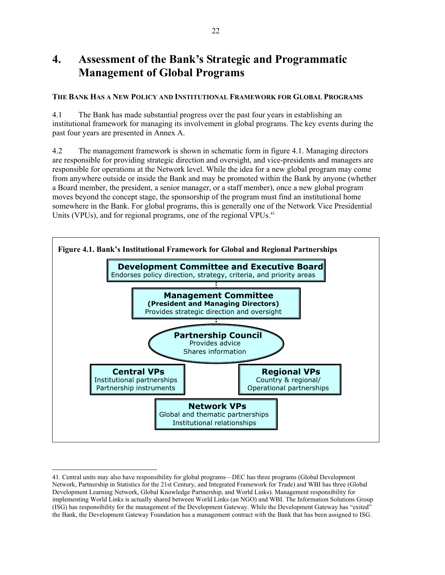# **4. Assessment of the Bank's Strategic and Programmatic Management of Global Programs**

## **THE BANK HAS A NEW POLICY AND INSTITUTIONAL FRAMEWORK FOR GLOBAL PROGRAMS**

4.1 The Bank has made substantial progress over the past four years in establishing an institutional framework for managing its involvement in global programs. The key events during the past four years are presented in Annex A.

4.2 The management framework is shown in schematic form in figure 4.1. Managing directors are responsible for providing strategic direction and oversight, and vice-presidents and managers are responsible for operations at the Network level. While the idea for a new global program may come from anywhere outside or inside the Bank and may be promoted within the Bank by anyone (whether a Board member, the president, a senior manager, or a staff member), once a new global program moves beyond the concept stage, the sponsorship of the program must find an institutional home somewhere in the Bank. For global programs, this is generally one of the Network Vice Presidential Units (VPUs), and for regional programs, one of the regional VPUs.<sup>41</sup>



<span id="page-39-0"></span> <sup>41.</sup> Central units may also have responsibility for global programs—DEC has three programs (Global Development Network, Partnership in Statistics for the 21st Century, and Integrated Framework for Trade) and WBI has three (Global Development Learning Network, Global Knowledge Partnership, and World Links). Management responsibility for implementing World Links is actually shared between World Links (an NGO) and WBI. The Information Solutions Group (ISG) has responsibility for the management of the Development Gateway. While the Development Gateway has "exited" the Bank, the Development Gateway Foundation has a management contract with the Bank that has been assigned to ISG.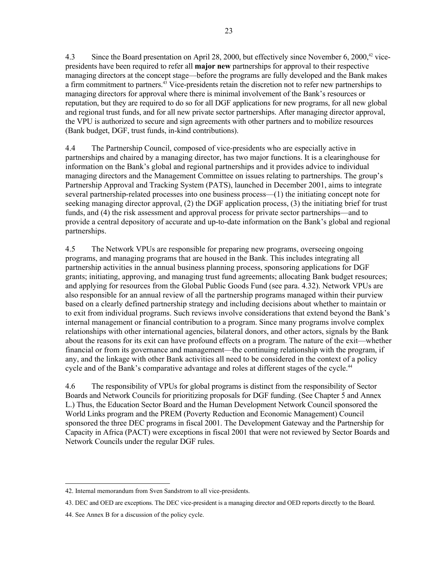4.3 Since the Board presentation on April 28, 2000, but effectively since November 6, 2000,<sup>42</sup> vicepresidents have been required to refer all **major new** partnerships for approval to their respective managing directors at the concept stage—before the programs are fully developed and the Bank makes a firm commitment to partners. [43](#page-40-1) Vice-presidents retain the discretion not to refer new partnerships to managing directors for approval where there is minimal involvement of the Bank's resources or reputation, but they are required to do so for all DGF applications for new programs, for all new global and regional trust funds, and for all new private sector partnerships. After managing director approval, the VPU is authorized to secure and sign agreements with other partners and to mobilize resources (Bank budget, DGF, trust funds, in-kind contributions).

4.4 The Partnership Council, composed of vice-presidents who are especially active in partnerships and chaired by a managing director, has two major functions. It is a clearinghouse for information on the Bank's global and regional partnerships and it provides advice to individual managing directors and the Management Committee on issues relating to partnerships. The group's Partnership Approval and Tracking System (PATS), launched in December 2001, aims to integrate several partnership-related processes into one business process—(1) the initiating concept note for seeking managing director approval, (2) the DGF application process, (3) the initiating brief for trust funds, and (4) the risk assessment and approval process for private sector partnerships—and to provide a central depository of accurate and up-to-date information on the Bank's global and regional partnerships.

4.5 The Network VPUs are responsible for preparing new programs, overseeing ongoing programs, and managing programs that are housed in the Bank. This includes integrating all partnership activities in the annual business planning process, sponsoring applications for DGF grants; initiating, approving, and managing trust fund agreements; allocating Bank budget resources; and applying for resources from the Global Public Goods Fund (see para. 4.32). Network VPUs are also responsible for an annual review of all the partnership programs managed within their purview based on a clearly defined partnership strategy and including decisions about whether to maintain or to exit from individual programs. Such reviews involve considerations that extend beyond the Bank's internal management or financial contribution to a program. Since many programs involve complex relationships with other international agencies, bilateral donors, and other actors, signals by the Bank about the reasons for its exit can have profound effects on a program. The nature of the exit—whether financial or from its governance and management—the continuing relationship with the program, if any, and the linkage with other Bank activities all need to be considered in the context of a policy cycle and of the Bank's comparative advantage and roles at different stages of the cycle.<sup>44</sup>

4.6 The responsibility of VPUs for global programs is distinct from the responsibility of Sector Boards and Network Councils for prioritizing proposals for DGF funding. (See Chapter 5 and Annex L.) Thus, the Education Sector Board and the Human Development Network Council sponsored the World Links program and the PREM (Poverty Reduction and Economic Management) Council sponsored the three DEC programs in fiscal 2001. The Development Gateway and the Partnership for Capacity in Africa (PACT) were exceptions in fiscal 2001 that were not reviewed by Sector Boards and Network Councils under the regular DGF rules.

<span id="page-40-0"></span> <sup>42.</sup> Internal memorandum from Sven Sandstrom to all vice-presidents.

<span id="page-40-1"></span><sup>43.</sup> DEC and OED are exceptions. The DEC vice-president is a managing director and OED reports directly to the Board.

<span id="page-40-2"></span><sup>44.</sup> See Annex B for a discussion of the policy cycle.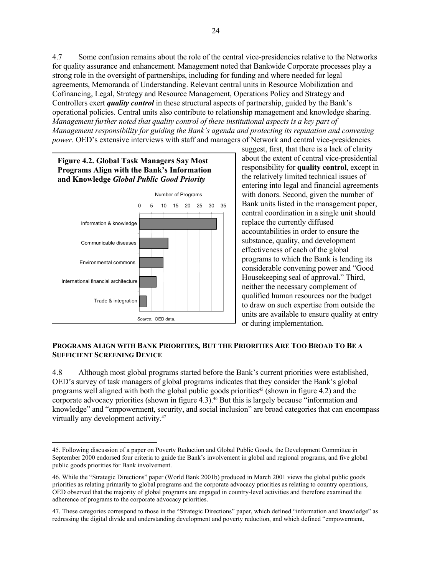<span id="page-41-2"></span>4.7 Some confusion remains about the role of the central vice-presidencies relative to the Networks for quality assurance and enhancement. Management noted that Bankwide Corporate processes play a strong role in the oversight of partnerships, including for funding and where needed for legal agreements, Memoranda of Understanding. Relevant central units in Resource Mobilization and Cofinancing, Legal, Strategy and Resource Management, Operations Policy and Strategy and Controllers exert *quality control* in these structural aspects of partnership, guided by the Bank's operational policies. Central units also contribute to relationship management and knowledge sharing. *Management further noted that quality control of these institutional aspects is a key part of Management responsibility for guiding the Bank's agenda and protecting its reputation and convening power*. OED's extensive interviews with staff and managers of Network and central vice-presidencies



suggest, first, that there is a lack of clarity about the extent of central vice-presidential responsibility for **quality control**, except in the relatively limited technical issues of entering into legal and financial agreements with donors. Second, given the number of Bank units listed in the management paper, central coordination in a single unit should replace the currently diffused accountabilities in order to ensure the substance, quality, and development effectiveness of each of the global programs to which the Bank is lending its considerable convening power and "Good Housekeeping seal of approval." Third, neither the necessary complement of qualified human resources nor the budget to draw on such expertise from outside the units are available to ensure quality at entry or during implementation.

#### **PROGRAMS ALIGN WITH BANK PRIORITIES, BUT THE PRIORITIES ARE TOO BROAD TO BE A SUFFICIENT SCREENING DEVICE**

4.8 Although most global programs started before the Bank's current priorities were established, OED's survey of task managers of global programs indicates that they consider the Bank's global programs well aligned with both the global public goods priorities<sup>45</sup> (shown in figure 4.2) and the corporate advocacy priorities (shown in figure 4.3).<sup>46</sup> But this is largely because "information and knowledge" and "empowerment, security, and social inclusion" are broad categories that can encompass virtually any development activity. [47](#page-41-2) 

<span id="page-41-0"></span> <sup>45.</sup> Following discussion of a paper on Poverty Reduction and Global Public Goods, the Development Committee in September 2000 endorsed four criteria to guide the Bank's involvement in global and regional programs, and five global public goods priorities for Bank involvement.

<span id="page-41-1"></span><sup>46.</sup> While the "Strategic Directions" paper (World Bank 2001b) produced in March 2001 views the global public goods priorities as relating primarily to global programs and the corporate advocacy priorities as relating to country operations, OED observed that the majority of global programs are engaged in country-level activities and therefore examined the adherence of programs to the corporate advocacy priorities.

<sup>47.</sup> These categories correspond to those in the "Strategic Directions" paper, which defined "information and knowledge" as redressing the digital divide and understanding development and poverty reduction, and which defined "empowerment,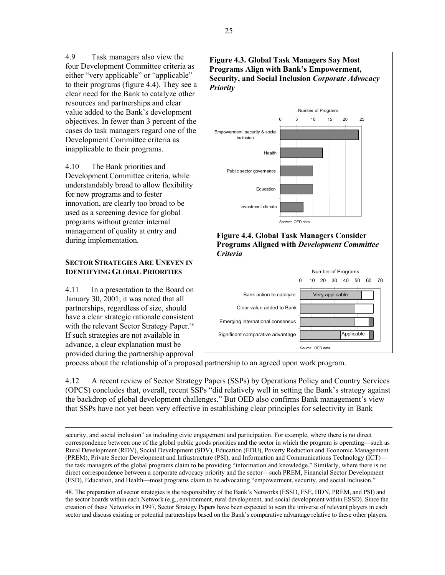4.9 Task managers also view the four Development Committee criteria as either "very applicable" or "applicable" to their programs (figure 4.4). They see a clear need for the Bank to catalyze other resources and partnerships and clear value added to the Bank's development objectives. In fewer than 3 percent of the cases do task managers regard one of the Development Committee criteria as inapplicable to their programs.

4.10 The Bank priorities and Development Committee criteria, while understandably broad to allow flexibility for new programs and to foster innovation, are clearly too broad to be used as a screening device for global programs without greater internal management of quality at entry and during implementation.

#### **SECTOR STRATEGIES ARE UNEVEN IN IDENTIFYING GLOBAL PRIORITIES**

4.11 In a presentation to the Board on January 30, 2001, it was noted that all partnerships, regardless of size, should have a clear strategic rationale consistent with the relevant Sector Strategy Paper.<sup>[48](#page-42-0)</sup> If such strategies are not available in advance, a clear explanation must be provided during the partnership approval



 *Source:* OED data.

process about the relationship of a proposed partnership to an agreed upon work program.

4.12 A recent review of Sector Strategy Papers (SSPs) by Operations Policy and Country Services (OPCS) concludes that, overall, recent SSPs "did relatively well in setting the Bank's strategy against the backdrop of global development challenges." But OED also confirms Bank management's view that SSPs have not yet been very effective in establishing clear principles for selectivity in Bank

<span id="page-42-0"></span>48. The preparation of sector strategies is the responsibility of the Bank's Networks (ESSD, FSE, HDN, PREM, and PSI) and the sector boards within each Network (e.g., environment, rural development, and social development within ESSD). Since the creation of these Networks in 1997, Sector Strategy Papers have been expected to scan the universe of relevant players in each sector and discuss existing or potential partnerships based on the Bank's comparative advantage relative to these other players.

security, and social inclusion" as including civic engagement and participation. For example, where there is no direct correspondence between one of the global public goods priorities and the sector in which the program is operating—such as Rural Development (RDV), Social Development (SDV), Education (EDU), Poverty Reduction and Economic Management (PREM), Private Sector Development and Infrastructure (PSI), and Information and Communications Technology (ICT) the task managers of the global programs claim to be providing "information and knowledge." Similarly, where there is no direct correspondence between a corporate advocacy priority and the sector—such PREM, Financial Sector Development (FSD), Education, and Health—most programs claim to be advocating "empowerment, security, and social inclusion."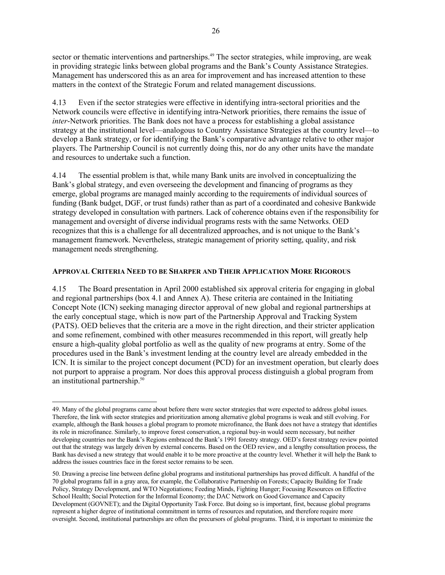<span id="page-43-1"></span>sector or thematic interventions and partnerships.<sup>49</sup> The sector strategies, while improving, are weak in providing strategic links between global programs and the Bank's County Assistance Strategies. Management has underscored this as an area for improvement and has increased attention to these matters in the context of the Strategic Forum and related management discussions.

4.13 Even if the sector strategies were effective in identifying intra-sectoral priorities and the Network councils were effective in identifying intra-Network priorities, there remains the issue of *inter*-Network priorities. The Bank does not have a process for establishing a global assistance strategy at the institutional level—analogous to Country Assistance Strategies at the country level—to develop a Bank strategy, or for identifying the Bank's comparative advantage relative to other major players. The Partnership Council is not currently doing this, nor do any other units have the mandate and resources to undertake such a function.

4.14 The essential problem is that, while many Bank units are involved in conceptualizing the Bank's global strategy, and even overseeing the development and financing of programs as they emerge, global programs are managed mainly according to the requirements of individual sources of funding (Bank budget, DGF, or trust funds) rather than as part of a coordinated and cohesive Bankwide strategy developed in consultation with partners. Lack of coherence obtains even if the responsibility for management and oversight of diverse individual programs rests with the same Networks. OED recognizes that this is a challenge for all decentralized approaches, and is not unique to the Bank's management framework. Nevertheless, strategic management of priority setting, quality, and risk management needs strengthening.

## **APPROVAL CRITERIA NEED TO BE SHARPER AND THEIR APPLICATION MORE RIGOROUS**

4.15 The Board presentation in April 2000 established six approval criteria for engaging in global and regional partnerships (box 4.1 and Annex A). These criteria are contained in the Initiating Concept Note (ICN) seeking managing director approval of new global and regional partnerships at the early conceptual stage, which is now part of the Partnership Approval and Tracking System (PATS). OED believes that the criteria are a move in the right direction, and their stricter application and some refinement, combined with other measures recommended in this report, will greatly help ensure a high-quality global portfolio as well as the quality of new programs at entry. Some of the procedures used in the Bank's investment lending at the country level are already embedded in the ICN. It is similar to the project concept document (PCD) for an investment operation, but clearly does not purport to appraise a program. Nor does this approval process distinguish a global program from an institutional partnership.[50](#page-43-1)

<span id="page-43-0"></span> $\overline{\phantom{a}}$ 49. Many of the global programs came about before there were sector strategies that were expected to address global issues. Therefore, the link with sector strategies and prioritization among alternative global programs is weak and still evolving. For example, although the Bank houses a global program to promote microfinance, the Bank does not have a strategy that identifies its role in microfinance. Similarly, to improve forest conservation, a regional buy-in would seem necessary, but neither developing countries nor the Bank's Regions embraced the Bank's 1991 forestry strategy. OED's forest strategy review pointed out that the strategy was largely driven by external concerns. Based on the OED review, and a lengthy consultation process, the Bank has devised a new strategy that would enable it to be more proactive at the country level. Whether it will help the Bank to address the issues countries face in the forest sector remains to be seen.

<sup>50.</sup> Drawing a precise line between define global programs and institutional partnerships has proved difficult. A handful of the 70 global programs fall in a gray area, for example, the Collaborative Partnership on Forests; Capacity Building for Trade Policy, Strategy Development, and WTO Negotiations; Feeding Minds, Fighting Hunger; Focusing Resources on Effective School Health; Social Protection for the Informal Economy; the DAC Network on Good Governance and Capacity Development (GOVNET); and the Digital Opportunity Task Force. But doing so is important, first, because global programs represent a higher degree of institutional commitment in terms of resources and reputation, and therefore require more oversight. Second, institutional partnerships are often the precursors of global programs. Third, it is important to minimize the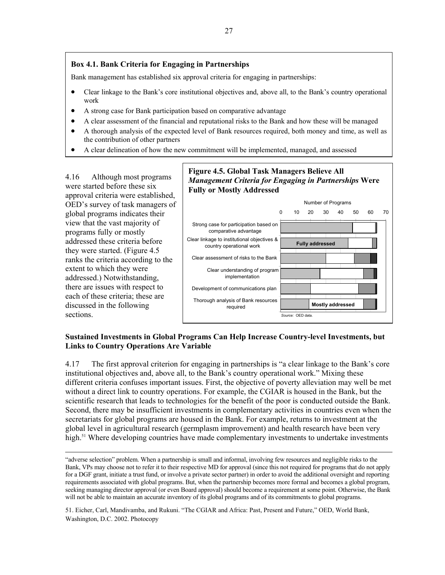### **Box 4.1. Bank Criteria for Engaging in Partnerships**

Bank management has established six approval criteria for engaging in partnerships:

- Clear linkage to the Bank's core institutional objectives and, above all, to the Bank's country operational work
- A strong case for Bank participation based on comparative advantage
- A clear assessment of the financial and reputational risks to the Bank and how these will be managed
- A thorough analysis of the expected level of Bank resources required, both money and time, as well as the contribution of other partners
- A clear delineation of how the new commitment will be implemented, managed, and assessed

4.16 Although most programs were started before these six approval criteria were established, OED's survey of task managers of global programs indicates their view that the vast majority of programs fully or mostly addressed these criteria before they were started. (Figure 4.5 ranks the criteria according to the extent to which they were addressed.) Notwithstanding, there are issues with respect to each of these criteria; these are discussed in the following sections.

# **Figure 4.5. Global Task Managers Believe All**  *Management Criteria for Engaging in Partnerships* **Were Fully or Mostly Addressed**



## **Sustained Investments in Global Programs Can Help Increase Country-level Investments, but Links to Country Operations Are Variable**

4.17 The first approval criterion for engaging in partnerships is "a clear linkage to the Bank's core institutional objectives and, above all, to the Bank's country operational work." Mixing these different criteria confuses important issues. First, the objective of poverty alleviation may well be met without a direct link to country operations. For example, the CGIAR is housed in the Bank, but the scientific research that leads to technologies for the benefit of the poor is conducted outside the Bank. Second, there may be insufficient investments in complementary activities in countries even when the secretariats for global programs are housed in the Bank. For example, returns to investment at the global level in agricultural research (germplasm improvement) and health research have been very high.<sup>51</sup> Where developing countries have made complementary investments to undertake investments

<span id="page-44-0"></span>51. Eicher, Carl, Mandivamba, and Rukuni. "The CGIAR and Africa: Past, Present and Future," OED, World Bank, Washington, D.C. 2002. Photocopy

 <sup>&</sup>quot;adverse selection" problem. When a partnership is small and informal, involving few resources and negligible risks to the Bank, VPs may choose not to refer it to their respective MD for approval (since this not required for programs that do not apply for a DGF grant, initiate a trust fund, or involve a private sector partner) in order to avoid the additional oversight and reporting requirements associated with global programs. But, when the partnership becomes more formal and becomes a global program, seeking managing director approval (or even Board approval) should become a requirement at some point. Otherwise, the Bank will not be able to maintain an accurate inventory of its global programs and of its commitments to global programs.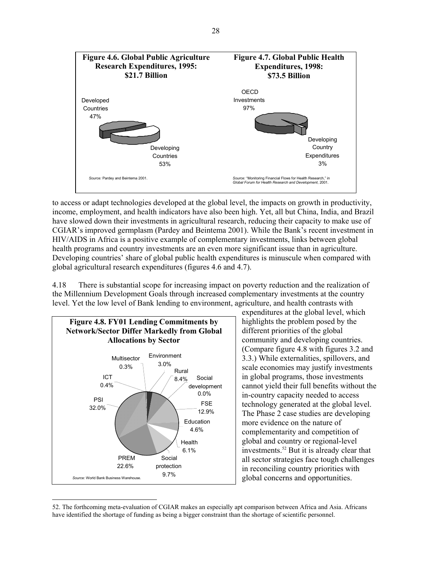

to access or adapt technologies developed at the global level, the impacts on growth in productivity, income, employment, and health indicators have also been high. Yet, all but China, India, and Brazil have slowed down their investments in agricultural research, reducing their capacity to make use of CGIAR's improved germplasm (Pardey and Beintema 2001). While the Bank's recent investment in HIV/AIDS in Africa is a positive example of complementary investments, links between global health programs and country investments are an even more significant issue than in agriculture. Developing countries' share of global public health expenditures is minuscule when compared with global agricultural research expenditures (figures 4.6 and 4.7).

4.18 There is substantial scope for increasing impact on poverty reduction and the realization of the Millennium Development Goals through increased complementary investments at the country level. Yet the low level of Bank lending to environment, agriculture, and health contrasts with



expenditures at the global level, which highlights the problem posed by the different priorities of the global community and developing countries. (Compare figure 4.8 with figures 3.2 and 3.3.) While externalities, spillovers, and scale economies may justify investments in global programs, those investments cannot yield their full benefits without the in-country capacity needed to access technology generated at the global level. The Phase 2 case studies are developing more evidence on the nature of complementarity and competition of global and country or regional-level investments.<sup>[52](#page-45-0)</sup> But it is already clear that all sector strategies face tough challenges in reconciling country priorities with global concerns and opportunities.

<span id="page-45-0"></span> <sup>52.</sup> The forthcoming meta-evaluation of CGIAR makes an especially apt comparison between Africa and Asia. Africans have identified the shortage of funding as being a bigger constraint than the shortage of scientific personnel.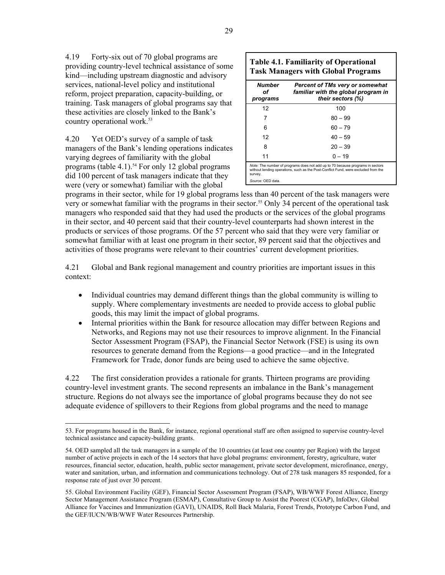4.19 Forty-six out of 70 global programs are providing country-level technical assistance of some kind—including upstream diagnostic and advisory services, national-level policy and institutional reform, project preparation, capacity-building, or training. Task managers of global programs say that these activities are closely linked to the Bank's country operational work.<sup>53</sup>

4.20 Yet OED's survey of a sample of task managers of the Bank's lending operations indicates varying degrees of familiarity with the global programs (table 4.1).<sup>54</sup> For only 12 global programs did 100 percent of task managers indicate that they were (very or somewhat) familiar with the global

| Number<br>оf<br>programs | <b>Percent of TMs very or somewhat</b><br>familiar with the global program in<br>their sectors (%) |
|--------------------------|----------------------------------------------------------------------------------------------------|
| 12                       | 100                                                                                                |
| 7                        | $80 - 99$                                                                                          |
| 6                        | $60 - 79$                                                                                          |
| 12                       | $40 - 59$                                                                                          |
| 8                        | $20 - 39$                                                                                          |
| 11                       | $0 - 19$                                                                                           |

programs in their sector, while for 19 global programs less than 40 percent of the task managers were very or somewhat familiar with the programs in their sector.<sup>55</sup> Only 34 percent of the operational task managers who responded said that they had used the products or the services of the global programs in their sector, and 40 percent said that their country-level counterparts had shown interest in the products or services of those programs. Of the 57 percent who said that they were very familiar or somewhat familiar with at least one program in their sector, 89 percent said that the objectives and activities of those programs were relevant to their countries' current development priorities.

4.21 Global and Bank regional management and country priorities are important issues in this context:

- Individual countries may demand different things than the global community is willing to supply. Where complementary investments are needed to provide access to global public goods, this may limit the impact of global programs.
- Internal priorities within the Bank for resource allocation may differ between Regions and Networks, and Regions may not use their resources to improve alignment. In the Financial Sector Assessment Program (FSAP), the Financial Sector Network (FSE) is using its own resources to generate demand from the Regions—a good practice—and in the Integrated Framework for Trade, donor funds are being used to achieve the same objective.

4.22 The first consideration provides a rationale for grants. Thirteen programs are providing country-level investment grants. The second represents an imbalance in the Bank's management structure. Regions do not always see the importance of global programs because they do not see adequate evidence of spillovers to their Regions from global programs and the need to manage

Г

<span id="page-46-0"></span> <sup>53.</sup> For programs housed in the Bank, for instance, regional operational staff are often assigned to supervise country-level technical assistance and capacity-building grants.

<span id="page-46-1"></span><sup>54.</sup> OED sampled all the task managers in a sample of the 10 countries (at least one country per Region) with the largest number of active projects in each of the 14 sectors that have global programs: environment, forestry, agriculture, water resources, financial sector, education, health, public sector management, private sector development, microfinance, energy, water and sanitation, urban, and information and communications technology. Out of 278 task managers 85 responded, for a response rate of just over 30 percent.

<span id="page-46-2"></span><sup>55.</sup> Global Environment Facility (GEF), Financial Sector Assessment Program (FSAP), WB/WWF Forest Alliance, Energy Sector Management Assistance Program (ESMAP), Consultative Group to Assist the Poorest (CGAP), InfoDev, Global Alliance for Vaccines and Immunization (GAVI), UNAIDS, Roll Back Malaria, Forest Trends, Prototype Carbon Fund, and the GEF/IUCN/WB/WWF Water Resources Partnership.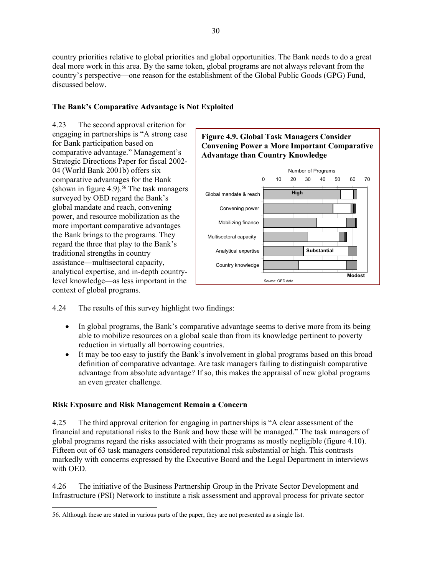country priorities relative to global priorities and global opportunities. The Bank needs to do a great deal more work in this area. By the same token, global programs are not always relevant from the country's perspective—one reason for the establishment of the Global Public Goods (GPG) Fund, discussed below.

## **The Bank's Comparative Advantage is Not Exploited**

4.23 The second approval criterion for engaging in partnerships is "A strong case for Bank participation based on comparative advantage." Management's Strategic Directions Paper for fiscal 2002- 04 (World Bank 2001b) offers six comparative advantages for the Bank (shown in figure 4.9).<sup>56</sup> The task managers surveyed by OED regard the Bank's global mandate and reach, convening power, and resource mobilization as the more important comparative advantages the Bank brings to the programs. They regard the three that play to the Bank's traditional strengths in country assistance—multisectoral capacity, analytical expertise, and in-depth countrylevel knowledge—as less important in the context of global programs.



4.24 The results of this survey highlight two findings:

- In global programs, the Bank's comparative advantage seems to derive more from its being able to mobilize resources on a global scale than from its knowledge pertinent to poverty reduction in virtually all borrowing countries.
- It may be too easy to justify the Bank's involvement in global programs based on this broad definition of comparative advantage. Are task managers failing to distinguish comparative advantage from absolute advantage? If so, this makes the appraisal of new global programs an even greater challenge.

#### **Risk Exposure and Risk Management Remain a Concern**

4.25 The third approval criterion for engaging in partnerships is "A clear assessment of the financial and reputational risks to the Bank and how these will be managed." The task managers of global programs regard the risks associated with their programs as mostly negligible (figure 4.10). Fifteen out of 63 task managers considered reputational risk substantial or high. This contrasts markedly with concerns expressed by the Executive Board and the Legal Department in interviews with OED.

4.26 The initiative of the Business Partnership Group in the Private Sector Development and Infrastructure (PSI) Network to institute a risk assessment and approval process for private sector

<span id="page-47-0"></span> <sup>56.</sup> Although these are stated in various parts of the paper, they are not presented as a single list.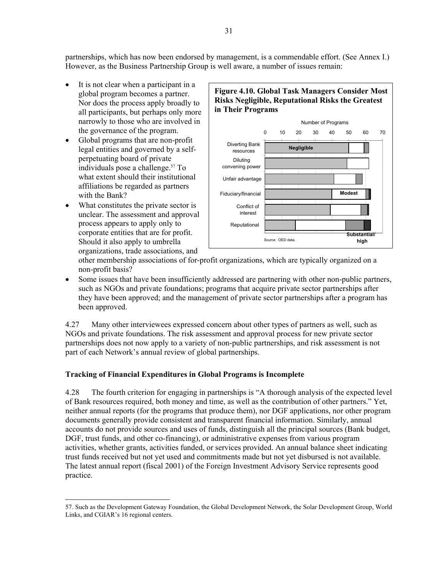partnerships, which has now been endorsed by management, is a commendable effort. (See Annex I.) However, as the Business Partnership Group is well aware, a number of issues remain:

- It is not clear when a participant in a global program becomes a partner. Nor does the process apply broadly to all participants, but perhaps only more narrowly to those who are involved in the governance of the program.
- Global programs that are non-profit legal entities and governed by a selfperpetuating board of private individuals pose a challenge.[57 T](#page-48-0)o what extent should their institutional affiliations be regarded as partners with the Bank?
- What constitutes the private sector is unclear. The assessment and approval process appears to apply only to corporate entities that are for profit. Should it also apply to umbrella organizations, trade associations, and



other membership associations of for-profit organizations, which are typically organized on a non-profit basis?

• Some issues that have been insufficiently addressed are partnering with other non-public partners, such as NGOs and private foundations; programs that acquire private sector partnerships after they have been approved; and the management of private sector partnerships after a program has been approved.

4.27 Many other interviewees expressed concern about other types of partners as well, such as NGOs and private foundations. The risk assessment and approval process for new private sector partnerships does not now apply to a variety of non-public partnerships, and risk assessment is not part of each Network's annual review of global partnerships.

# **Tracking of Financial Expenditures in Global Programs is Incomplete**

4.28 The fourth criterion for engaging in partnerships is "A thorough analysis of the expected level of Bank resources required, both money and time, as well as the contribution of other partners." Yet, neither annual reports (for the programs that produce them), nor DGF applications, nor other program documents generally provide consistent and transparent financial information. Similarly, annual accounts do not provide sources and uses of funds, distinguish all the principal sources (Bank budget, DGF, trust funds, and other co-financing), or administrative expenses from various program activities, whether grants, activities funded, or services provided. An annual balance sheet indicating trust funds received but not yet used and commitments made but not yet disbursed is not available. The latest annual report (fiscal 2001) of the Foreign Investment Advisory Service represents good practice.

<span id="page-48-0"></span> <sup>57.</sup> Such as the Development Gateway Foundation, the Global Development Network, the Solar Development Group, World Links, and CGIAR's 16 regional centers.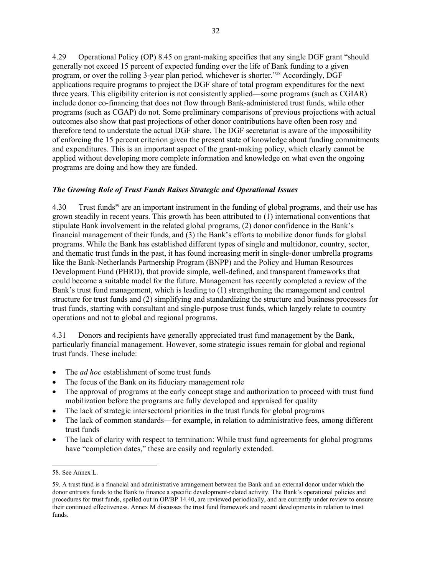4.29 Operational Policy (OP) 8.45 on grant-making specifies that any single DGF grant "should generally not exceed 15 percent of expected funding over the life of Bank funding to a given program, or over the rolling 3-year plan period, whichever is shorter.["58](#page-49-0) Accordingly, DGF applications require programs to project the DGF share of total program expenditures for the next three years. This eligibility criterion is not consistently applied—some programs (such as CGIAR) include donor co-financing that does not flow through Bank-administered trust funds, while other programs (such as CGAP) do not. Some preliminary comparisons of previous projections with actual outcomes also show that past projections of other donor contributions have often been rosy and therefore tend to understate the actual DGF share. The DGF secretariat is aware of the impossibility of enforcing the 15 percent criterion given the present state of knowledge about funding commitments and expenditures. This is an important aspect of the grant-making policy, which clearly cannot be applied without developing more complete information and knowledge on what even the ongoing programs are doing and how they are funded.

#### *The Growing Role of Trust Funds Raises Strategic and Operational Issues*

4.30 Trust funds<sup>59</sup> are an important instrument in the funding of global programs, and their use has grown steadily in recent years. This growth has been attributed to (1) international conventions that stipulate Bank involvement in the related global programs, (2) donor confidence in the Bank's financial management of their funds, and (3) the Bank's efforts to mobilize donor funds for global programs. While the Bank has established different types of single and multidonor, country, sector, and thematic trust funds in the past, it has found increasing merit in single-donor umbrella programs like the Bank-Netherlands Partnership Program (BNPP) and the Policy and Human Resources Development Fund (PHRD), that provide simple, well-defined, and transparent frameworks that could become a suitable model for the future. Management has recently completed a review of the Bank's trust fund management, which is leading to (1) strengthening the management and control structure for trust funds and (2) simplifying and standardizing the structure and business processes for trust funds, starting with consultant and single-purpose trust funds, which largely relate to country operations and not to global and regional programs.

4.31 Donors and recipients have generally appreciated trust fund management by the Bank, particularly financial management. However, some strategic issues remain for global and regional trust funds. These include:

- The *ad hoc* establishment of some trust funds
- The focus of the Bank on its fiduciary management role
- The approval of programs at the early concept stage and authorization to proceed with trust fund mobilization before the programs are fully developed and appraised for quality
- The lack of strategic intersectoral priorities in the trust funds for global programs
- The lack of common standards—for example, in relation to administrative fees, among different trust funds
- The lack of clarity with respect to termination: While trust fund agreements for global programs have "completion dates," these are easily and regularly extended.

l

<span id="page-49-0"></span><sup>58.</sup> See Annex L.

<span id="page-49-1"></span><sup>59.</sup> A trust fund is a financial and administrative arrangement between the Bank and an external donor under which the donor entrusts funds to the Bank to finance a specific development-related activity. The Bank's operational policies and procedures for trust funds, spelled out in OP/BP 14.40, are reviewed periodically, and are currently under review to ensure their continued effectiveness. Annex M discusses the trust fund framework and recent developments in relation to trust funds.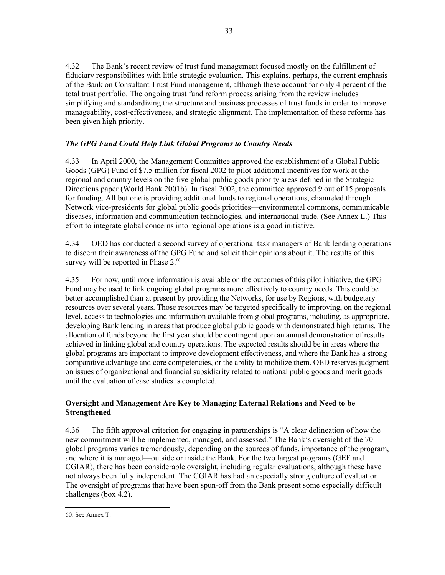4.32 The Bank's recent review of trust fund management focused mostly on the fulfillment of fiduciary responsibilities with little strategic evaluation. This explains, perhaps, the current emphasis of the Bank on Consultant Trust Fund management, although these account for only 4 percent of the total trust portfolio. The ongoing trust fund reform process arising from the review includes simplifying and standardizing the structure and business processes of trust funds in order to improve manageability, cost-effectiveness, and strategic alignment. The implementation of these reforms has been given high priority.

# *The GPG Fund Could Help Link Global Programs to Country Needs*

4.33 In April 2000, the Management Committee approved the establishment of a Global Public Goods (GPG) Fund of \$7.5 million for fiscal 2002 to pilot additional incentives for work at the regional and country levels on the five global public goods priority areas defined in the Strategic Directions paper (World Bank 2001b). In fiscal 2002, the committee approved 9 out of 15 proposals for funding. All but one is providing additional funds to regional operations, channeled through Network vice-presidents for global public goods priorities—environmental commons, communicable diseases, information and communication technologies, and international trade. (See Annex L.) This effort to integrate global concerns into regional operations is a good initiative.

4.34 OED has conducted a second survey of operational task managers of Bank lending operations to discern their awareness of the GPG Fund and solicit their opinions about it. The results of this survey will be reported in Phase 2.<sup>60</sup>

4.35 For now, until more information is available on the outcomes of this pilot initiative, the GPG Fund may be used to link ongoing global programs more effectively to country needs. This could be better accomplished than at present by providing the Networks, for use by Regions, with budgetary resources over several years. Those resources may be targeted specifically to improving, on the regional level, access to technologies and information available from global programs, including, as appropriate, developing Bank lending in areas that produce global public goods with demonstrated high returns. The allocation of funds beyond the first year should be contingent upon an annual demonstration of results achieved in linking global and country operations. The expected results should be in areas where the global programs are important to improve development effectiveness, and where the Bank has a strong comparative advantage and core competencies, or the ability to mobilize them. OED reserves judgment on issues of organizational and financial subsidiarity related to national public goods and merit goods until the evaluation of case studies is completed.

# **Oversight and Management Are Key to Managing External Relations and Need to be Strengthened**

4.36 The fifth approval criterion for engaging in partnerships is "A clear delineation of how the new commitment will be implemented, managed, and assessed." The Bank's oversight of the 70 global programs varies tremendously, depending on the sources of funds, importance of the program, and where it is managed—outside or inside the Bank. For the two largest programs (GEF and CGIAR), there has been considerable oversight, including regular evaluations, although these have not always been fully independent. The CGIAR has had an especially strong culture of evaluation. The oversight of programs that have been spun-off from the Bank present some especially difficult challenges (box 4.2).

<span id="page-50-0"></span> <sup>60.</sup> See Annex T.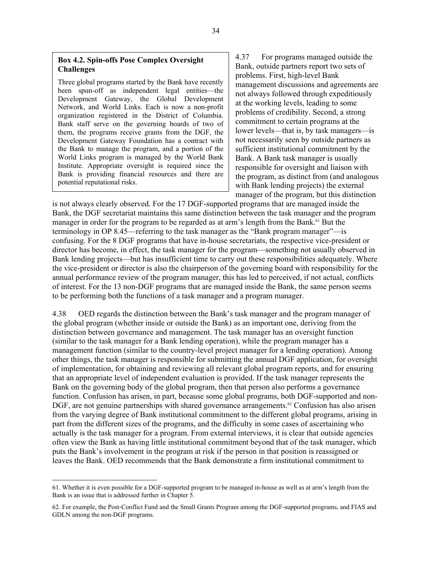#### **Box 4.2. Spin-offs Pose Complex Oversight Challenges**

Three global programs started by the Bank have recently been spun-off as independent legal entities—the Development Gateway, the Global Development Network, and World Links. Each is now a non-profit organization registered in the District of Columbia. Bank staff serve on the governing boards of two of them, the programs receive grants from the DGF, the Development Gateway Foundation has a contract with the Bank to manage the program, and a portion of the World Links program is managed by the World Bank Institute. Appropriate oversight is required since the Bank is providing financial resources and there are potential reputational risks.

4.37 For programs managed outside the Bank, outside partners report two sets of problems. First, high-level Bank management discussions and agreements are not always followed through expeditiously at the working levels, leading to some problems of credibility. Second, a strong commitment to certain programs at the lower levels—that is, by task managers—is not necessarily seen by outside partners as sufficient institutional commitment by the Bank. A Bank task manager is usually responsible for oversight and liaison with the program, as distinct from (and analogous with Bank lending projects) the external manager of the program, but this distinction

is not always clearly observed. For the 17 DGF-supported programs that are managed inside the Bank, the DGF secretariat maintains this same distinction between the task manager and the program manager in order for the program to be regarded as at arm's length from the Bank.<sup>61</sup> But the terminology in OP 8.45—referring to the task manager as the "Bank program manager"—is confusing. For the 8 DGF programs that have in-house secretariats, the respective vice-president or director has become, in effect, the task manager for the program—something not usually observed in Bank lending projects—but has insufficient time to carry out these responsibilities adequately. Where the vice-president or director is also the chairperson of the governing board with responsibility for the annual performance review of the program manager, this has led to perceived, if not actual, conflicts of interest. For the 13 non-DGF programs that are managed inside the Bank, the same person seems to be performing both the functions of a task manager and a program manager.

4.38 OED regards the distinction between the Bank's task manager and the program manager of the global program (whether inside or outside the Bank) as an important one, deriving from the distinction between governance and management. The task manager has an oversight function (similar to the task manager for a Bank lending operation), while the program manager has a management function (similar to the country-level project manager for a lending operation). Among other things, the task manager is responsible for submitting the annual DGF application, for oversight of implementation, for obtaining and reviewing all relevant global program reports, and for ensuring that an appropriate level of independent evaluation is provided. If the task manager represents the Bank on the governing body of the global program, then that person also performs a governance function. Confusion has arisen, in part, because some global programs, both DGF-supported and non-DGF, are not genuine partnerships with shared governance arrangements.<sup>62</sup> Confusion has also arisen from the varying degree of Bank institutional commitment to the different global programs, arising in part from the different sizes of the programs, and the difficulty in some cases of ascertaining who actually is the task manager for a program. From external interviews, it is clear that outside agencies often view the Bank as having little institutional commitment beyond that of the task manager, which puts the Bank's involvement in the program at risk if the person in that position is reassigned or leaves the Bank. OED recommends that the Bank demonstrate a firm institutional commitment to

<span id="page-51-0"></span> <sup>61.</sup> Whether it is even possible for a DGF-supported program to be managed in-house as well as at arm's length from the Bank is an issue that is addressed further in Chapter 5.

<span id="page-51-1"></span><sup>62.</sup> For example, the Post-Conflict Fund and the Small Grants Program among the DGF-supported programs, and FIAS and GDLN among the non-DGF programs.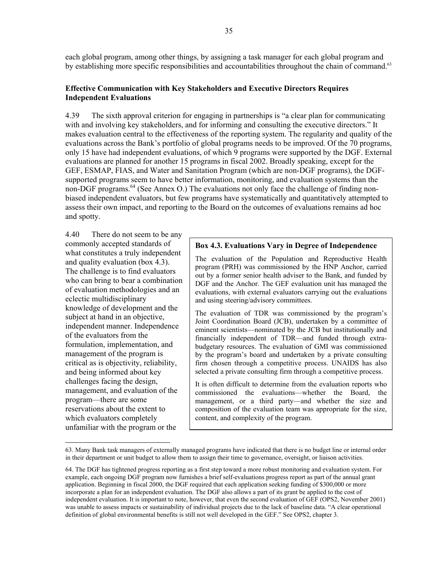each global program, among other things, by assigning a task manager for each global program and by establishing more specific responsibilities and accountabilities throughout the chain of command.<sup>63</sup>

#### **Effective Communication with Key Stakeholders and Executive Directors Requires Independent Evaluations**

4.39 The sixth approval criterion for engaging in partnerships is "a clear plan for communicating with and involving key stakeholders, and for informing and consulting the executive directors." It makes evaluation central to the effectiveness of the reporting system. The regularity and quality of the evaluations across the Bank's portfolio of global programs needs to be improved. Of the 70 programs, only 15 have had independent evaluations, of which 9 programs were supported by the DGF. External evaluations are planned for another 15 programs in fiscal 2002. Broadly speaking, except for the GEF, ESMAP, FIAS, and Water and Sanitation Program (which are non-DGF programs), the DGFsupported programs seem to have better information, monitoring, and evaluation systems than the non-DGF programs. [64](#page-52-1) (See Annex O.) The evaluations not only face the challenge of finding nonbiased independent evaluators, but few programs have systematically and quantitatively attempted to assess their own impact, and reporting to the Board on the outcomes of evaluations remains ad hoc and spotty.

4.40 There do not seem to be any commonly accepted standards of what constitutes a truly independent and quality evaluation (box 4.3). The challenge is to find evaluators who can bring to bear a combination of evaluation methodologies and an eclectic multidisciplinary knowledge of development and the subject at hand in an objective, independent manner. Independence of the evaluators from the formulation, implementation, and management of the program is critical as is objectivity, reliability, and being informed about key challenges facing the design, management, and evaluation of the program—there are some reservations about the extent to which evaluators completely unfamiliar with the program or the

#### **Box 4.3. Evaluations Vary in Degree of Independence**

The evaluation of the Population and Reproductive Health program (PRH) was commissioned by the HNP Anchor, carried out by a former senior health adviser to the Bank, and funded by DGF and the Anchor. The GEF evaluation unit has managed the evaluations, with external evaluators carrying out the evaluations and using steering/advisory committees.

The evaluation of TDR was commissioned by the program's Joint Coordination Board (JCB), undertaken by a committee of eminent scientists—nominated by the JCB but institutionally and financially independent of TDR—and funded through extrabudgetary resources. The evaluation of GMI was commissioned by the program's board and undertaken by a private consulting firm chosen through a competitive process. UNAIDS has also selected a private consulting firm through a competitive process.

It is often difficult to determine from the evaluation reports who commissioned the evaluations—whether the Board, the management, or a third party—and whether the size and composition of the evaluation team was appropriate for the size, content, and complexity of the program.

<span id="page-52-0"></span> <sup>63.</sup> Many Bank task managers of externally managed programs have indicated that there is no budget line or internal order in their department or unit budget to allow them to assign their time to governance, oversight, or liaison activities.

<span id="page-52-1"></span><sup>64.</sup> The DGF has tightened progress reporting as a first step toward a more robust monitoring and evaluation system. For example, each ongoing DGF program now furnishes a brief self-evaluations progress report as part of the annual grant application. Beginning in fiscal 2000, the DGF required that each application seeking funding of \$300,000 or more incorporate a plan for an independent evaluation. The DGF also allows a part of its grant be applied to the cost of independent evaluation. It is important to note, however, that even the second evaluation of GEF (OPS2, November 2001) was unable to assess impacts or sustainability of individual projects due to the lack of baseline data. "A clear operational definition of global environmental benefits is still not well developed in the GEF." See OPS2, chapter 3.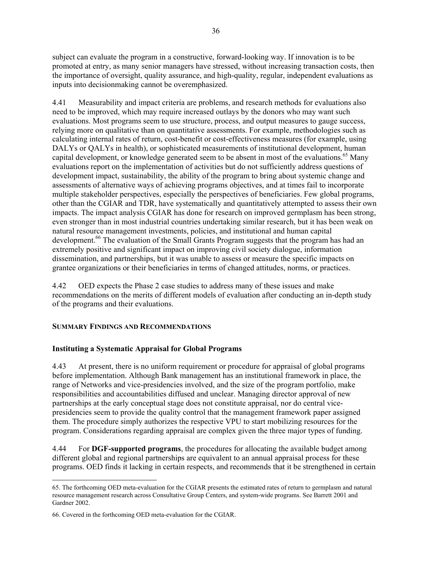subject can evaluate the program in a constructive, forward-looking way. If innovation is to be promoted at entry, as many senior managers have stressed, without increasing transaction costs, then the importance of oversight, quality assurance, and high-quality, regular, independent evaluations as inputs into decisionmaking cannot be overemphasized.

4.41 Measurability and impact criteria are problems, and research methods for evaluations also need to be improved, which may require increased outlays by the donors who may want such evaluations. Most programs seem to use structure, process, and output measures to gauge success, relying more on qualitative than on quantitative assessments. For example, methodologies such as calculating internal rates of return, cost-benefit or cost-effectiveness measures (for example, using DALYs or OALYs in health), or sophisticated measurements of institutional development, human capital development, or knowledge generated seem to be absent in most of the evaluations.<sup>65</sup> Many evaluations report on the implementation of activities but do not sufficiently address questions of development impact, sustainability, the ability of the program to bring about systemic change and assessments of alternative ways of achieving programs objectives, and at times fail to incorporate multiple stakeholder perspectives, especially the perspectives of beneficiaries. Few global programs, other than the CGIAR and TDR, have systematically and quantitatively attempted to assess their own impacts. The impact analysis CGIAR has done for research on improved germplasm has been strong, even stronger than in most industrial countries undertaking similar research, but it has been weak on natural resource management investments, policies, and institutional and human capital development.<sup>66</sup> The evaluation of the Small Grants Program suggests that the program has had an extremely positive and significant impact on improving civil society dialogue, information dissemination, and partnerships, but it was unable to assess or measure the specific impacts on grantee organizations or their beneficiaries in terms of changed attitudes, norms, or practices.

4.42 OED expects the Phase 2 case studies to address many of these issues and make recommendations on the merits of different models of evaluation after conducting an in-depth study of the programs and their evaluations.

#### **SUMMARY FINDINGS AND RECOMMENDATIONS**

# **Instituting a Systematic Appraisal for Global Programs**

4.43 At present, there is no uniform requirement or procedure for appraisal of global programs before implementation. Although Bank management has an institutional framework in place, the range of Networks and vice-presidencies involved, and the size of the program portfolio, make responsibilities and accountabilities diffused and unclear. Managing director approval of new partnerships at the early conceptual stage does not constitute appraisal, nor do central vicepresidencies seem to provide the quality control that the management framework paper assigned them. The procedure simply authorizes the respective VPU to start mobilizing resources for the program. Considerations regarding appraisal are complex given the three major types of funding.

4.44 For **DGF-supported programs**, the procedures for allocating the available budget among different global and regional partnerships are equivalent to an annual appraisal process for these programs. OED finds it lacking in certain respects, and recommends that it be strengthened in certain

l

<span id="page-53-0"></span><sup>65.</sup> The forthcoming OED meta-evaluation for the CGIAR presents the estimated rates of return to germplasm and natural resource management research across Consultative Group Centers, and system-wide programs. See Barrett 2001 and Gardner 2002.

<span id="page-53-1"></span><sup>66.</sup> Covered in the forthcoming OED meta-evaluation for the CGIAR.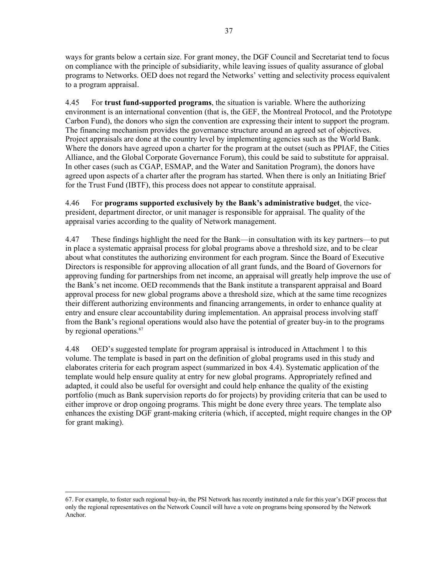ways for grants below a certain size. For grant money, the DGF Council and Secretariat tend to focus on compliance with the principle of subsidiarity, while leaving issues of quality assurance of global programs to Networks. OED does not regard the Networks' vetting and selectivity process equivalent to a program appraisal.

4.45 For **trust fund-supported programs**, the situation is variable. Where the authorizing environment is an international convention (that is, the GEF, the Montreal Protocol, and the Prototype Carbon Fund), the donors who sign the convention are expressing their intent to support the program. The financing mechanism provides the governance structure around an agreed set of objectives. Project appraisals are done at the country level by implementing agencies such as the World Bank. Where the donors have agreed upon a charter for the program at the outset (such as PPIAF, the Cities Alliance, and the Global Corporate Governance Forum), this could be said to substitute for appraisal. In other cases (such as CGAP, ESMAP, and the Water and Sanitation Program), the donors have agreed upon aspects of a charter after the program has started. When there is only an Initiating Brief for the Trust Fund (IBTF), this process does not appear to constitute appraisal.

4.46 For **programs supported exclusively by the Bank's administrative budget**, the vicepresident, department director, or unit manager is responsible for appraisal. The quality of the appraisal varies according to the quality of Network management.

4.47 These findings highlight the need for the Bank—in consultation with its key partners—to put in place a systematic appraisal process for global programs above a threshold size, and to be clear about what constitutes the authorizing environment for each program. Since the Board of Executive Directors is responsible for approving allocation of all grant funds, and the Board of Governors for approving funding for partnerships from net income, an appraisal will greatly help improve the use of the Bank's net income. OED recommends that the Bank institute a transparent appraisal and Board approval process for new global programs above a threshold size, which at the same time recognizes their different authorizing environments and financing arrangements, in order to enhance quality at entry and ensure clear accountability during implementation. An appraisal process involving staff from the Bank's regional operations would also have the potential of greater buy-in to the programs by regional operations. [67](#page-54-0) 

4.48 OED's suggested template for program appraisal is introduced in Attachment 1 to this volume. The template is based in part on the definition of global programs used in this study and elaborates criteria for each program aspect (summarized in box 4.4). Systematic application of the template would help ensure quality at entry for new global programs. Appropriately refined and adapted, it could also be useful for oversight and could help enhance the quality of the existing portfolio (much as Bank supervision reports do for projects) by providing criteria that can be used to either improve or drop ongoing programs. This might be done every three years. The template also enhances the existing DGF grant-making criteria (which, if accepted, might require changes in the OP for grant making).

<span id="page-54-0"></span> <sup>67.</sup> For example, to foster such regional buy-in, the PSI Network has recently instituted a rule for this year's DGF process that only the regional representatives on the Network Council will have a vote on programs being sponsored by the Network Anchor.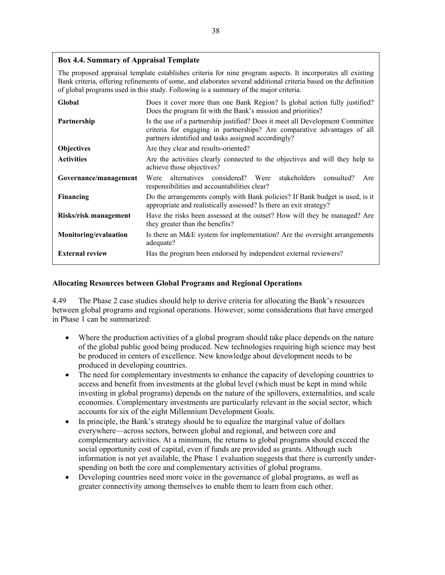## **Box 4.4. Summary of Appraisal Template**

The proposed appraisal template establishes criteria for nine program aspects. It incorporates all existing Bank criteria, offering refinements of some, and elaborates several additional criteria based on the definition of global programs used in this study. Following is a summary of the major criteria.

| Global                 | Does it cover more than one Bank Region? Is global action fully justified?<br>Does the program fit with the Bank's mission and priorities?                                                                       |
|------------------------|------------------------------------------------------------------------------------------------------------------------------------------------------------------------------------------------------------------|
| Partnership            | Is the use of a partnership justified? Does it meet all Development Committee<br>criteria for engaging in partnerships? Are comparative advantages of all<br>partners identified and tasks assigned accordingly? |
| <b>Objectives</b>      | Are they clear and results-oriented?                                                                                                                                                                             |
| <b>Activities</b>      | Are the activities clearly connected to the objectives and will they help to<br>achieve those objectives?                                                                                                        |
| Governance/management  | alternatives considered? Were stakeholders<br>consulted?<br>Were<br>Are<br>responsibilities and accountabilities clear?                                                                                          |
| Financing              | Do the arrangements comply with Bank policies? If Bank budget is used, is it<br>appropriate and realistically assessed? Is there an exit strategy?                                                               |
| Risks/risk management  | Have the risks been assessed at the outset? How will they be managed? Are<br>they greater than the benefits?                                                                                                     |
| Monitoring/evaluation  | Is there an M&E system for implementation? Are the oversight arrangements<br>adequate?                                                                                                                           |
| <b>External review</b> | Has the program been endorsed by independent external reviewers?                                                                                                                                                 |

#### **Allocating Resources between Global Programs and Regional Operations**

4.49 The Phase 2 case studies should help to derive criteria for allocating the Bank's resources between global programs and regional operations. However, some considerations that have emerged in Phase 1 can be summarized:

- Where the production activities of a global program should take place depends on the nature of the global public good being produced. New technologies requiring high science may best be produced in centers of excellence. New knowledge about development needs to be produced in developing countries.
- The need for complementary investments to enhance the capacity of developing countries to access and benefit from investments at the global level (which must be kept in mind while investing in global programs) depends on the nature of the spillovers, externalities, and scale economies. Complementary investments are particularly relevant in the social sector, which accounts for six of the eight Millennium Development Goals.
- In principle, the Bank's strategy should be to equalize the marginal value of dollars everywhere—across sectors, between global and regional, and between core and complementary activities. At a minimum, the returns to global programs should exceed the social opportunity cost of capital, even if funds are provided as grants. Although such information is not yet available, the Phase 1 evaluation suggests that there is currently underspending on both the core and complementary activities of global programs.
- Developing countries need more voice in the governance of global programs, as well as greater connectivity among themselves to enable them to learn from each other.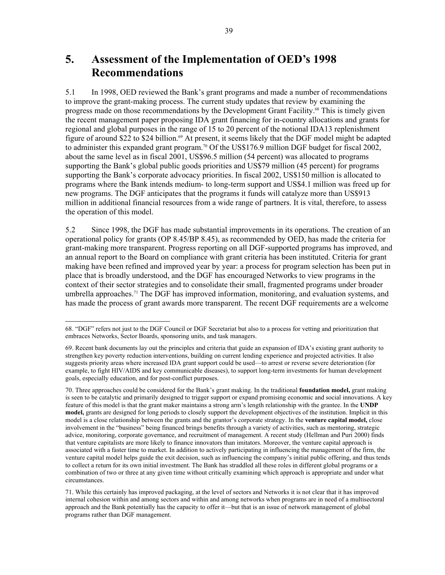# **5. Assessment of the Implementation of OED's 1998 Recommendations**

5.1 In 1998, OED reviewed the Bank's grant programs and made a number of recommendations to improve the grant-making process. The current study updates that review by examining the progress made on those recommendations by the Development Grant Facility. [68](#page-56-0) This is timely given the recent management paper proposing IDA grant financing for in-country allocations and grants for regional and global purposes in the range of 15 to 20 percent of the notional IDA13 replenishment figure of around \$22 to \$24 billion.<sup>69</sup> At present, it seems likely that the DGF model might be adapted to administer this expanded grant program. [70](#page-56-2) Of the US\$176.9 million DGF budget for fiscal 2002, about the same level as in fiscal 2001, US\$96.5 million (54 percent) was allocated to programs supporting the Bank's global public goods priorities and US\$79 million (45 percent) for programs supporting the Bank's corporate advocacy priorities. In fiscal 2002, US\$150 million is allocated to programs where the Bank intends medium- to long-term support and US\$4.1 million was freed up for new programs. The DGF anticipates that the programs it funds will catalyze more than US\$913 million in additional financial resources from a wide range of partners. It is vital, therefore, to assess the operation of this model.

5.2 Since 1998, the DGF has made substantial improvements in its operations. The creation of an operational policy for grants (OP 8.45/BP 8.45), as recommended by OED, has made the criteria for grant-making more transparent. Progress reporting on all DGF-supported programs has improved, and an annual report to the Board on compliance with grant criteria has been instituted. Criteria for grant making have been refined and improved year by year: a process for program selection has been put in place that is broadly understood, and the DGF has encouraged Networks to view programs in the context of their sector strategies and to consolidate their small, fragmented programs under broader umbrella approaches.<sup>71</sup> The DGF has improved information, monitoring, and evaluation systems, and has made the process of grant awards more transparent. The recent DGF requirements are a welcome

<span id="page-56-0"></span> <sup>68. &</sup>quot;DGF" refers not just to the DGF Council or DGF Secretariat but also to a process for vetting and prioritization that embraces Networks, Sector Boards, sponsoring units, and task managers.

<span id="page-56-1"></span><sup>69.</sup> Recent bank documents lay out the principles and criteria that guide an expansion of IDA's existing grant authority to strengthen key poverty reduction interventions, building on current lending experience and projected activities. It also suggests priority areas where increased IDA grant support could be used—to arrest or reverse severe deterioration (for example, to fight HIV/AIDS and key communicable diseases), to support long-term investments for human development goals, especially education, and for post-conflict purposes.

<span id="page-56-2"></span><sup>70.</sup> Three approaches could be considered for the Bank's grant making. In the traditional **foundation model,** grant making is seen to be catalytic and primarily designed to trigger support or expand promising economic and social innovations. A key feature of this model is that the grant maker maintains a strong arm's length relationship with the grantee. In the **UNDP model,** grants are designed for long periods to closely support the development objectives of the institution. Implicit in this model is a close relationship between the grants and the grantor's corporate strategy. In the **venture capital model,** close involvement in the "business" being financed brings benefits through a variety of activities, such as mentoring, strategic advice, monitoring, corporate governance, and recruitment of management. A recent study (Hellman and Puri 2000) finds that venture capitalists are more likely to finance innovators than imitators. Moreover, the venture capital approach is associated with a faster time to market. In addition to actively participating in influencing the management of the firm, the venture capital model helps guide the exit decision, such as influencing the company's initial public offering, and thus tends to collect a return for its own initial investment. The Bank has straddled all these roles in different global programs or a combination of two or three at any given time without critically examining which approach is appropriate and under what circumstances.

<span id="page-56-3"></span><sup>71.</sup> While this certainly has improved packaging, at the level of sectors and Networks it is not clear that it has improved internal cohesion within and among sectors and within and among networks when programs are in need of a multisectoral approach and the Bank potentially has the capacity to offer it—but that is an issue of network management of global programs rather than DGF management.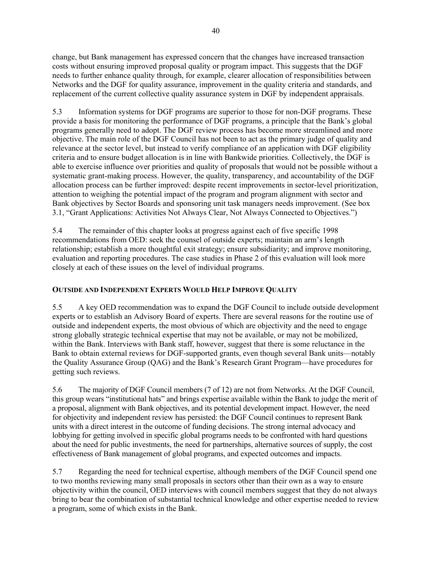change, but Bank management has expressed concern that the changes have increased transaction costs without ensuring improved proposal quality or program impact. This suggests that the DGF needs to further enhance quality through, for example, clearer allocation of responsibilities between Networks and the DGF for quality assurance, improvement in the quality criteria and standards, and replacement of the current collective quality assurance system in DGF by independent appraisals.

5.3 Information systems for DGF programs are superior to those for non-DGF programs. These provide a basis for monitoring the performance of DGF programs, a principle that the Bank's global programs generally need to adopt. The DGF review process has become more streamlined and more objective. The main role of the DGF Council has not been to act as the primary judge of quality and relevance at the sector level, but instead to verify compliance of an application with DGF eligibility criteria and to ensure budget allocation is in line with Bankwide priorities. Collectively, the DGF is able to exercise influence over priorities and quality of proposals that would not be possible without a systematic grant-making process. However, the quality, transparency, and accountability of the DGF allocation process can be further improved: despite recent improvements in sector-level prioritization, attention to weighing the potential impact of the program and program alignment with sector and Bank objectives by Sector Boards and sponsoring unit task managers needs improvement. (See box 3.1, "Grant Applications: Activities Not Always Clear, Not Always Connected to Objectives.")

5.4 The remainder of this chapter looks at progress against each of five specific 1998 recommendations from OED: seek the counsel of outside experts; maintain an arm's length relationship; establish a more thoughtful exit strategy; ensure subsidiarity; and improve monitoring, evaluation and reporting procedures. The case studies in Phase 2 of this evaluation will look more closely at each of these issues on the level of individual programs.

# **OUTSIDE AND INDEPENDENT EXPERTS WOULD HELP IMPROVE QUALITY**

5.5 A key OED recommendation was to expand the DGF Council to include outside development experts or to establish an Advisory Board of experts. There are several reasons for the routine use of outside and independent experts, the most obvious of which are objectivity and the need to engage strong globally strategic technical expertise that may not be available, or may not be mobilized, within the Bank. Interviews with Bank staff, however, suggest that there is some reluctance in the Bank to obtain external reviews for DGF-supported grants, even though several Bank units—notably the Quality Assurance Group (QAG) and the Bank's Research Grant Program—have procedures for getting such reviews.

5.6 The majority of DGF Council members (7 of 12) are not from Networks. At the DGF Council, this group wears "institutional hats" and brings expertise available within the Bank to judge the merit of a proposal, alignment with Bank objectives, and its potential development impact. However, the need for objectivity and independent review has persisted: the DGF Council continues to represent Bank units with a direct interest in the outcome of funding decisions. The strong internal advocacy and lobbying for getting involved in specific global programs needs to be confronted with hard questions about the need for public investments, the need for partnerships, alternative sources of supply, the cost effectiveness of Bank management of global programs, and expected outcomes and impacts.

5.7 Regarding the need for technical expertise, although members of the DGF Council spend one to two months reviewing many small proposals in sectors other than their own as a way to ensure objectivity within the council, OED interviews with council members suggest that they do not always bring to bear the combination of substantial technical knowledge and other expertise needed to review a program, some of which exists in the Bank.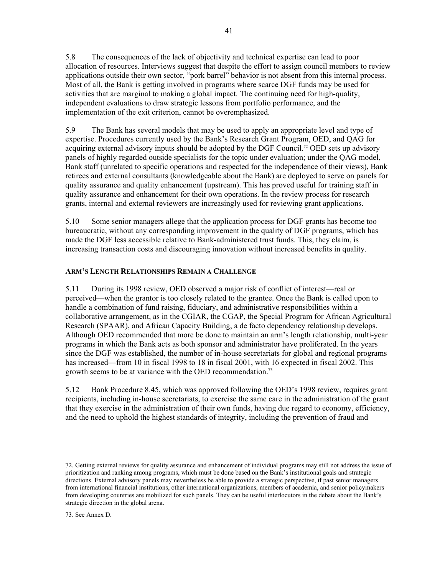5.8 The consequences of the lack of objectivity and technical expertise can lead to poor allocation of resources. Interviews suggest that despite the effort to assign council members to review applications outside their own sector, "pork barrel" behavior is not absent from this internal process. Most of all, the Bank is getting involved in programs where scarce DGF funds may be used for activities that are marginal to making a global impact. The continuing need for high-quality, independent evaluations to draw strategic lessons from portfolio performance, and the implementation of the exit criterion, cannot be overemphasized.

5.9 The Bank has several models that may be used to apply an appropriate level and type of expertise. Procedures currently used by the Bank's Research Grant Program, OED, and QAG for acquiring external advisory inputs should be adopted by the DGF Council.<sup>72</sup> OED sets up advisory panels of highly regarded outside specialists for the topic under evaluation; under the QAG model, Bank staff (unrelated to specific operations and respected for the independence of their views), Bank retirees and external consultants (knowledgeable about the Bank) are deployed to serve on panels for quality assurance and quality enhancement (upstream). This has proved useful for training staff in quality assurance and enhancement for their own operations. In the review process for research grants, internal and external reviewers are increasingly used for reviewing grant applications.

5.10 Some senior managers allege that the application process for DGF grants has become too bureaucratic, without any corresponding improvement in the quality of DGF programs, which has made the DGF less accessible relative to Bank-administered trust funds. This, they claim, is increasing transaction costs and discouraging innovation without increased benefits in quality.

# **ARM'S LENGTH RELATIONSHIPS REMAIN A CHALLENGE**

5.11 During its 1998 review, OED observed a major risk of conflict of interest—real or perceived—when the grantor is too closely related to the grantee. Once the Bank is called upon to handle a combination of fund raising, fiduciary, and administrative responsibilities within a collaborative arrangement, as in the CGIAR, the CGAP, the Special Program for African Agricultural Research (SPAAR), and African Capacity Building, a de facto dependency relationship develops. Although OED recommended that more be done to maintain an arm's length relationship, multi-year programs in which the Bank acts as both sponsor and administrator have proliferated. In the years since the DGF was established, the number of in-house secretariats for global and regional programs has increased—from 10 in fiscal 1998 to 18 in fiscal 2001, with 16 expected in fiscal 2002. This growth seems to be at variance with the OED recommendation.<sup>73</sup>

5.12 Bank Procedure 8.45, which was approved following the OED's 1998 review, requires grant recipients, including in-house secretariats, to exercise the same care in the administration of the grant that they exercise in the administration of their own funds, having due regard to economy, efficiency, and the need to uphold the highest standards of integrity, including the prevention of fraud and

<span id="page-58-1"></span><span id="page-58-0"></span> <sup>72.</sup> Getting external reviews for quality assurance and enhancement of individual programs may still not address the issue of prioritization and ranking among programs, which must be done based on the Bank's institutional goals and strategic directions. External advisory panels may nevertheless be able to provide a strategic perspective, if past senior managers from international financial institutions, other international organizations, members of academia, and senior policymakers from developing countries are mobilized for such panels. They can be useful interlocutors in the debate about the Bank's strategic direction in the global arena.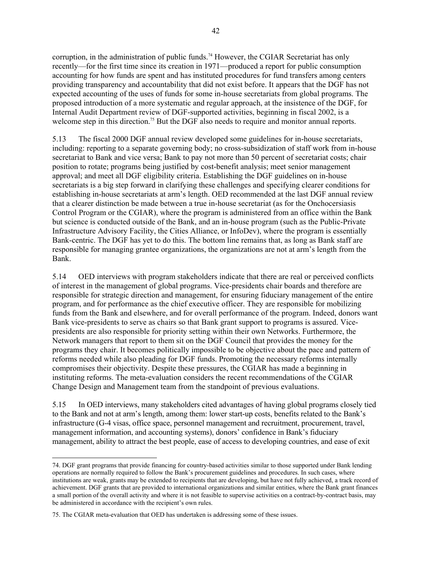corruption, in the administration of public funds.<sup>74</sup> However, the CGIAR Secretariat has only recently—for the first time since its creation in 1971—produced a report for public consumption accounting for how funds are spent and has instituted procedures for fund transfers among centers providing transparency and accountability that did not exist before. It appears that the DGF has not expected accounting of the uses of funds for some in-house secretariats from global programs. The proposed introduction of a more systematic and regular approach, at the insistence of the DGF, for Internal Audit Department review of DGF-supported activities, beginning in fiscal 2002, is a welcome step in this direction.<sup>75</sup> But the DGF also needs to require and monitor annual reports.

5.13 The fiscal 2000 DGF annual review developed some guidelines for in-house secretariats, including: reporting to a separate governing body; no cross-subsidization of staff work from in-house secretariat to Bank and vice versa; Bank to pay not more than 50 percent of secretariat costs; chair position to rotate; programs being justified by cost-benefit analysis; meet senior management approval; and meet all DGF eligibility criteria. Establishing the DGF guidelines on in-house secretariats is a big step forward in clarifying these challenges and specifying clearer conditions for establishing in-house secretariats at arm's length. OED recommended at the last DGF annual review that a clearer distinction be made between a true in-house secretariat (as for the Onchocersiasis Control Program or the CGIAR), where the program is administered from an office within the Bank but science is conducted outside of the Bank, and an in-house program (such as the Public-Private Infrastructure Advisory Facility, the Cities Alliance, or InfoDev), where the program is essentially Bank-centric. The DGF has yet to do this. The bottom line remains that, as long as Bank staff are responsible for managing grantee organizations, the organizations are not at arm's length from the Bank.

5.14 OED interviews with program stakeholders indicate that there are real or perceived conflicts of interest in the management of global programs. Vice-presidents chair boards and therefore are responsible for strategic direction and management, for ensuring fiduciary management of the entire program, and for performance as the chief executive officer. They are responsible for mobilizing funds from the Bank and elsewhere, and for overall performance of the program. Indeed, donors want Bank vice-presidents to serve as chairs so that Bank grant support to programs is assured. Vicepresidents are also responsible for priority setting within their own Networks. Furthermore, the Network managers that report to them sit on the DGF Council that provides the money for the programs they chair. It becomes politically impossible to be objective about the pace and pattern of reforms needed while also pleading for DGF funds. Promoting the necessary reforms internally compromises their objectivity. Despite these pressures, the CGIAR has made a beginning in instituting reforms. The meta-evaluation considers the recent recommendations of the CGIAR Change Design and Management team from the standpoint of previous evaluations.

5.15 In OED interviews, many stakeholders cited advantages of having global programs closely tied to the Bank and not at arm's length, among them: lower start-up costs, benefits related to the Bank's infrastructure (G-4 visas, office space, personnel management and recruitment, procurement, travel, management information, and accounting systems), donors' confidence in Bank's fiduciary management, ability to attract the best people, ease of access to developing countries, and ease of exit

l

<span id="page-59-0"></span><sup>74.</sup> DGF grant programs that provide financing for country-based activities similar to those supported under Bank lending operations are normally required to follow the Bank's procurement guidelines and procedures. In such cases, where institutions are weak, grants may be extended to recipients that are developing, but have not fully achieved, a track record of achievement. DGF grants that are provided to international organizations and similar entities, where the Bank grant finances a small portion of the overall activity and where it is not feasible to supervise activities on a contract-by-contract basis, may be administered in accordance with the recipient's own rules.

<span id="page-59-1"></span><sup>75.</sup> The CGIAR meta-evaluation that OED has undertaken is addressing some of these issues.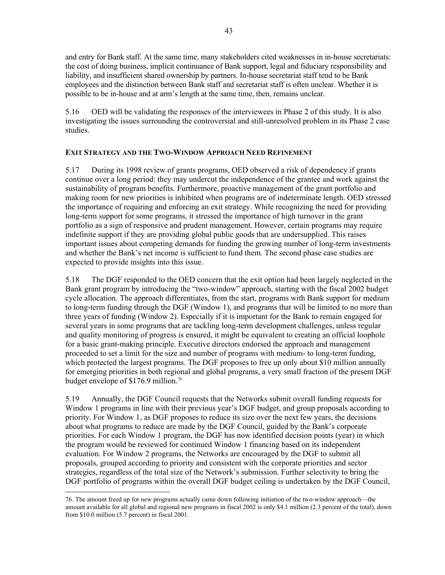and entry for Bank staff. At the same time, many stakeholders cited weaknesses in in-house secretariats: the cost of doing business, implicit continuance of Bank support, legal and fiduciary responsibility and liability, and insufficient shared ownership by partners. In-house secretariat staff tend to be Bank employees and the distinction between Bank staff and secretariat staff is often unclear. Whether it is possible to be in-house and at arm's length at the same time, then, remains unclear.

5.16 OED will be validating the responses of the interviewees in Phase 2 of this study. It is also investigating the issues surrounding the controversial and still-unresolved problem in its Phase 2 case studies.

## **EXIT STRATEGY AND THE TWO-WINDOW APPROACH NEED REFINEMENT**

5.17 During its 1998 review of grants programs, OED observed a risk of dependency if grants continue over a long period: they may undercut the independence of the grantee and work against the sustainability of program benefits. Furthermore, proactive management of the grant portfolio and making room for new priorities is inhibited when programs are of indeterminate length. OED stressed the importance of requiring and enforcing an exit strategy. While recognizing the need for providing long-term support for some programs, it stressed the importance of high turnover in the grant portfolio as a sign of responsive and prudent management. However, certain programs may require indefinite support if they are providing global public goods that are undersupplied. This raises important issues about competing demands for funding the growing number of long-term investments and whether the Bank's net income is sufficient to fund them. The second phase case studies are expected to provide insights into this issue.

5.18 The DGF responded to the OED concern that the exit option had been largely neglected in the Bank grant program by introducing the "two-window" approach, starting with the fiscal 2002 budget cycle allocation. The approach differentiates, from the start, programs with Bank support for medium to long-term funding through the DGF (Window 1), and programs that will be limited to no more than three years of funding (Window 2). Especially if it is important for the Bank to remain engaged for several years in some programs that are tackling long-term development challenges, unless regular and quality monitoring of progress is ensured, it might be equivalent to creating an official loophole for a basic grant-making principle. Executive directors endorsed the approach and management proceeded to set a limit for the size and number of programs with medium- to long-term funding, which protected the largest programs. The DGF proposes to free up only about \$10 million annually for emerging priorities in both regional and global programs, a very small fraction of the present DGF budget envelope of \$176.9 million.<sup>76</sup>

5.19 Annually, the DGF Council requests that the Networks submit overall funding requests for Window 1 programs in line with their previous year's DGF budget, and group proposals according to priority. For Window 1, as DGF proposes to reduce its size over the next few years, the decisions about what programs to reduce are made by the DGF Council, guided by the Bank's corporate priorities. For each Window 1 program, the DGF has now identified decision points (year) in which the program would be reviewed for continued Window 1 financing based on its independent evaluation. For Window 2 programs, the Networks are encouraged by the DGF to submit all proposals, grouped according to priority and consistent with the corporate priorities and sector strategies, regardless of the total size of the Network's submission. Further selectivity to bring the DGF portfolio of programs within the overall DGF budget ceiling is undertaken by the DGF Council,

<span id="page-60-0"></span> <sup>76.</sup> The amount freed up for new programs actually came down following initiation of the two-window approach—the amount available for all global and regional new programs in fiscal 2002 is only \$4.1 million (2.3 percent of the total), down from \$10.0 million (5.7 percent) in fiscal 2001.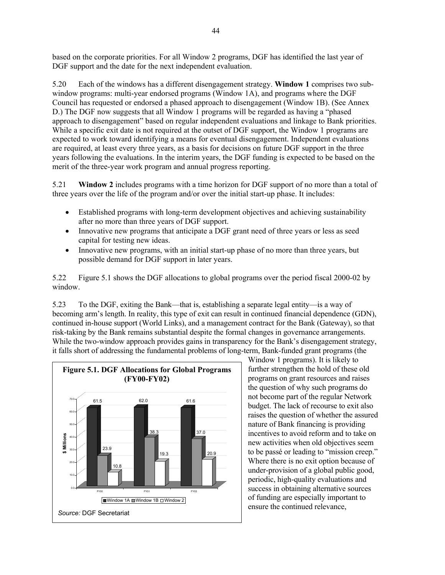based on the corporate priorities. For all Window 2 programs, DGF has identified the last year of DGF support and the date for the next independent evaluation.

5.20 Each of the windows has a different disengagement strategy. **Window 1** comprises two subwindow programs: multi-year endorsed programs (Window 1A), and programs where the DGF Council has requested or endorsed a phased approach to disengagement (Window 1B). (See Annex D.) The DGF now suggests that all Window 1 programs will be regarded as having a "phased approach to disengagement" based on regular independent evaluations and linkage to Bank priorities. While a specific exit date is not required at the outset of DGF support, the Window 1 programs are expected to work toward identifying a means for eventual disengagement. Independent evaluations are required, at least every three years, as a basis for decisions on future DGF support in the three years following the evaluations. In the interim years, the DGF funding is expected to be based on the merit of the three-year work program and annual progress reporting.

5.21 **Window 2** includes programs with a time horizon for DGF support of no more than a total of three years over the life of the program and/or over the initial start-up phase. It includes:

- Established programs with long-term development objectives and achieving sustainability after no more than three years of DGF support.
- Innovative new programs that anticipate a DGF grant need of three years or less as seed capital for testing new ideas.
- Innovative new programs, with an initial start-up phase of no more than three years, but possible demand for DGF support in later years.

5.22 Figure 5.1 shows the DGF allocations to global programs over the period fiscal 2000-02 by window.

5.23 To the DGF, exiting the Bank—that is, establishing a separate legal entity—is a way of becoming arm's length. In reality, this type of exit can result in continued financial dependence (GDN), continued in-house support (World Links), and a management contract for the Bank (Gateway), so that risk-taking by the Bank remains substantial despite the formal changes in governance arrangements. While the two-window approach provides gains in transparency for the Bank's disengagement strategy, it falls short of addressing the fundamental problems of long-term, Bank-funded grant programs (the



Window 1 programs). It is likely to further strengthen the hold of these old programs on grant resources and raises the question of why such programs do not become part of the regular Network budget. The lack of recourse to exit also raises the question of whether the assured nature of Bank financing is providing incentives to avoid reform and to take on new activities when old objectives seem to be passé or leading to "mission creep." Where there is no exit option because of under-provision of a global public good, periodic, high-quality evaluations and success in obtaining alternative sources of funding are especially important to ensure the continued relevance,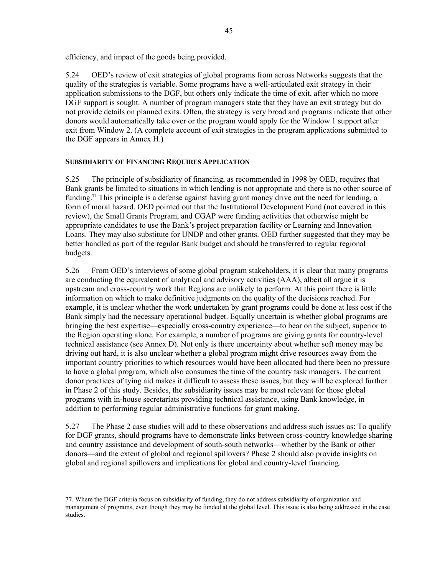efficiency, and impact of the goods being provided.

5.24 OED's review of exit strategies of global programs from across Networks suggests that the quality of the strategies is variable. Some programs have a well-articulated exit strategy in their application submissions to the DGF, but others only indicate the time of exit, after which no more DGF support is sought. A number of program managers state that they have an exit strategy but do not provide details on planned exits. Often, the strategy is very broad and programs indicate that other donors would automatically take over or the program would apply for the Window 1 support after exit from Window 2. (A complete account of exit strategies in the program applications submitted to the DGF appears in Annex H.)

#### **SUBSIDIARITY OF FINANCING REQUIRES APPLICATION**

5.25 The principle of subsidiarity of financing, as recommended in 1998 by OED, requires that Bank grants be limited to situations in which lending is not appropriate and there is no other source of funding.<sup>77</sup> This principle is a defense against having grant money drive out the need for lending, a form of moral hazard. OED pointed out that the Institutional Development Fund (not covered in this review), the Small Grants Program, and CGAP were funding activities that otherwise might be appropriate candidates to use the Bank's project preparation facility or Learning and Innovation Loans. They may also substitute for UNDP and other grants. OED further suggested that they may be better handled as part of the regular Bank budget and should be transferred to regular regional budgets.

5.26 From OED's interviews of some global program stakeholders, it is clear that many programs are conducting the equivalent of analytical and advisory activities (AAA), albeit all argue it is upstream and cross-country work that Regions are unlikely to perform. At this point there is little information on which to make definitive judgments on the quality of the decisions reached. For example, it is unclear whether the work undertaken by grant programs could be done at less cost if the Bank simply had the necessary operational budget. Equally uncertain is whether global programs are bringing the best expertise—especially cross-country experience—to bear on the subject, superior to the Region operating alone. For example, a number of programs are giving grants for country-level technical assistance (see Annex D). Not only is there uncertainty about whether soft money may be driving out hard, it is also unclear whether a global program might drive resources away from the important country priorities to which resources would have been allocated had there been no pressure to have a global program, which also consumes the time of the country task managers. The current donor practices of tying aid makes it difficult to assess these issues, but they will be explored further in Phase 2 of this study. Besides, the subsidiarity issues may be most relevant for those global programs with in-house secretariats providing technical assistance, using Bank knowledge, in addition to performing regular administrative functions for grant making.

5.27 The Phase 2 case studies will add to these observations and address such issues as: To qualify for DGF grants, should programs have to demonstrate links between cross-country knowledge sharing and country assistance and development of south-south networks—whether by the Bank or other donors—and the extent of global and regional spillovers? Phase 2 should also provide insights on global and regional spillovers and implications for global and country-level financing.

<span id="page-62-0"></span> <sup>77.</sup> Where the DGF criteria focus on subsidiarity of funding, they do not address subsidiarity of organization and management of programs, even though they may be funded at the global level. This issue is also being addressed in the case studies.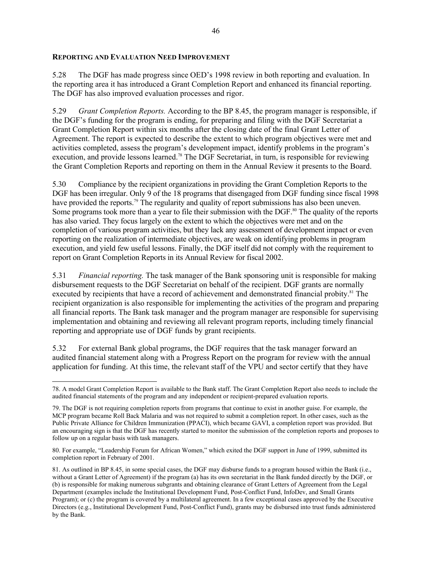#### **REPORTING AND EVALUATION NEED IMPROVEMENT**

5.28 The DGF has made progress since OED's 1998 review in both reporting and evaluation. In the reporting area it has introduced a Grant Completion Report and enhanced its financial reporting. The DGF has also improved evaluation processes and rigor.

5.29 *Grant Completion Reports.* According to the BP 8.45, the program manager is responsible, if the DGF's funding for the program is ending, for preparing and filing with the DGF Secretariat a Grant Completion Report within six months after the closing date of the final Grant Letter of Agreement. The report is expected to describe the extent to which program objectives were met and activities completed, assess the program's development impact, identify problems in the program's execution, and provide lessons learned.<sup>78</sup> The DGF Secretariat, in turn, is responsible for reviewing the Grant Completion Reports and reporting on them in the Annual Review it presents to the Board.

5.30 Compliance by the recipient organizations in providing the Grant Completion Reports to the DGF has been irregular. Only 9 of the 18 programs that disengaged from DGF funding since fiscal 1998 have provided the reports.<sup>79</sup> The regularity and quality of report submissions has also been uneven. Some programs took more than a year to file their submission with the DGF.<sup>80</sup> The quality of the reports has also varied. They focus largely on the extent to which the objectives were met and on the completion of various program activities, but they lack any assessment of development impact or even reporting on the realization of intermediate objectives, are weak on identifying problems in program execution, and yield few useful lessons. Finally, the DGF itself did not comply with the requirement to report on Grant Completion Reports in its Annual Review for fiscal 2002.

5.31 *Financial reporting.* The task manager of the Bank sponsoring unit is responsible for making disbursement requests to the DGF Secretariat on behalf of the recipient. DGF grants are normally executed by recipients that have a record of achievement and demonstrated financial probity.<sup>81</sup> The recipient organization is also responsible for implementing the activities of the program and preparing all financial reports. The Bank task manager and the program manager are responsible for supervising implementation and obtaining and reviewing all relevant program reports, including timely financial reporting and appropriate use of DGF funds by grant recipients.

5.32 For external Bank global programs, the DGF requires that the task manager forward an audited financial statement along with a Progress Report on the program for review with the annual application for funding. At this time, the relevant staff of the VPU and sector certify that they have

<span id="page-63-0"></span>l 78. A model Grant Completion Report is available to the Bank staff. The Grant Completion Report also needs to include the audited financial statements of the program and any independent or recipient-prepared evaluation reports.

<span id="page-63-1"></span><sup>79.</sup> The DGF is not requiring completion reports from programs that continue to exist in another guise. For example, the MCP program became Roll Back Malaria and was not required to submit a completion report. In other cases, such as the Public Private Alliance for Children Immunization (PPACI), which became GAVI, a completion report was provided. But an encouraging sign is that the DGF has recently started to monitor the submission of the completion reports and proposes to follow up on a regular basis with task managers.

<span id="page-63-2"></span><sup>80.</sup> For example, "Leadership Forum for African Women," which exited the DGF support in June of 1999, submitted its completion report in February of 2001.

<span id="page-63-3"></span><sup>81.</sup> As outlined in BP 8.45, in some special cases, the DGF may disburse funds to a program housed within the Bank (i.e., without a Grant Letter of Agreement) if the program (a) has its own secretariat in the Bank funded directly by the DGF, or (b) is responsible for making numerous subgrants and obtaining clearance of Grant Letters of Agreement from the Legal Department (examples include the Institutional Development Fund, Post-Conflict Fund, InfoDev, and Small Grants Program); or (c) the program is covered by a multilateral agreement. In a few exceptional cases approved by the Executive Directors (e.g., Institutional Development Fund, Post-Conflict Fund), grants may be disbursed into trust funds administered by the Bank.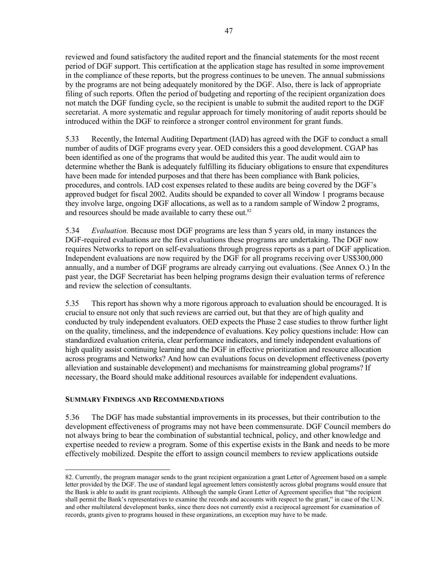reviewed and found satisfactory the audited report and the financial statements for the most recent period of DGF support. This certification at the application stage has resulted in some improvement in the compliance of these reports, but the progress continues to be uneven. The annual submissions by the programs are not being adequately monitored by the DGF. Also, there is lack of appropriate filing of such reports. Often the period of budgeting and reporting of the recipient organization does not match the DGF funding cycle, so the recipient is unable to submit the audited report to the DGF secretariat. A more systematic and regular approach for timely monitoring of audit reports should be introduced within the DGF to reinforce a stronger control environment for grant funds.

5.33 Recently, the Internal Auditing Department (IAD) has agreed with the DGF to conduct a small number of audits of DGF programs every year. OED considers this a good development. CGAP has been identified as one of the programs that would be audited this year. The audit would aim to determine whether the Bank is adequately fulfilling its fiduciary obligations to ensure that expenditures have been made for intended purposes and that there has been compliance with Bank policies, procedures, and controls. IAD cost expenses related to these audits are being covered by the DGF's approved budget for fiscal 2002. Audits should be expanded to cover all Window 1 programs because they involve large, ongoing DGF allocations, as well as to a random sample of Window 2 programs, and resources should be made available to carry these out.<sup>[82](#page-64-0)</sup>

5.34 *Evaluation.* Because most DGF programs are less than 5 years old, in many instances the DGF-required evaluations are the first evaluations these programs are undertaking. The DGF now requires Networks to report on self-evaluations through progress reports as a part of DGF application. Independent evaluations are now required by the DGF for all programs receiving over US\$300,000 annually, and a number of DGF programs are already carrying out evaluations. (See Annex O.) In the past year, the DGF Secretariat has been helping programs design their evaluation terms of reference and review the selection of consultants.

5.35 This report has shown why a more rigorous approach to evaluation should be encouraged. It is crucial to ensure not only that such reviews are carried out, but that they are of high quality and conducted by truly independent evaluators. OED expects the Phase 2 case studies to throw further light on the quality, timeliness, and the independence of evaluations. Key policy questions include: How can standardized evaluation criteria, clear performance indicators, and timely independent evaluations of high quality assist continuing learning and the DGF in effective prioritization and resource allocation across programs and Networks? And how can evaluations focus on development effectiveness (poverty alleviation and sustainable development) and mechanisms for mainstreaming global programs? If necessary, the Board should make additional resources available for independent evaluations.

#### **SUMMARY FINDINGS AND RECOMMENDATIONS**

5.36 The DGF has made substantial improvements in its processes, but their contribution to the development effectiveness of programs may not have been commensurate. DGF Council members do not always bring to bear the combination of substantial technical, policy, and other knowledge and expertise needed to review a program. Some of this expertise exists in the Bank and needs to be more effectively mobilized. Despite the effort to assign council members to review applications outside

<span id="page-64-0"></span> <sup>82.</sup> Currently, the program manager sends to the grant recipient organization a grant Letter of Agreement based on a sample letter provided by the DGF. The use of standard legal agreement letters consistently across global programs would ensure that the Bank is able to audit its grant recipients. Although the sample Grant Letter of Agreement specifies that "the recipient shall permit the Bank's representatives to examine the records and accounts with respect to the grant," in case of the U.N. and other multilateral development banks, since there does not currently exist a reciprocal agreement for examination of records, grants given to programs housed in these organizations, an exception may have to be made.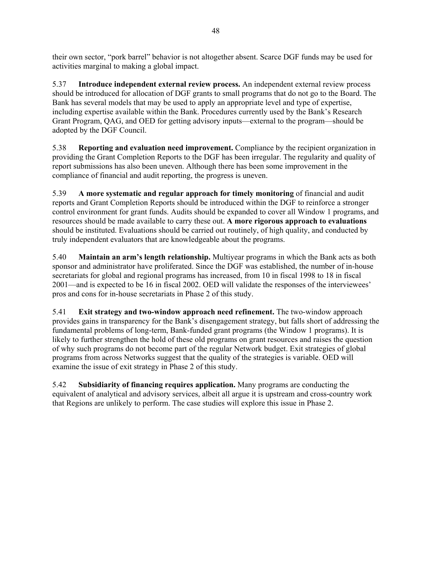their own sector, "pork barrel" behavior is not altogether absent. Scarce DGF funds may be used for activities marginal to making a global impact.

5.37 **Introduce independent external review process.** An independent external review process should be introduced for allocation of DGF grants to small programs that do not go to the Board. The Bank has several models that may be used to apply an appropriate level and type of expertise, including expertise available within the Bank. Procedures currently used by the Bank's Research Grant Program, QAG, and OED for getting advisory inputs—external to the program—should be adopted by the DGF Council.

5.38 **Reporting and evaluation need improvement.** Compliance by the recipient organization in providing the Grant Completion Reports to the DGF has been irregular. The regularity and quality of report submissions has also been uneven. Although there has been some improvement in the compliance of financial and audit reporting, the progress is uneven.

5.39 **A more systematic and regular approach for timely monitoring** of financial and audit reports and Grant Completion Reports should be introduced within the DGF to reinforce a stronger control environment for grant funds. Audits should be expanded to cover all Window 1 programs, and resources should be made available to carry these out. **A more rigorous approach to evaluations** should be instituted. Evaluations should be carried out routinely, of high quality, and conducted by truly independent evaluators that are knowledgeable about the programs.

5.40 **Maintain an arm's length relationship.** Multiyear programs in which the Bank acts as both sponsor and administrator have proliferated. Since the DGF was established, the number of in-house secretariats for global and regional programs has increased, from 10 in fiscal 1998 to 18 in fiscal 2001—and is expected to be 16 in fiscal 2002. OED will validate the responses of the interviewees' pros and cons for in-house secretariats in Phase 2 of this study.

5.41 **Exit strategy and two-window approach need refinement.** The two-window approach provides gains in transparency for the Bank's disengagement strategy, but falls short of addressing the fundamental problems of long-term, Bank-funded grant programs (the Window 1 programs). It is likely to further strengthen the hold of these old programs on grant resources and raises the question of why such programs do not become part of the regular Network budget. Exit strategies of global programs from across Networks suggest that the quality of the strategies is variable. OED will examine the issue of exit strategy in Phase 2 of this study.

5.42 **Subsidiarity of financing requires application.** Many programs are conducting the equivalent of analytical and advisory services, albeit all argue it is upstream and cross-country work that Regions are unlikely to perform. The case studies will explore this issue in Phase 2.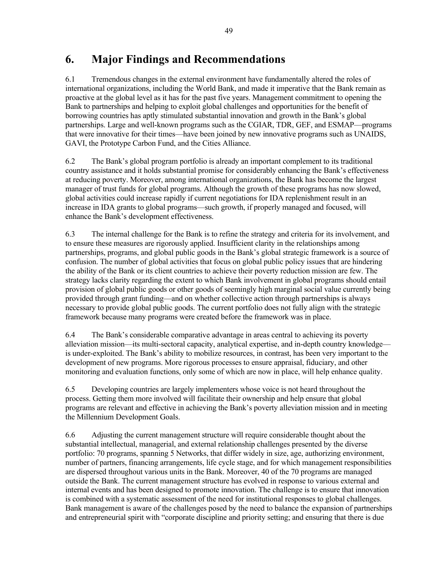# **6. Major Findings and Recommendations**

6.1 Tremendous changes in the external environment have fundamentally altered the roles of international organizations, including the World Bank, and made it imperative that the Bank remain as proactive at the global level as it has for the past five years. Management commitment to opening the Bank to partnerships and helping to exploit global challenges and opportunities for the benefit of borrowing countries has aptly stimulated substantial innovation and growth in the Bank's global partnerships. Large and well-known programs such as the CGIAR, TDR, GEF, and ESMAP—programs that were innovative for their times—have been joined by new innovative programs such as UNAIDS, GAVI, the Prototype Carbon Fund, and the Cities Alliance.

6.2 The Bank's global program portfolio is already an important complement to its traditional country assistance and it holds substantial promise for considerably enhancing the Bank's effectiveness at reducing poverty. Moreover, among international organizations, the Bank has become the largest manager of trust funds for global programs. Although the growth of these programs has now slowed, global activities could increase rapidly if current negotiations for IDA replenishment result in an increase in IDA grants to global programs—such growth, if properly managed and focused, will enhance the Bank's development effectiveness.

6.3 The internal challenge for the Bank is to refine the strategy and criteria for its involvement, and to ensure these measures are rigorously applied. Insufficient clarity in the relationships among partnerships, programs, and global public goods in the Bank's global strategic framework is a source of confusion. The number of global activities that focus on global public policy issues that are hindering the ability of the Bank or its client countries to achieve their poverty reduction mission are few. The strategy lacks clarity regarding the extent to which Bank involvement in global programs should entail provision of global public goods or other goods of seemingly high marginal social value currently being provided through grant funding—and on whether collective action through partnerships is always necessary to provide global public goods. The current portfolio does not fully align with the strategic framework because many programs were created before the framework was in place.

6.4 The Bank's considerable comparative advantage in areas central to achieving its poverty alleviation mission—its multi-sectoral capacity, analytical expertise, and in-depth country knowledge is under-exploited. The Bank's ability to mobilize resources, in contrast, has been very important to the development of new programs. More rigorous processes to ensure appraisal, fiduciary, and other monitoring and evaluation functions, only some of which are now in place, will help enhance quality.

6.5 Developing countries are largely implementers whose voice is not heard throughout the process. Getting them more involved will facilitate their ownership and help ensure that global programs are relevant and effective in achieving the Bank's poverty alleviation mission and in meeting the Millennium Development Goals.

6.6 Adjusting the current management structure will require considerable thought about the substantial intellectual, managerial, and external relationship challenges presented by the diverse portfolio: 70 programs, spanning 5 Networks, that differ widely in size, age, authorizing environment, number of partners, financing arrangements, life cycle stage, and for which management responsibilities are dispersed throughout various units in the Bank. Moreover, 40 of the 70 programs are managed outside the Bank. The current management structure has evolved in response to various external and internal events and has been designed to promote innovation. The challenge is to ensure that innovation is combined with a systematic assessment of the need for institutional responses to global challenges. Bank management is aware of the challenges posed by the need to balance the expansion of partnerships and entrepreneurial spirit with "corporate discipline and priority setting; and ensuring that there is due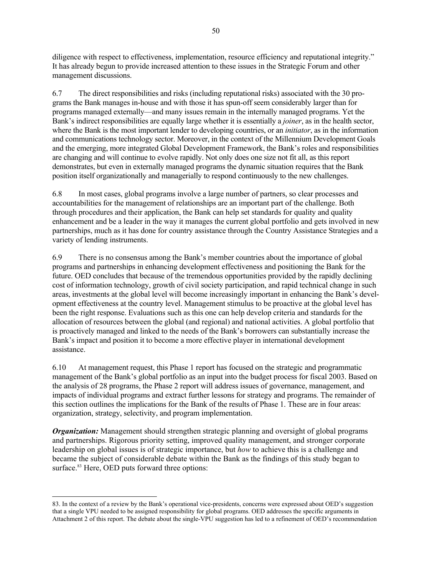<span id="page-67-0"></span>diligence with respect to effectiveness, implementation, resource efficiency and reputational integrity." It has already begun to provide increased attention to these issues in the Strategic Forum and other management discussions.

6.7 The direct responsibilities and risks (including reputational risks) associated with the 30 programs the Bank manages in-house and with those it has spun-off seem considerably larger than for programs managed externally—and many issues remain in the internally managed programs. Yet the Bank's indirect responsibilities are equally large whether it is essentially a *joiner*, as in the health sector, where the Bank is the most important lender to developing countries, or an *initiator*, as in the information and communications technology sector. Moreover, in the context of the Millennium Development Goals and the emerging, more integrated Global Development Framework, the Bank's roles and responsibilities are changing and will continue to evolve rapidly. Not only does one size not fit all, as this report demonstrates, but even in externally managed programs the dynamic situation requires that the Bank position itself organizationally and managerially to respond continuously to the new challenges.

6.8 In most cases, global programs involve a large number of partners, so clear processes and accountabilities for the management of relationships are an important part of the challenge. Both through procedures and their application, the Bank can help set standards for quality and quality enhancement and be a leader in the way it manages the current global portfolio and gets involved in new partnerships, much as it has done for country assistance through the Country Assistance Strategies and a variety of lending instruments.

6.9 There is no consensus among the Bank's member countries about the importance of global programs and partnerships in enhancing development effectiveness and positioning the Bank for the future. OED concludes that because of the tremendous opportunities provided by the rapidly declining cost of information technology, growth of civil society participation, and rapid technical change in such areas, investments at the global level will become increasingly important in enhancing the Bank's development effectiveness at the country level. Management stimulus to be proactive at the global level has been the right response. Evaluations such as this one can help develop criteria and standards for the allocation of resources between the global (and regional) and national activities. A global portfolio that is proactively managed and linked to the needs of the Bank's borrowers can substantially increase the Bank's impact and position it to become a more effective player in international development assistance.

6.10 At management request, this Phase 1 report has focused on the strategic and programmatic management of the Bank's global portfolio as an input into the budget process for fiscal 2003. Based on the analysis of 28 programs, the Phase 2 report will address issues of governance, management, and impacts of individual programs and extract further lessons for strategy and programs. The remainder of this section outlines the implications for the Bank of the results of Phase 1. These are in four areas: organization, strategy, selectivity, and program implementation.

*Organization:* Management should strengthen strategic planning and oversight of global programs and partnerships. Rigorous priority setting, improved quality management, and stronger corporate leadership on global issues is of strategic importance, but *how* to achieve this is a challenge and became the subject of considerable debate within the Bank as the findings of this study began to surface.<sup>83</sup> Here, OED puts forward three options:

 $\overline{\phantom{a}}$ 

<sup>83.</sup> In the context of a review by the Bank's operational vice-presidents, concerns were expressed about OED's suggestion that a single VPU needed to be assigned responsibility for global programs. OED addresses the specific arguments in Attachment 2 of this report. The debate about the single-VPU suggestion has led to a refinement of OED's recommendation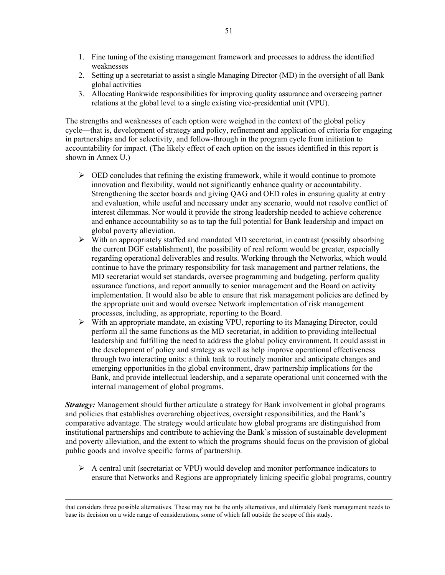- 1. Fine tuning of the existing management framework and processes to address the identified weaknesses
- 2. Setting up a secretariat to assist a single Managing Director (MD) in the oversight of all Bank global activities
- 3. Allocating Bankwide responsibilities for improving quality assurance and overseeing partner relations at the global level to a single existing vice-presidential unit (VPU).

The strengths and weaknesses of each option were weighed in the context of the global policy cycle—that is, development of strategy and policy, refinement and application of criteria for engaging in partnerships and for selectivity, and follow-through in the program cycle from initiation to accountability for impact. (The likely effect of each option on the issues identified in this report is shown in Annex U.)

- $\triangleright$  OED concludes that refining the existing framework, while it would continue to promote innovation and flexibility, would not significantly enhance quality or accountability. Strengthening the sector boards and giving QAG and OED roles in ensuring quality at entry and evaluation, while useful and necessary under any scenario, would not resolve conflict of interest dilemmas. Nor would it provide the strong leadership needed to achieve coherence and enhance accountability so as to tap the full potential for Bank leadership and impact on global poverty alleviation.
- $\triangleright$  With an appropriately staffed and mandated MD secretariat, in contrast (possibly absorbing the current DGF establishment), the possibility of real reform would be greater, especially regarding operational deliverables and results. Working through the Networks, which would continue to have the primary responsibility for task management and partner relations, the MD secretariat would set standards, oversee programming and budgeting, perform quality assurance functions, and report annually to senior management and the Board on activity implementation. It would also be able to ensure that risk management policies are defined by the appropriate unit and would oversee Network implementation of risk management processes, including, as appropriate, reporting to the Board.
- ¾ With an appropriate mandate, an existing VPU, reporting to its Managing Director, could perform all the same functions as the MD secretariat, in addition to providing intellectual leadership and fulfilling the need to address the global policy environment. It could assist in the development of policy and strategy as well as help improve operational effectiveness through two interacting units: a think tank to routinely monitor and anticipate changes and emerging opportunities in the global environment, draw partnership implications for the Bank, and provide intellectual leadership, and a separate operational unit concerned with the internal management of global programs.

*Strategy:* Management should further articulate a strategy for Bank involvement in global programs and policies that establishes overarching objectives, oversight responsibilities, and the Bank's comparative advantage. The strategy would articulate how global programs are distinguished from institutional partnerships and contribute to achieving the Bank's mission of sustainable development and poverty alleviation, and the extent to which the programs should focus on the provision of global public goods and involve specific forms of partnership.

 $\triangleright$  A central unit (secretariat or VPU) would develop and monitor performance indicators to ensure that Networks and Regions are appropriately linking specific global programs, country

that considers three possible alternatives. These may not be the only alternatives, and ultimately Bank management needs to base its decision on a wide range of considerations, some of which fall outside the scope of this study.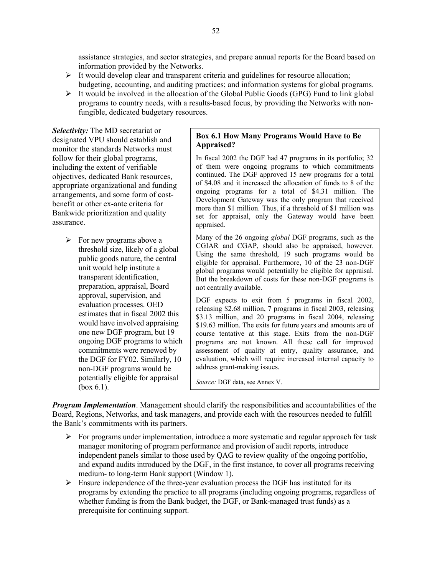assistance strategies, and sector strategies, and prepare annual reports for the Board based on information provided by the Networks.

- $\triangleright$  It would develop clear and transparent criteria and guidelines for resource allocation; budgeting, accounting, and auditing practices; and information systems for global programs.
- $\triangleright$  It would be involved in the allocation of the Global Public Goods (GPG) Fund to link global programs to country needs, with a results-based focus, by providing the Networks with nonfungible, dedicated budgetary resources.

*Selectivity:* The MD secretariat or designated VPU should establish and monitor the standards Networks must follow for their global programs, including the extent of verifiable objectives, dedicated Bank resources, appropriate organizational and funding arrangements, and some form of costbenefit or other ex-ante criteria for Bankwide prioritization and quality assurance.

> $\triangleright$  For new programs above a threshold size, likely of a global public goods nature, the central unit would help institute a transparent identification, preparation, appraisal, Board approval, supervision, and evaluation processes. OED estimates that in fiscal 2002 this would have involved appraising one new DGF program, but 19 ongoing DGF programs to which commitments were renewed by the DGF for FY02. Similarly, 10 non-DGF programs would be potentially eligible for appraisal (box 6.1).

#### **Box 6.1 How Many Programs Would Have to Be Appraised?**

In fiscal 2002 the DGF had 47 programs in its portfolio; 32 of them were ongoing programs to which commitments continued. The DGF approved 15 new programs for a total of \$4.08 and it increased the allocation of funds to 8 of the ongoing programs for a total of \$4.31 million. The Development Gateway was the only program that received more than \$1 million. Thus, if a threshold of \$1 million was set for appraisal, only the Gateway would have been appraised.

Many of the 26 ongoing *global* DGF programs, such as the CGIAR and CGAP, should also be appraised, however. Using the same threshold, 19 such programs would be eligible for appraisal. Furthermore, 10 of the 23 non-DGF global programs would potentially be eligible for appraisal. But the breakdown of costs for these non-DGF programs is not centrally available.

DGF expects to exit from 5 programs in fiscal 2002, releasing \$2.68 million, 7 programs in fiscal 2003, releasing \$3.13 million, and 20 programs in fiscal 2004, releasing \$19.63 million. The exits for future years and amounts are of course tentative at this stage. Exits from the non-DGF programs are not known. All these call for improved assessment of quality at entry, quality assurance, and evaluation, which will require increased internal capacity to address grant-making issues.

*Source:* DGF data, see Annex V.

*Program Implementation*. Management should clarify the responsibilities and accountabilities of the Board, Regions, Networks, and task managers, and provide each with the resources needed to fulfill the Bank's commitments with its partners.

- $\triangleright$  For programs under implementation, introduce a more systematic and regular approach for task manager monitoring of program performance and provision of audit reports, introduce independent panels similar to those used by QAG to review quality of the ongoing portfolio, and expand audits introduced by the DGF, in the first instance, to cover all programs receiving medium- to long-term Bank support (Window 1).
- $\triangleright$  Ensure independence of the three-year evaluation process the DGF has instituted for its programs by extending the practice to all programs (including ongoing programs, regardless of whether funding is from the Bank budget, the DGF, or Bank-managed trust funds) as a prerequisite for continuing support.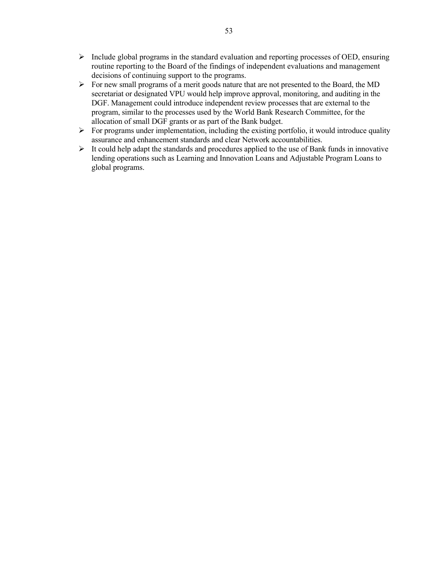- $\triangleright$  Include global programs in the standard evaluation and reporting processes of OED, ensuring routine reporting to the Board of the findings of independent evaluations and management decisions of continuing support to the programs.
- ¾ For new small programs of a merit goods nature that are not presented to the Board, the MD secretariat or designated VPU would help improve approval, monitoring, and auditing in the DGF. Management could introduce independent review processes that are external to the program, similar to the processes used by the World Bank Research Committee, for the allocation of small DGF grants or as part of the Bank budget.
- $\triangleright$  For programs under implementation, including the existing portfolio, it would introduce quality assurance and enhancement standards and clear Network accountabilities.
- $\triangleright$  It could help adapt the standards and procedures applied to the use of Bank funds in innovative lending operations such as Learning and Innovation Loans and Adjustable Program Loans to global programs.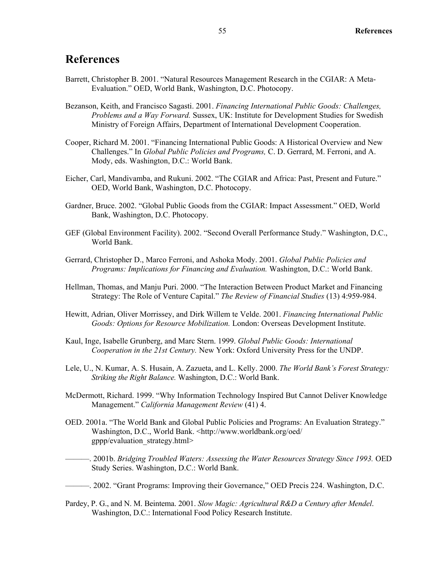#### **References**

- Barrett, Christopher B. 2001. "Natural Resources Management Research in the CGIAR: A Meta-Evaluation." OED, World Bank, Washington, D.C. Photocopy.
- Bezanson, Keith, and Francisco Sagasti. 2001. *Financing International Public Goods: Challenges, Problems and a Way Forward.* Sussex, UK: Institute for Development Studies for Swedish Ministry of Foreign Affairs, Department of International Development Cooperation.
- Cooper, Richard M. 2001. "Financing International Public Goods: A Historical Overview and New Challenges." In *Global Public Policies and Programs,* C. D. Gerrard, M. Ferroni, and A. Mody, eds. Washington, D.C.: World Bank.
- Eicher, Carl, Mandivamba, and Rukuni. 2002. "The CGIAR and Africa: Past, Present and Future." OED, World Bank, Washington, D.C. Photocopy.
- Gardner, Bruce. 2002. "Global Public Goods from the CGIAR: Impact Assessment." OED, World Bank, Washington, D.C. Photocopy.
- GEF (Global Environment Facility). 2002. "Second Overall Performance Study." Washington, D.C., World Bank.
- Gerrard, Christopher D., Marco Ferroni, and Ashoka Mody. 2001. *Global Public Policies and Programs: Implications for Financing and Evaluation.* Washington, D.C.: World Bank.
- Hellman, Thomas, and Manju Puri. 2000. "The Interaction Between Product Market and Financing Strategy: The Role of Venture Capital." *The Review of Financial Studies* (13) 4:959-984.
- Hewitt, Adrian, Oliver Morrissey, and Dirk Willem te Velde. 2001. *Financing International Public Goods: Options for Resource Mobilization.* London: Overseas Development Institute.
- Kaul, Inge, Isabelle Grunberg, and Marc Stern. 1999. *Global Public Goods: International Cooperation in the 21st Century.* New York: Oxford University Press for the UNDP.
- Lele, U., N. Kumar, A. S. Husain, A. Zazueta, and L. Kelly. 2000. *The World Bank's Forest Strategy: Striking the Right Balance.* Washington, D.C.: World Bank.
- McDermott, Richard. 1999. "Why Information Technology Inspired But Cannot Deliver Knowledge Management." *California Management Review* (41) 4.
- OED. 2001a. "The World Bank and Global Public Policies and Programs: An Evaluation Strategy." Washington, D.C., World Bank. <http://www.worldbank.org/oed/ gppp/evaluation\_strategy.html>
- ———. 2001b. *Bridging Troubled Waters: Assessing the Water Resources Strategy Since 1993.* OED Study Series. Washington, D.C.: World Bank.
- ———. 2002. "Grant Programs: Improving their Governance," OED Precis 224. Washington, D.C.
- Pardey, P. G., and N. M. Beintema. 2001. *Slow Magic: Agricultural R&D a Century after Mendel*. Washington, D.C.: International Food Policy Research Institute.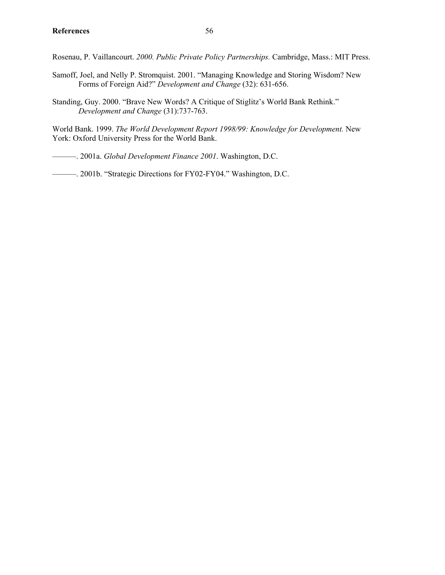Rosenau, P. Vaillancourt. *2000. Public Private Policy Partnerships.* Cambridge, Mass.: MIT Press.

- Samoff, Joel, and Nelly P. Stromquist. 2001. "Managing Knowledge and Storing Wisdom? New Forms of Foreign Aid?" *Development and Change* (32): 631-656.
- Standing, Guy. 2000. "Brave New Words? A Critique of Stiglitz's World Bank Rethink." *Development and Change* (31):737-763.

World Bank. 1999. *The World Development Report 1998/99: Knowledge for Development.* New York: Oxford University Press for the World Bank.

———. 2001a. *Global Development Finance 2001*. Washington, D.C.

———. 2001b. "Strategic Directions for FY02-FY04." Washington, D.C.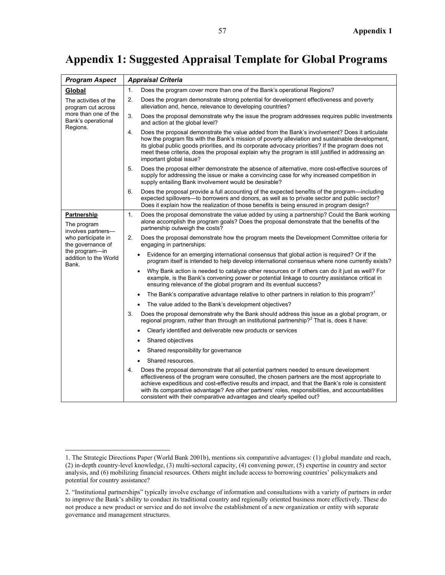### **Appendix 1: Suggested Appraisal Template for Global Programs**

| <b>Program Aspect</b>                                                                                 | <b>Appraisal Criteria</b>                                                                                                                                                                                                                                                                                                                                                                                                                                                       |
|-------------------------------------------------------------------------------------------------------|---------------------------------------------------------------------------------------------------------------------------------------------------------------------------------------------------------------------------------------------------------------------------------------------------------------------------------------------------------------------------------------------------------------------------------------------------------------------------------|
| Global                                                                                                | Does the program cover more than one of the Bank's operational Regions?<br>1.                                                                                                                                                                                                                                                                                                                                                                                                   |
| The activities of the<br>program cut across<br>more than one of the<br>Bank's operational<br>Regions. | 2.<br>Does the program demonstrate strong potential for development effectiveness and poverty<br>alleviation and, hence, relevance to developing countries?                                                                                                                                                                                                                                                                                                                     |
|                                                                                                       | 3.<br>Does the proposal demonstrate why the issue the program addresses requires public investments<br>and action at the global level?                                                                                                                                                                                                                                                                                                                                          |
|                                                                                                       | 4.<br>Does the proposal demonstrate the value added from the Bank's involvement? Does it articulate<br>how the program fits with the Bank's mission of poverty alleviation and sustainable development,<br>its global public goods priorities, and its corporate advocacy priorities? If the program does not<br>meet these criteria, does the proposal explain why the program is still justified in addressing an<br>important global issue?                                  |
|                                                                                                       | 5.<br>Does the proposal either demonstrate the absence of alternative, more cost-effective sources of<br>supply for addressing the issue or make a convincing case for why increased competition in<br>supply entailing Bank involvement would be desirable?                                                                                                                                                                                                                    |
|                                                                                                       | Does the proposal provide a full accounting of the expected benefits of the program—including<br>6.<br>expected spillovers—to borrowers and donors, as well as to private sector and public sector?<br>Does it explain how the realization of those benefits is being ensured in program design?                                                                                                                                                                                |
| Partnership<br>The program<br>involves partners-                                                      | 1.<br>Does the proposal demonstrate the value added by using a partnership? Could the Bank working<br>alone accomplish the program goals? Does the proposal demonstrate that the benefits of the<br>partnership outweigh the costs?                                                                                                                                                                                                                                             |
| who participate in<br>the governance of                                                               | 2.<br>Does the proposal demonstrate how the program meets the Development Committee criteria for<br>engaging in partnerships:                                                                                                                                                                                                                                                                                                                                                   |
| the program-in<br>addition to the World<br>Bank.                                                      | Evidence for an emerging international consensus that global action is required? Or if the<br>program itself is intended to help develop international consensus where none currently exists?                                                                                                                                                                                                                                                                                   |
|                                                                                                       | Why Bank action is needed to catalyze other resources or if others can do it just as well? For<br>example, is the Bank's convening power or potential linkage to country assistance critical in<br>ensuring relevance of the global program and its eventual success?                                                                                                                                                                                                           |
|                                                                                                       | The Bank's comparative advantage relative to other partners in relation to this program? <sup>1</sup>                                                                                                                                                                                                                                                                                                                                                                           |
|                                                                                                       | The value added to the Bank's development objectives?                                                                                                                                                                                                                                                                                                                                                                                                                           |
|                                                                                                       | Does the proposal demonstrate why the Bank should address this issue as a global program, or<br>3.<br>regional program, rather than through an institutional partnership? <sup>2</sup> That is, does it have:                                                                                                                                                                                                                                                                   |
|                                                                                                       | Clearly identified and deliverable new products or services                                                                                                                                                                                                                                                                                                                                                                                                                     |
|                                                                                                       | Shared objectives                                                                                                                                                                                                                                                                                                                                                                                                                                                               |
|                                                                                                       | Shared responsibility for governance                                                                                                                                                                                                                                                                                                                                                                                                                                            |
|                                                                                                       | Shared resources.                                                                                                                                                                                                                                                                                                                                                                                                                                                               |
|                                                                                                       | Does the proposal demonstrate that all potential partners needed to ensure development<br>4.<br>effectiveness of the program were consulted, the chosen partners are the most appropriate to<br>achieve expeditious and cost-effective results and impact, and that the Bank's role is consistent<br>with its comparative advantage? Are other partners' roles, responsibilities, and accountabilities<br>consistent with their comparative advantages and clearly spelled out? |

<span id="page-74-0"></span> <sup>1.</sup> The Strategic Directions Paper (World Bank 2001b), mentions six comparative advantages: (1) global mandate and reach, (2) in-depth country-level knowledge, (3) multi-sectoral capacity, (4) convening power, (5) expertise in country and sector analysis, and (6) mobilizing financial resources. Others might include access to borrowing countries' policymakers and potential for country assistance?

<span id="page-74-1"></span><sup>2. &</sup>quot;Institutional partnerships" typically involve exchange of information and consultations with a variety of partners in order to improve the Bank's ability to conduct its traditional country and regionally oriented business more effectively. These do not produce a new product or service and do not involve the establishment of a new organization or entity with separate governance and management structures.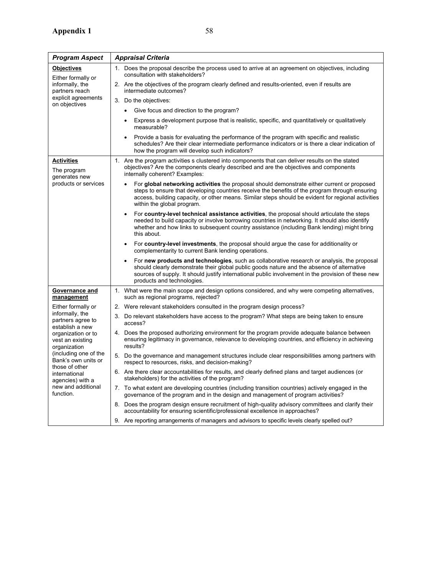| <b>Program Aspect</b>                                                                  | <b>Appraisal Criteria</b>                                                                                                                                                                                                                                                                                                         |
|----------------------------------------------------------------------------------------|-----------------------------------------------------------------------------------------------------------------------------------------------------------------------------------------------------------------------------------------------------------------------------------------------------------------------------------|
| <b>Objectives</b><br>Either formally or<br>informally, the<br>partners reach           | 1. Does the proposal describe the process used to arrive at an agreement on objectives, including<br>consultation with stakeholders?                                                                                                                                                                                              |
|                                                                                        | 2. Are the objectives of the program clearly defined and results-oriented, even if results are<br>intermediate outcomes?                                                                                                                                                                                                          |
| explicit agreements<br>on objectives                                                   | 3. Do the objectives:                                                                                                                                                                                                                                                                                                             |
|                                                                                        | • Give focus and direction to the program?                                                                                                                                                                                                                                                                                        |
|                                                                                        | Express a development purpose that is realistic, specific, and quantitatively or qualitatively<br>measurable?                                                                                                                                                                                                                     |
|                                                                                        | Provide a basis for evaluating the performance of the program with specific and realistic<br>schedules? Are their clear intermediate performance indicators or is there a clear indication of<br>how the program will develop such indicators?                                                                                    |
| <b>Activities</b><br>The program<br>generates new                                      | 1. Are the program activities s clustered into components that can deliver results on the stated<br>objectives? Are the components clearly described and are the objectives and components<br>internally coherent? Examples:                                                                                                      |
| products or services                                                                   | For global networking activities the proposal should demonstrate either current or proposed<br>steps to ensure that developing countries receive the benefits of the program through ensuring<br>access, building capacity, or other means. Similar steps should be evident for regional activities<br>within the global program. |
|                                                                                        | For country-level technical assistance activities, the proposal should articulate the steps<br>needed to build capacity or involve borrowing countries in networking. It should also identify<br>whether and how links to subsequent country assistance (including Bank lending) might bring<br>this about.                       |
|                                                                                        | For country-level investments, the proposal should argue the case for additionality or<br>complementarity to current Bank lending operations.                                                                                                                                                                                     |
|                                                                                        | For new products and technologies, such as collaborative research or analysis, the proposal<br>should clearly demonstrate their global public goods nature and the absence of alternative<br>sources of supply. It should justify international public involvement in the provision of these new<br>products and technologies.    |
| Governance and<br>management                                                           | 1. What were the main scope and design options considered, and why were competing alternatives,<br>such as regional programs, rejected?                                                                                                                                                                                           |
| Either formally or                                                                     | 2. Were relevant stakeholders consulted in the program design process?                                                                                                                                                                                                                                                            |
| informally, the<br>partners agree to<br>establish a new                                | 3. Do relevant stakeholders have access to the program? What steps are being taken to ensure<br>access?                                                                                                                                                                                                                           |
| organization or to<br>vest an existing<br>organization                                 | 4. Does the proposed authorizing environment for the program provide adequate balance between<br>ensuring legitimacy in governance, relevance to developing countries, and efficiency in achieving<br>results?                                                                                                                    |
| (including one of the<br>Bank's own units or                                           | 5. Do the governance and management structures include clear responsibilities among partners with<br>respect to resources, risks, and decision-making?                                                                                                                                                                            |
| those of other<br>international<br>agencies) with a<br>new and additional<br>function. | 6. Are there clear accountabilities for results, and clearly defined plans and target audiences (or<br>stakeholders) for the activities of the program?                                                                                                                                                                           |
|                                                                                        | 7. To what extent are developing countries (including transition countries) actively engaged in the<br>governance of the program and in the design and management of program activities?                                                                                                                                          |
|                                                                                        | 8. Does the program design ensure recruitment of high-quality advisory committees and clarify their<br>accountability for ensuring scientific/professional excellence in approaches?                                                                                                                                              |
|                                                                                        | 9. Are reporting arrangements of managers and advisors to specific levels clearly spelled out?                                                                                                                                                                                                                                    |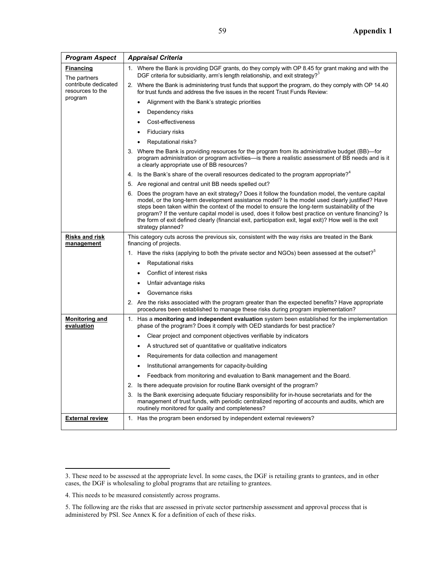| Program Aspect                           | <b>Appraisal Criteria</b>                                                                                                                                                                                                                                                                                                                                                                                                                                                                                                                        |
|------------------------------------------|--------------------------------------------------------------------------------------------------------------------------------------------------------------------------------------------------------------------------------------------------------------------------------------------------------------------------------------------------------------------------------------------------------------------------------------------------------------------------------------------------------------------------------------------------|
| <b>Financing</b><br>The partners         | 1. Where the Bank is providing DGF grants, do they comply with OP 8.45 for grant making and with the<br>DGF criteria for subsidiarity, arm's length relationship, and exit strategy? <sup>3</sup>                                                                                                                                                                                                                                                                                                                                                |
| contribute dedicated<br>resources to the | 2. Where the Bank is administering trust funds that support the program, do they comply with OP 14.40<br>for trust funds and address the five issues in the recent Trust Funds Review:                                                                                                                                                                                                                                                                                                                                                           |
| program                                  | Alignment with the Bank's strategic priorities<br>$\bullet$                                                                                                                                                                                                                                                                                                                                                                                                                                                                                      |
|                                          | Dependency risks<br>$\bullet$                                                                                                                                                                                                                                                                                                                                                                                                                                                                                                                    |
|                                          | Cost-effectiveness                                                                                                                                                                                                                                                                                                                                                                                                                                                                                                                               |
|                                          | Fiduciary risks<br>$\bullet$                                                                                                                                                                                                                                                                                                                                                                                                                                                                                                                     |
|                                          | Reputational risks?                                                                                                                                                                                                                                                                                                                                                                                                                                                                                                                              |
|                                          | 3. Where the Bank is providing resources for the program from its administrative budget (BB)—for<br>program administration or program activities—is there a realistic assessment of BB needs and is it<br>a clearly appropriate use of BB resources?                                                                                                                                                                                                                                                                                             |
|                                          | 4. Is the Bank's share of the overall resources dedicated to the program appropriate? <sup>4</sup>                                                                                                                                                                                                                                                                                                                                                                                                                                               |
|                                          | 5. Are regional and central unit BB needs spelled out?                                                                                                                                                                                                                                                                                                                                                                                                                                                                                           |
|                                          | 6. Does the program have an exit strategy? Does it follow the foundation model, the venture capital<br>model, or the long-term development assistance model? Is the model used clearly justified? Have<br>steps been taken within the context of the model to ensure the long-term sustainability of the<br>program? If the venture capital model is used, does it follow best practice on venture financing? Is<br>the form of exit defined clearly (financial exit, participation exit, legal exit)? How well is the exit<br>strategy planned? |
| <b>Risks and risk</b><br>management      | This category cuts across the previous six, consistent with the way risks are treated in the Bank<br>financing of projects.                                                                                                                                                                                                                                                                                                                                                                                                                      |
|                                          | 1. Have the risks (applying to both the private sector and NGOs) been assessed at the outset? <sup>5</sup>                                                                                                                                                                                                                                                                                                                                                                                                                                       |
|                                          | Reputational risks<br>$\bullet$                                                                                                                                                                                                                                                                                                                                                                                                                                                                                                                  |
|                                          | Conflict of interest risks<br>$\bullet$                                                                                                                                                                                                                                                                                                                                                                                                                                                                                                          |
|                                          | Unfair advantage risks<br>$\bullet$                                                                                                                                                                                                                                                                                                                                                                                                                                                                                                              |
|                                          | Governance risks<br>$\bullet$                                                                                                                                                                                                                                                                                                                                                                                                                                                                                                                    |
|                                          | 2. Are the risks associated with the program greater than the expected benefits? Have appropriate<br>procedures been established to manage these risks during program implementation?                                                                                                                                                                                                                                                                                                                                                            |
| <b>Monitoring and</b><br>evaluation      | 1. Has a monitoring and independent evaluation system been established for the implementation<br>phase of the program? Does it comply with OED standards for best practice?                                                                                                                                                                                                                                                                                                                                                                      |
|                                          | Clear project and component objectives verifiable by indicators<br>$\bullet$                                                                                                                                                                                                                                                                                                                                                                                                                                                                     |
|                                          | A structured set of quantitative or qualitative indicators<br>٠                                                                                                                                                                                                                                                                                                                                                                                                                                                                                  |
|                                          | Requirements for data collection and management<br>$\bullet$                                                                                                                                                                                                                                                                                                                                                                                                                                                                                     |
|                                          | Institutional arrangements for capacity-building<br>$\bullet$                                                                                                                                                                                                                                                                                                                                                                                                                                                                                    |
|                                          | Feedback from monitoring and evaluation to Bank management and the Board.                                                                                                                                                                                                                                                                                                                                                                                                                                                                        |
|                                          | 2. Is there adequate provision for routine Bank oversight of the program?                                                                                                                                                                                                                                                                                                                                                                                                                                                                        |
|                                          | 3. Is the Bank exercising adequate fiduciary responsibility for in-house secretariats and for the<br>management of trust funds, with periodic centralized reporting of accounts and audits, which are<br>routinely monitored for quality and completeness?                                                                                                                                                                                                                                                                                       |
| <b>External review</b>                   | 1. Has the program been endorsed by independent external reviewers?                                                                                                                                                                                                                                                                                                                                                                                                                                                                              |

<span id="page-76-0"></span> <sup>3.</sup> These need to be assessed at the appropriate level. In some cases, the DGF is retailing grants to grantees, and in other cases, the DGF is wholesaling to global programs that are retailing to grantees.

<span id="page-76-1"></span><sup>4.</sup> This needs to be measured consistently across programs.

<span id="page-76-2"></span><sup>5.</sup> The following are the risks that are assessed in private sector partnership assessment and approval process that is administered by PSI. See Annex K for a definition of each of these risks.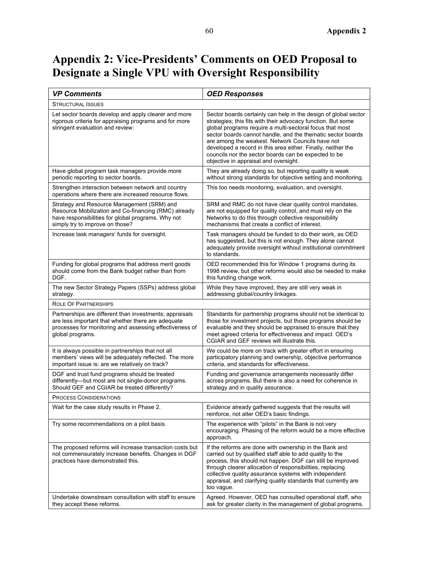#### **Appendix 2: Vice-Presidents' Comments on OED Proposal to Designate a Single VPU with Oversight Responsibility**

| <b>VP Comments</b>                                                                                                                                                                           | <b>OED Responses</b>                                                                                                                                                                                                                                                                                                                                                                                                                                                            |
|----------------------------------------------------------------------------------------------------------------------------------------------------------------------------------------------|---------------------------------------------------------------------------------------------------------------------------------------------------------------------------------------------------------------------------------------------------------------------------------------------------------------------------------------------------------------------------------------------------------------------------------------------------------------------------------|
| STRUCTURAL ISSUES                                                                                                                                                                            |                                                                                                                                                                                                                                                                                                                                                                                                                                                                                 |
| Let sector boards develop and apply clearer and more<br>rigorous criteria for appraising programs and for more<br>stringent evaluation and review:                                           | Sector boards certainly can help in the design of global sector<br>strategies; this fits with their advocacy function. But some<br>global programs require a multi-sectoral focus that most<br>sector boards cannot handle, and the thematic sector boards<br>are among the weakest. Network Councils have not<br>developed a record in this area either. Finally, neither the<br>councils nor the sector boards can be expected to be<br>objective in appraisal and oversight. |
| Have global program task managers provide more<br>periodic reporting to sector boards.                                                                                                       | They are already doing so, but reporting quality is weak<br>without strong standards for objective setting and monitoring.                                                                                                                                                                                                                                                                                                                                                      |
| Strengthen interaction between network and country<br>operations where there are increased resource flows.                                                                                   | This too needs monitoring, evaluation, and oversight.                                                                                                                                                                                                                                                                                                                                                                                                                           |
| Strategy and Resource Management (SRM) and<br>Resource Mobilization and Co-financing (RMC) already<br>have responsibilities for global programs. Why not<br>simply try to improve on those?  | SRM and RMC do not have clear quality control mandates,<br>are not equipped for quality control, and must rely on the<br>Networks to do this through collective responsibility<br>mechanisms that create a conflict of interest.                                                                                                                                                                                                                                                |
| Increase task managers' funds for oversight.                                                                                                                                                 | Task managers should be funded to do their work, as OED<br>has suggested, but this is not enough. They alone cannot<br>adequately provide oversight without institutional commitment<br>to standards.                                                                                                                                                                                                                                                                           |
| Funding for global programs that address merit goods<br>should come from the Bank budget rather than from<br>DGF.                                                                            | OED recommended this for Window 1 programs during its<br>1998 review, but other reforms would also be needed to make<br>this funding change work.                                                                                                                                                                                                                                                                                                                               |
| The new Sector Strategy Papers (SSPs) address global<br>strategy.                                                                                                                            | While they have improved, they are still very weak in<br>addressing global/country linkages.                                                                                                                                                                                                                                                                                                                                                                                    |
| ROLE OF PARTNERSHIPS                                                                                                                                                                         |                                                                                                                                                                                                                                                                                                                                                                                                                                                                                 |
| Partnerships are different than investments; appraisals<br>are less important that whether there are adequate<br>processes for monitoring and assessing effectiveness of<br>global programs. | Standards for partnership programs should not be identical to<br>those for investment projects, but those programs should be<br>evaluable and they should be appraised to ensure that they<br>meet agreed criteria for effectiveness and impact. OED's<br>CGIAR and GEF reviews will illustrate this.                                                                                                                                                                           |
| It is always possible in partnerships that not all<br>members' views will be adequately reflected. The more<br>important issue is: are we relatively on track?                               | We could be more on track with greater effort in ensuring<br>participatory planning and ownership, objective performance<br>criteria, and standards for effectiveness.                                                                                                                                                                                                                                                                                                          |
| DGF and trust fund programs should be treated<br>differently—but most are not single-donor programs.<br>Should GEF and CGIAR be treated differently?                                         | Funding and governance arrangements necessarily differ<br>across programs. But there is also a need for coherence in<br>strategy and in quality assurance.                                                                                                                                                                                                                                                                                                                      |
| <b>PROCESS CONSIDERATIONS</b>                                                                                                                                                                |                                                                                                                                                                                                                                                                                                                                                                                                                                                                                 |
| Wait for the case study results in Phase 2.                                                                                                                                                  | Evidence already gathered suggests that the results will<br>reinforce, not alter OED's basic findings.                                                                                                                                                                                                                                                                                                                                                                          |
| Try some recommendations on a pilot basis.                                                                                                                                                   | The experience with "pilots" in the Bank is not very<br>encouraging. Phasing of the reform would be a more effective<br>approach.                                                                                                                                                                                                                                                                                                                                               |
| The proposed reforms will increase transaction costs but<br>not commensurately increase benefits. Changes in DGF<br>practices have demonstrated this.                                        | If the reforms are done with ownership in the Bank and<br>carried out by qualified staff able to add quality to the<br>process, this should not happen. DGF can still be improved<br>through clearer allocation of responsibilities, replacing<br>collective quality assurance systems with independent<br>appraisal, and clarifying quality standards that currently are<br>too vague.                                                                                         |
| Undertake downstream consultation with staff to ensure<br>they accept these reforms.                                                                                                         | Agreed. However, OED has consulted operational staff, who<br>ask for greater clarity in the management of global programs.                                                                                                                                                                                                                                                                                                                                                      |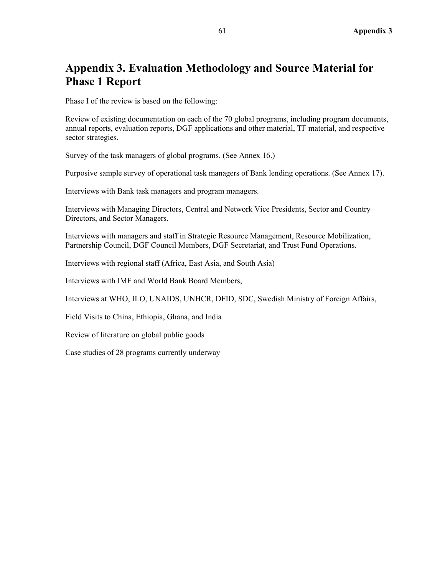#### **Appendix 3. Evaluation Methodology and Source Material for Phase 1 Report**

Phase I of the review is based on the following:

Review of existing documentation on each of the 70 global programs, including program documents, annual reports, evaluation reports, DGF applications and other material, TF material, and respective sector strategies.

Survey of the task managers of global programs. (See Annex 16.)

Purposive sample survey of operational task managers of Bank lending operations. (See Annex 17).

Interviews with Bank task managers and program managers.

Interviews with Managing Directors, Central and Network Vice Presidents, Sector and Country Directors, and Sector Managers.

Interviews with managers and staff in Strategic Resource Management, Resource Mobilization, Partnership Council, DGF Council Members, DGF Secretariat, and Trust Fund Operations.

Interviews with regional staff (Africa, East Asia, and South Asia)

Interviews with IMF and World Bank Board Members,

Interviews at WHO, ILO, UNAIDS, UNHCR, DFID, SDC, Swedish Ministry of Foreign Affairs,

Field Visits to China, Ethiopia, Ghana, and India

Review of literature on global public goods

Case studies of 28 programs currently underway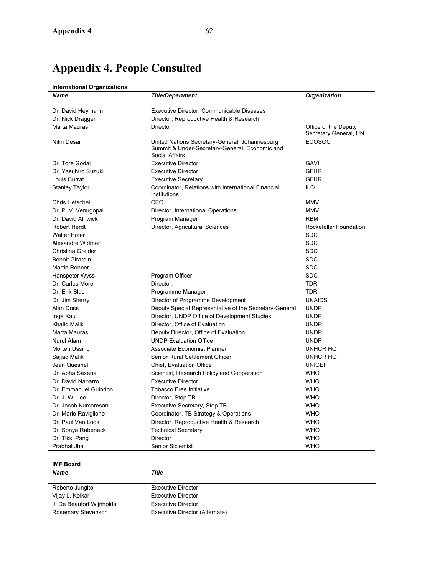# **Appendix 4. People Consulted**

#### **International Organizations**

| <b>Name</b>            | <b>Title/Department</b>                                                                                                   | Organization                                  |
|------------------------|---------------------------------------------------------------------------------------------------------------------------|-----------------------------------------------|
| Dr. David Heymann      | Executive Director, Communicable Diseases                                                                                 |                                               |
| Dr. Nick Dragger       | Director, Reproductive Health & Research                                                                                  |                                               |
| Marta Mauras           | <b>Director</b>                                                                                                           | Office of the Deputy<br>Secretary General, UN |
| Nitin Desai            | United Nations Secretary-General, Johannesburg<br>Summit & Under-Secretary-General, Economic and<br><b>Social Affairs</b> | <b>ECOSOC</b>                                 |
| Dr. Tore Godal         | <b>Executive Director</b>                                                                                                 | GAVI                                          |
| Dr. Yasuhiro Suzuki    | <b>Executive Director</b>                                                                                                 | <b>GFHR</b>                                   |
| Louis Currat           | <b>Executive Secretary</b>                                                                                                | <b>GFHR</b>                                   |
| Stanley Taylor         | Coordinator, Relations with International Financial<br>Institutions                                                       | ILO.                                          |
| Chris Hetschel         | CEO                                                                                                                       | <b>MMV</b>                                    |
| Dr. P. V. Venugopal    | Director, International Operations                                                                                        | <b>MMV</b>                                    |
| Dr. David Alnwick      | Program Manager                                                                                                           | <b>RBM</b>                                    |
| Robert Herdt           | Director, Agricultural Sciences                                                                                           | Rockefeller Foundation                        |
| <b>Walter Hofer</b>    |                                                                                                                           | <b>SDC</b>                                    |
| Alexandre Widmer       |                                                                                                                           | <b>SDC</b>                                    |
| Christina Greider      |                                                                                                                           | <b>SDC</b>                                    |
| <b>Benoit Girardin</b> |                                                                                                                           | <b>SDC</b>                                    |
| Martin Rohner          |                                                                                                                           | <b>SDC</b>                                    |
| Hanspeter Wyss         | Program Officer                                                                                                           | <b>SDC</b>                                    |
| Dr. Carlos Morel       | Director,                                                                                                                 | <b>TDR</b>                                    |
| Dr. Erik Blas          | Programme Manager                                                                                                         | TDR                                           |
| Dr. Jim Sherry         | Director of Programme Development                                                                                         | <b>UNAIDS</b>                                 |
| Alan Doss              | Deputy Special Representative of the Secretary-General                                                                    | <b>UNDP</b>                                   |
| Inge Kaul              | Director, UNDP Office of Development Studies                                                                              | <b>UNDP</b>                                   |
| Khalid Malik           | Director, Office of Evaluation                                                                                            | UNDP                                          |
| Marta Mauras           | Deputy Director, Office of Evaluation                                                                                     | UNDP                                          |
| Nurul Alam             | <b>UNDP Evaluation Office</b>                                                                                             | <b>UNDP</b>                                   |
| Morten Ussing          | Associate Economist Planner                                                                                               | UNHCR HQ                                      |
| Sajjad Malik           | Senior Rural Settlement Officer                                                                                           | UNHCR HQ                                      |
| Jean Quesnel           | Chief, Evaluation Office                                                                                                  | <b>UNICEF</b>                                 |
| Dr. Abha Saxena        | Scientist, Research Policy and Cooperation                                                                                | <b>WHO</b>                                    |
| Dr. David Nabarro      | <b>Executive Director</b>                                                                                                 | <b>WHO</b>                                    |
| Dr. Emmanuel Guindon   | <b>Tobacco Free Initiative</b>                                                                                            | <b>WHO</b>                                    |
| Dr. J. W. Lee          | Director, Stop TB                                                                                                         | <b>WHO</b>                                    |
| Dr. Jacob Kumaresan    | Executive Secretary, Stop TB                                                                                              | <b>WHO</b>                                    |
| Dr. Mario Raviglione   | Coordinator, TB Strategy & Operations                                                                                     | <b>WHO</b>                                    |
| Dr. Paul Van Look      | Director, Reproductive Health & Research                                                                                  | <b>WHO</b>                                    |
| Dr. Sonya Rabeneck     | <b>Technical Secretary</b>                                                                                                | <b>WHO</b>                                    |
| Dr. Tikki Pang         | <b>Director</b>                                                                                                           | <b>WHO</b>                                    |
| Prabhat Jha            | <b>Senior Sicientist</b>                                                                                                  | <b>WHO</b>                                    |

#### **IMF Board**

*Name Title*  Roberto Jungito Executive Director Vijay L. Kelkar **Executive Director** J. De Beaufort Wijnholds Executive Director Rosemary Stevenson Executive Director (Alternate)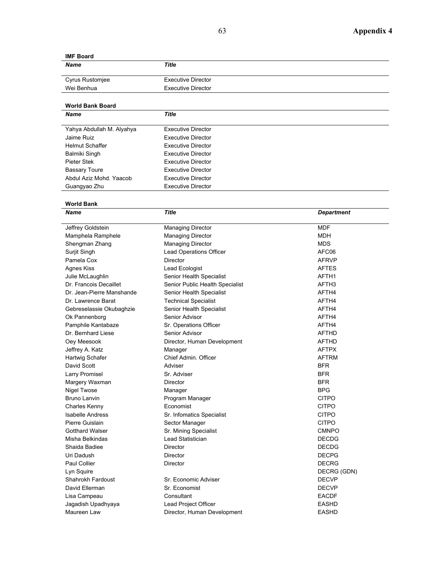#### **IMF Board**

| <b>Name</b>     | Title                     |  |
|-----------------|---------------------------|--|
| Cyrus Rustomjee | <b>Executive Director</b> |  |
| Wei Benhua      | <b>Executive Director</b> |  |
|                 |                           |  |

### **World Bank Board**

| <b>Title</b>              |  |
|---------------------------|--|
| Executive Director        |  |
| Executive Director        |  |
| Executive Director        |  |
| Executive Director        |  |
| Executive Director        |  |
| Executive Director        |  |
| Executive Director        |  |
| <b>Executive Director</b> |  |
|                           |  |

# **World Bank**

| Name                      | <b>Title</b>                    | <b>Department</b> |
|---------------------------|---------------------------------|-------------------|
| Jeffrey Goldstein         | Managing Director               | <b>MDF</b>        |
| Mamphela Ramphele         | <b>Managing Director</b>        | <b>MDH</b>        |
| Shengman Zhang            | <b>Managing Director</b>        | <b>MDS</b>        |
| Surjit Singh              | Lead Operations Officer         | AFC06             |
| Pamela Cox                | Director                        | <b>AFRVP</b>      |
| <b>Agnes Kiss</b>         | Lead Ecologist                  | <b>AFTES</b>      |
| Julie McLaughlin          | Senior Health Specialist        | AFTH1             |
| Dr. Francois Decaillet    | Senior Public Health Specialist | AFTH <sub>3</sub> |
| Dr. Jean-Pierre Manshande | Senior Health Specialist        | AFTH4             |
| Dr. Lawrence Barat        | <b>Technical Specialist</b>     | AFTH4             |
| Gebreselassie Okubaghzie  | Senior Health Specialist        | AFTH4             |
| Ok Pannenborg             | Senior Advisor                  | AFTH4             |
| Pamphile Kantabaze        | Sr. Operations Officer          | AFTH4             |
| Dr. Bernhard Liese        | Senior Advisor                  | <b>AFTHD</b>      |
| Oey Meesook               | Director, Human Development     | <b>AFTHD</b>      |
| Jeffrey A. Katz           | Manager                         | <b>AFTPX</b>      |
| Hartwig Schafer           | Chief Admin, Officer            | <b>AFTRM</b>      |
| David Scott               | Adviser                         | <b>BFR</b>        |
| Larry Promisel            | Sr. Adviser                     | <b>BFR</b>        |
| Margery Waxman            | Director                        | <b>BFR</b>        |
| Nigel Twose               | Manager                         | <b>BPG</b>        |
| <b>Bruno Lanvin</b>       | Program Manager                 | <b>CITPO</b>      |
| Charles Kenny             | Economist                       | <b>CITPO</b>      |
| <b>Isabelle Andress</b>   | Sr. Infomatics Specialist       | <b>CITPO</b>      |
| Pierre Guislain           | Sector Manager                  | <b>CITPO</b>      |
| <b>Gotthard Walser</b>    | Sr. Mining Specialist           | <b>CMNPO</b>      |
| Misha Belkindas           | Lead Statistician               | <b>DECDG</b>      |
| Shaida Badiee             | <b>Director</b>                 | <b>DECDG</b>      |
| Uri Dadush                | <b>Director</b>                 | <b>DECPG</b>      |
| <b>Paul Collier</b>       | Director                        | <b>DECRG</b>      |
| Lyn Squire                |                                 | DECRG (GDN)       |
| Shahrokh Fardoust         | Sr. Economic Adviser            | <b>DECVP</b>      |
| David Ellerman            | Sr. Economist                   | <b>DECVP</b>      |
| Lisa Campeau              | Consultant                      | <b>EACDF</b>      |
| Jagadish Upadhyaya        | Lead Project Officer            | <b>EASHD</b>      |
| Maureen Law               | Director, Human Development     | <b>EASHD</b>      |
|                           |                                 |                   |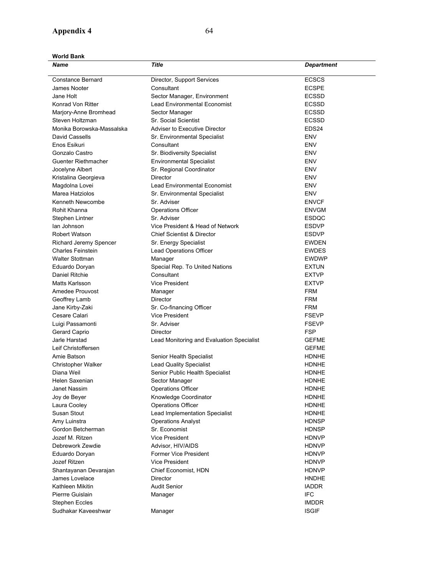#### **Appendix 4** 64

**World Bank** 

| Name                      | <b>Title</b>                              | <b>Department</b> |
|---------------------------|-------------------------------------------|-------------------|
| <b>Constance Bernard</b>  | Director, Support Services                | <b>ECSCS</b>      |
| James Nooter              | Consultant                                | <b>ECSPE</b>      |
| Jane Holt                 | Sector Manager, Environment               | <b>ECSSD</b>      |
| Konrad Von Ritter         | <b>Lead Environmental Economist</b>       | <b>ECSSD</b>      |
| Marjory-Anne Bromhead     | Sector Manager                            | <b>ECSSD</b>      |
| Steven Holtzman           | Sr. Social Scientist                      | <b>ECSSD</b>      |
| Monika Borowska-Massalska | <b>Adviser to Executive Director</b>      | EDS24             |
| David Cassells            | Sr. Environmental Specialist              | ENV               |
| Enos Esikuri              | Consultant                                | <b>ENV</b>        |
| Gonzalo Castro            | Sr. Biodiversity Specialist               | ENV               |
| Guenter Riethmacher       | <b>Environmental Specialist</b>           | ENV               |
| Jocelyne Albert           | Sr. Regional Coordinator                  | ENV               |
| Kristalina Georgieva      | <b>Director</b>                           | <b>ENV</b>        |
| Magdolna Lovei            | <b>Lead Environmental Economist</b>       | <b>ENV</b>        |
| Marea Hatziolos           | Sr. Environmental Specialist              | ENV               |
| Kenneth Newcombe          | Sr. Adviser                               | <b>ENVCF</b>      |
| Rohit Khanna              | <b>Operations Officer</b>                 | <b>ENVGM</b>      |
| Stephen Lintner           | Sr. Adviser                               | <b>ESDQC</b>      |
| lan Johnson               | Vice President & Head of Network          | <b>ESDVP</b>      |
| Robert Watson             | <b>Chief Scientist &amp; Director</b>     | <b>ESDVP</b>      |
| Richard Jeremy Spencer    | Sr. Energy Specialist                     | <b>EWDEN</b>      |
| <b>Charles Feinstein</b>  | Lead Operations Officer                   | <b>EWDES</b>      |
| <b>Walter Stottman</b>    | Manager                                   | <b>EWDWP</b>      |
| Eduardo Doryan            | Special Rep. To United Nations            | <b>EXTUN</b>      |
| Daniel Ritchie            | Consultant                                | <b>EXTVP</b>      |
| Matts Karlsson            | <b>Vice President</b>                     | <b>EXTVP</b>      |
| Amedee Prouvost           | Manager                                   | <b>FRM</b>        |
| Geoffrey Lamb             | Director                                  | <b>FRM</b>        |
| Jane Kirby-Zaki           | Sr. Co-financing Officer                  | <b>FRM</b>        |
| Cesare Calari             | <b>Vice President</b>                     | <b>FSEVP</b>      |
| Luigi Passamonti          | Sr. Adviser                               | <b>FSEVP</b>      |
| Gerard Caprio             | Director                                  | FSP               |
| Jarle Harstad             | Lead Monitoring and Evaluation Specialist | <b>GEFME</b>      |
| Leif Christoffersen       |                                           | <b>GEFME</b>      |
| Amie Batson               | Senior Health Specialist                  | <b>HDNHE</b>      |
| <b>Christopher Walker</b> | <b>Lead Quality Specialist</b>            | <b>HDNHE</b>      |
| Diana Weil                | Senior Public Health Specialist           | <b>HDNHE</b>      |
| Helen Saxenian            | Sector Manager                            | <b>HDNHE</b>      |
| Janet Nassim              | <b>Operations Officer</b>                 | <b>HDNHE</b>      |
| Joy de Beyer              | Knowledge Coordinator                     | <b>HDNHE</b>      |
| Laura Cooley              | <b>Operations Officer</b>                 | <b>HDNHE</b>      |
| Susan Stout               | Lead Implementation Specialist            | <b>HDNHE</b>      |
| Amy Luinstra              | <b>Operations Analyst</b>                 | <b>HDNSP</b>      |
| Gordon Betcherman         | Sr. Economist                             | <b>HDNSP</b>      |
| Jozef M. Ritzen           | <b>Vice President</b>                     | <b>HDNVP</b>      |
| Debrework Zewdie          | Advisor, HIV/AIDS                         | <b>HDNVP</b>      |
| Eduardo Doryan            | Former Vice President                     | <b>HDNVP</b>      |
| Jozef Ritzen              | Vice President                            | <b>HDNVP</b>      |
| Shantayanan Devarajan     | Chief Economist, HDN                      | <b>HDNVP</b>      |
| James Lovelace            | Director                                  | <b>HNDHE</b>      |
| Kathleen Mikitin          | <b>Audit Senior</b>                       | <b>IADDR</b>      |
| Pierrre Guislain          | Manager                                   | <b>IFC</b>        |
| <b>Stephen Eccles</b>     |                                           | <b>IMDDR</b>      |
| Sudhakar Kaveeshwar       | Manager                                   | <b>ISGIF</b>      |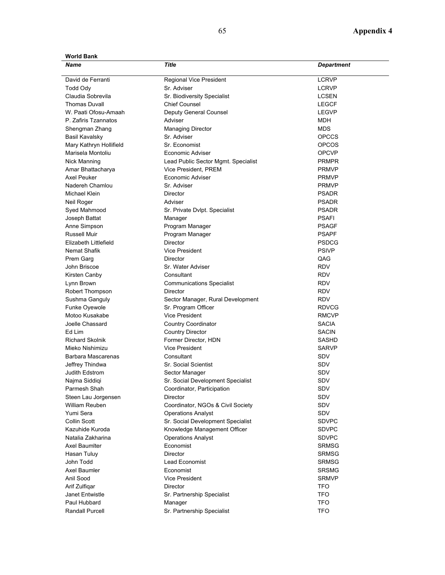**World Bank** 

| Name                    | Title                               | <b>Department</b> |
|-------------------------|-------------------------------------|-------------------|
| David de Ferranti       | Regional Vice President             | <b>LCRVP</b>      |
| Todd Ody                | Sr. Adviser                         | <b>LCRVP</b>      |
| Claudia Sobrevila       | Sr. Biodiversity Specialist         | <b>LCSEN</b>      |
| <b>Thomas Duvall</b>    | <b>Chief Counsel</b>                | <b>LEGCF</b>      |
| W. Paati Ofosu-Amaah    | Deputy General Counsel              | <b>LEGVP</b>      |
| P. Zafiris Tzannatos    | Adviser                             | MDH               |
| Shengman Zhang          | <b>Managing Director</b>            | <b>MDS</b>        |
| <b>Basil Kavalsky</b>   | Sr. Adviser                         | <b>OPCCS</b>      |
| Mary Kathryn Hollifield | Sr. Economist                       | <b>OPCOS</b>      |
| Marisela Montoliu       | Economic Adviser                    | <b>OPCVP</b>      |
| Nick Manning            | Lead Public Sector Mgmt. Specialist | <b>PRMPR</b>      |
| Amar Bhattacharya       | Vice President, PREM                | <b>PRMVP</b>      |
| Axel Peuker             | Economic Adviser                    | <b>PRMVP</b>      |
| Nadereh Chamlou         | Sr. Adviser                         | <b>PRMVP</b>      |
| Michael Klein           | Director                            | <b>PSADR</b>      |
| Neil Roger              | Adviser                             | <b>PSADR</b>      |
| Syed Mahmood            | Sr. Private Dvlpt. Specialist       | <b>PSADR</b>      |
| Joseph Battat           | Manager                             | <b>PSAFI</b>      |
| Anne Simpson            | Program Manager                     | <b>PSAGF</b>      |
| <b>Russell Muir</b>     | Program Manager                     | <b>PSAPF</b>      |
| Elizabeth Littlefield   | <b>Director</b>                     | <b>PSDCG</b>      |
| Nemat Shafik            | <b>Vice President</b>               | <b>PSIVP</b>      |
| Prem Garg               | Director                            | QAG               |
| John Briscoe            | Sr. Water Adviser                   | <b>RDV</b>        |
| Kirsten Canby           | Consultant                          | <b>RDV</b>        |
| Lynn Brown              | <b>Communications Specialist</b>    | <b>RDV</b>        |
| Robert Thompson         | <b>Director</b>                     | <b>RDV</b>        |
| Sushma Ganguly          | Sector Manager, Rural Development   | <b>RDV</b>        |
| Funke Oyewole           | Sr. Program Officer                 | <b>RDVCG</b>      |
| Motoo Kusakabe          | <b>Vice President</b>               | <b>RMCVP</b>      |
| Joelle Chassard         | <b>Country Coordinator</b>          | <b>SACIA</b>      |
| Ed Lim                  | <b>Country Director</b>             | <b>SACIN</b>      |
| <b>Richard Skolnik</b>  | Former Director, HDN                | <b>SASHD</b>      |
| Mieko Nishimizu         | Vice President                      | <b>SARVP</b>      |
| Barbara Mascarenas      | Consultant                          | <b>SDV</b>        |
| Jeffrey Thindwa         | <b>Sr. Social Scientist</b>         | <b>SDV</b>        |
| Judith Edstrom          | Sector Manager                      | <b>SDV</b>        |
| Najma Siddiqi           | Sr. Social Development Specialist   | <b>SDV</b>        |
| Parmesh Shah            | Coordinator, Participation          | SDV               |
| Steen Lau Jorgensen     | Director                            | SDV               |
| William Reuben          | Coordinator, NGOs & Civil Society   | SDV               |
| Yumi Sera               | <b>Operations Analyst</b>           | SDV               |
| Collin Scott            | Sr. Social Development Specialist   | <b>SDVPC</b>      |
| Kazuhide Kuroda         | Knowledge Management Officer        | <b>SDVPC</b>      |
| Natalia Zakharina       | <b>Operations Analyst</b>           | <b>SDVPC</b>      |
| Axel Baumiter           | Economist                           | <b>SRMSG</b>      |
| Hasan Tuluy             | Director                            | <b>SRMSG</b>      |
| John Todd               | Lead Economist                      | <b>SRMSG</b>      |
| Axel Baumler            | Economist                           | <b>SRSMG</b>      |
| Anil Sood               | <b>Vice President</b>               | <b>SRMVP</b>      |
| Arif Zulfigar           | Director                            | <b>TFO</b>        |
| Janet Entwistle         | Sr. Partnership Specialist          | TFO               |
| Paul Hubbard            | Manager                             | <b>TFO</b>        |
| Randall Purcell         | Sr. Partnership Specialist          | TFO               |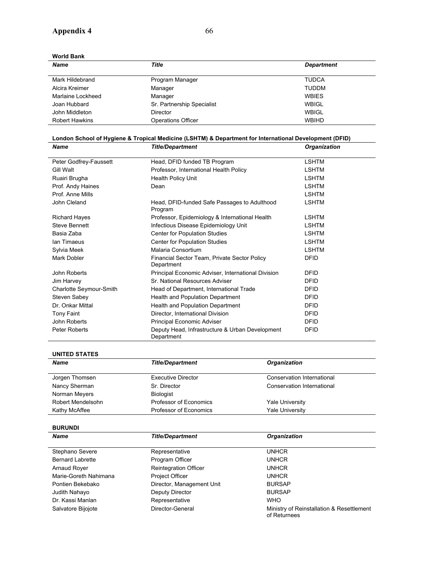**World Bank** 

*Name Title Department*  Mark Hildebrand **Program Manager TUDCA** Alcira Kreimer **Manager** Manager **TUDDM** Marlaine Lockheed Manager Manager Marlaine Month WBIES Joan Hubbard **Sr. Partnership Specialist** WBIGL John Middleton Director WBIGL Robert Hawkins Operations Officer WBIHD

| London School of Hygiene & Tropical Medicine (LSHTM) & Department for International Development (DFID) |                                                               |                     |  |
|--------------------------------------------------------------------------------------------------------|---------------------------------------------------------------|---------------------|--|
| <b>Name</b>                                                                                            | <b>Title/Department</b>                                       | <b>Organization</b> |  |
| Peter Godfrey-Faussett                                                                                 | Head, DFID funded TB Program                                  | <b>LSHTM</b>        |  |
|                                                                                                        |                                                               |                     |  |
| Gill Walt                                                                                              | Professor, International Health Policy                        | LSHTM               |  |
| Ruairi Brugha                                                                                          | <b>Health Policy Unit</b>                                     | <b>LSHTM</b>        |  |
| Prof. Andy Haines                                                                                      | Dean                                                          | <b>LSHTM</b>        |  |
| Prof. Anne Mills                                                                                       |                                                               | <b>LSHTM</b>        |  |
| John Cleland                                                                                           | Head, DFID-funded Safe Passages to Adulthood<br>Program       | <b>LSHTM</b>        |  |
| <b>Richard Hayes</b>                                                                                   | Professor, Epidemiology & International Health                | <b>LSHTM</b>        |  |
| Steve Bennett                                                                                          | Infectious Disease Epidemiology Unit                          | <b>LSHTM</b>        |  |
| Basia Zaba                                                                                             | Center for Population Studies                                 | <b>LSHTM</b>        |  |
| lan Timaeus                                                                                            | Center for Population Studies                                 | LSHTM               |  |
| Sylvia Meek                                                                                            | Malaria Consortium                                            | <b>LSHTM</b>        |  |
| Mark Dobler                                                                                            | Financial Sector Team, Private Sector Policy<br>Department    | <b>DFID</b>         |  |
| John Roberts                                                                                           | Principal Economic Adviser, International Division            | <b>DFID</b>         |  |
| Jim Harvey                                                                                             | Sr. National Resources Adviser                                | <b>DFID</b>         |  |
| Charlotte Seymour-Smith                                                                                | Head of Department, International Trade                       | <b>DFID</b>         |  |
| Steven Sabey                                                                                           | Health and Population Department                              | <b>DFID</b>         |  |
| Dr. Onkar Mittal                                                                                       | Health and Population Department                              | <b>DFID</b>         |  |
| Tony Faint                                                                                             | Director, International Division                              | <b>DFID</b>         |  |
| John Roberts                                                                                           | Principal Economic Adviser                                    | <b>DFID</b>         |  |
| Peter Roberts                                                                                          | Deputy Head, Infrastructure & Urban Development<br>Department | <b>DFID</b>         |  |

| UNITED STATES     |                           |                            |  |
|-------------------|---------------------------|----------------------------|--|
| <b>Name</b>       | <b>Title/Department</b>   | <b>Organization</b>        |  |
| Jorgen Thomsen    | <b>Executive Director</b> | Conservation International |  |
| Nancy Sherman     | Sr. Director              | Conservation International |  |
| Norman Meyers     | <b>Biologist</b>          |                            |  |
| Robert Mendelsohn | Professor of Economics    | <b>Yale University</b>     |  |
| Kathy McAffee     | Professor of Economics    | <b>Yale University</b>     |  |

**BURUNDI**  *Name Title/Department Organization*  Stephano Severe Representative Representative UNHCR Bernard Labrette **Program Officer** Program Officer Arnaud Royer **Reintegration Officer** Manual Royer Reintegration Officer Marie-Goreth Nahimana **Project Officer** Project Officer Nahimana Pontien Bekebako **Director, Management Unit** BURSAP Judith Nahayo **Deputy Director Deputy Director BURSAP** Dr. Kassi Manlan Representative WHO Salvatore Bijojote **Director-General Ministry of Reinstallation & Resettlement** of Returnees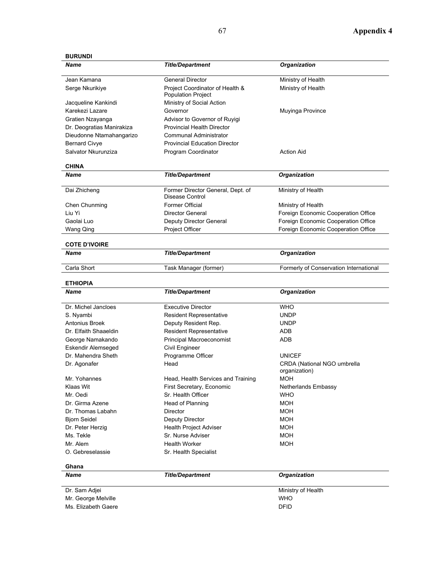## **BURUNDI**

| <b>Name</b>               | <b>Title/Department</b>                                      | Organization                                 |
|---------------------------|--------------------------------------------------------------|----------------------------------------------|
| Jean Kamana               | <b>General Director</b>                                      | Ministry of Health                           |
| Serge Nkurikiye           | Project Coordinator of Health &<br><b>Population Project</b> | Ministry of Health                           |
| Jacqueline Kankindi       | Ministry of Social Action                                    |                                              |
| Karekezi Lazare           | Governor                                                     | Muyinga Province                             |
| Gratien Nzayanga          | Advisor to Governor of Ruyigi                                |                                              |
| Dr. Deogratias Manirakiza | <b>Provincial Health Director</b>                            |                                              |
| Dieudonne Ntamahangarizo  | <b>Communal Administrator</b>                                |                                              |
| <b>Bernard Civye</b>      | <b>Provincial Education Director</b>                         |                                              |
| Salvator Nkurunziza       | Program Coordinator                                          | <b>Action Aid</b>                            |
| <b>CHINA</b>              |                                                              |                                              |
| <b>Name</b>               | <b>Title/Department</b>                                      | Organization                                 |
| Dai Zhicheng              | Former Director General, Dept. of<br>Disease Control         | Ministry of Health                           |
| Chen Chunming             | <b>Former Official</b>                                       | Ministry of Health                           |
| Liu Yi                    | Director General                                             | Foreign Economic Cooperation Office          |
| Gaolai Luo                | Deputy Director General                                      | Foreign Economic Cooperation Office          |
| Wang Qing                 | Project Officer                                              | Foreign Economic Cooperation Office          |
| <b>COTE D'IVOIRE</b>      |                                                              |                                              |
| <b>Name</b>               | <b>Title/Department</b>                                      | Organization                                 |
| Carla Short               | Task Manager (former)                                        | Formerly of Conservation International       |
| <b>ETHIOPIA</b>           |                                                              |                                              |
| <b>Name</b>               | <b>Title/Department</b>                                      | Organization                                 |
| Dr. Michel Jancloes       | <b>Executive Director</b>                                    | <b>WHO</b>                                   |
| S. Nyambi                 | <b>Resident Representative</b>                               | <b>UNDP</b>                                  |
| Antonius Broek            | Deputy Resident Rep.                                         | <b>UNDP</b>                                  |
| Dr. Elfaith Shaaeldin     | <b>Resident Representative</b>                               | ADB                                          |
| George Namakando          | Principal Macroeconomist                                     | ADB                                          |
| <b>Eskendir Alemseged</b> | Civil Engineer                                               |                                              |
| Dr. Mahendra Sheth        | Programme Officer                                            | <b>UNICEF</b>                                |
| Dr. Agonafer              | Head                                                         | CRDA (National NGO umbrella<br>organization) |
| Mr. Yohannes              | Head, Health Services and Training                           | <b>MOH</b>                                   |
| Klaas Wit                 | First Secretary, Economic                                    | Netherlands Embassy                          |
| Mr. Oedi                  | Sr. Health Officer                                           | <b>WHO</b>                                   |
| Dr. Girma Azene           | Head of Planning                                             | <b>MOH</b>                                   |
| Dr. Thomas Labahn         | Director                                                     | MOH                                          |
| <b>Bjorn Seidel</b>       | Deputy Director                                              | <b>MOH</b>                                   |
| Dr. Peter Herzig          | Health Project Adviser                                       | <b>MOH</b>                                   |
| Ms. Tekle                 | Sr. Nurse Adviser                                            | <b>MOH</b>                                   |
| Mr. Alem                  | <b>Health Worker</b>                                         | MOH                                          |
| O. Gebreselassie          | Sr. Health Specialist                                        |                                              |
| Ghana                     |                                                              |                                              |
| <b>Name</b>               | <b>Title/Department</b>                                      | <b>Organization</b>                          |
| Dr. Sam Adjei             |                                                              | Ministry of Health                           |
| Mr. George Melville       |                                                              | WHO                                          |
|                           |                                                              |                                              |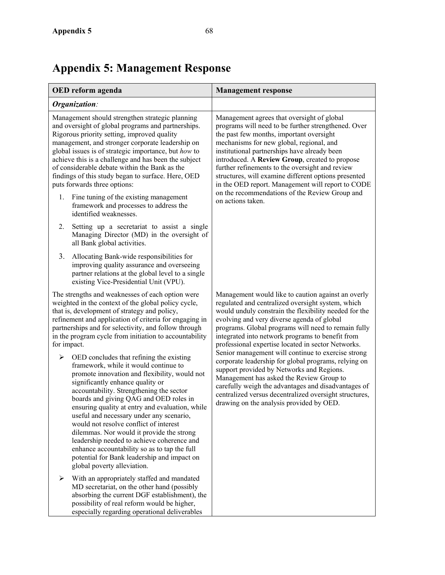# **Appendix 5: Management Response**

especially regarding operational deliverables

| OED reform agenda                                                                                                                                                                                                                                                                                                                                                                                                                                                                                                                                                                                                                   | <b>Management response</b>                                                                                                                                                                                                                                                                                                                                                                                                                                                                                                                                                                                                                                                                                                                          |
|-------------------------------------------------------------------------------------------------------------------------------------------------------------------------------------------------------------------------------------------------------------------------------------------------------------------------------------------------------------------------------------------------------------------------------------------------------------------------------------------------------------------------------------------------------------------------------------------------------------------------------------|-----------------------------------------------------------------------------------------------------------------------------------------------------------------------------------------------------------------------------------------------------------------------------------------------------------------------------------------------------------------------------------------------------------------------------------------------------------------------------------------------------------------------------------------------------------------------------------------------------------------------------------------------------------------------------------------------------------------------------------------------------|
| Organization:                                                                                                                                                                                                                                                                                                                                                                                                                                                                                                                                                                                                                       |                                                                                                                                                                                                                                                                                                                                                                                                                                                                                                                                                                                                                                                                                                                                                     |
| Management should strengthen strategic planning<br>and oversight of global programs and partnerships.<br>Rigorous priority setting, improved quality<br>management, and stronger corporate leadership on<br>global issues is of strategic importance, but how to<br>achieve this is a challenge and has been the subject<br>of considerable debate within the Bank as the<br>findings of this study began to surface. Here, OED<br>puts forwards three options:<br>Fine tuning of the existing management<br>1.                                                                                                                     | Management agrees that oversight of global<br>programs will need to be further strengthened. Over<br>the past few months, important oversight<br>mechanisms for new global, regional, and<br>institutional partnerships have already been<br>introduced. A Review Group, created to propose<br>further refinements to the oversight and review<br>structures, will examine different options presented<br>in the OED report. Management will report to CODE<br>on the recommendations of the Review Group and<br>on actions taken.                                                                                                                                                                                                                  |
| framework and processes to address the<br>identified weaknesses.                                                                                                                                                                                                                                                                                                                                                                                                                                                                                                                                                                    |                                                                                                                                                                                                                                                                                                                                                                                                                                                                                                                                                                                                                                                                                                                                                     |
| Setting up a secretariat to assist a single<br>2.<br>Managing Director (MD) in the oversight of<br>all Bank global activities.                                                                                                                                                                                                                                                                                                                                                                                                                                                                                                      |                                                                                                                                                                                                                                                                                                                                                                                                                                                                                                                                                                                                                                                                                                                                                     |
| 3.<br>Allocating Bank-wide responsibilities for<br>improving quality assurance and overseeing<br>partner relations at the global level to a single<br>existing Vice-Presidential Unit (VPU).                                                                                                                                                                                                                                                                                                                                                                                                                                        |                                                                                                                                                                                                                                                                                                                                                                                                                                                                                                                                                                                                                                                                                                                                                     |
| The strengths and weaknesses of each option were<br>weighted in the context of the global policy cycle,<br>that is, development of strategy and policy,<br>refinement and application of criteria for engaging in<br>partnerships and for selectivity, and follow through<br>in the program cycle from initiation to accountability<br>for impact.                                                                                                                                                                                                                                                                                  | Management would like to caution against an overly<br>regulated and centralized oversight system, which<br>would unduly constrain the flexibility needed for the<br>evolving and very diverse agenda of global<br>programs. Global programs will need to remain fully<br>integrated into network programs to benefit from<br>professional expertise located in sector Networks.<br>Senior management will continue to exercise strong<br>corporate leadership for global programs, relying on<br>support provided by Networks and Regions.<br>Management has asked the Review Group to<br>carefully weigh the advantages and disadvantages of<br>centralized versus decentralized oversight structures,<br>drawing on the analysis provided by OED. |
| OED concludes that refining the existing<br>➤<br>framework, while it would continue to<br>promote innovation and flexibility, would not<br>significantly enhance quality or<br>accountability. Strengthening the sector<br>boards and giving QAG and OED roles in<br>ensuring quality at entry and evaluation, while<br>useful and necessary under any scenario,<br>would not resolve conflict of interest<br>dilemmas. Nor would it provide the strong<br>leadership needed to achieve coherence and<br>enhance accountability so as to tap the full<br>potential for Bank leadership and impact on<br>global poverty alleviation. |                                                                                                                                                                                                                                                                                                                                                                                                                                                                                                                                                                                                                                                                                                                                                     |
| With an appropriately staffed and mandated<br>➤<br>MD secretariat, on the other hand (possibly<br>absorbing the current DGF establishment), the<br>possibility of real reform would be higher,                                                                                                                                                                                                                                                                                                                                                                                                                                      |                                                                                                                                                                                                                                                                                                                                                                                                                                                                                                                                                                                                                                                                                                                                                     |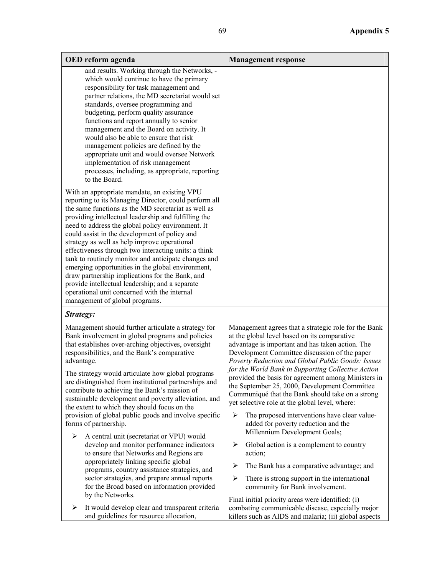| OED reform agenda                                                                                                                                                                                                                                                                                                                                                                                                                                                                                                                                                                                                                                                                                                                       | <b>Management response</b>                                                                                                                                                                                                                                                                                                                                                                                                                                                                                                                                                                                                                                      |  |
|-----------------------------------------------------------------------------------------------------------------------------------------------------------------------------------------------------------------------------------------------------------------------------------------------------------------------------------------------------------------------------------------------------------------------------------------------------------------------------------------------------------------------------------------------------------------------------------------------------------------------------------------------------------------------------------------------------------------------------------------|-----------------------------------------------------------------------------------------------------------------------------------------------------------------------------------------------------------------------------------------------------------------------------------------------------------------------------------------------------------------------------------------------------------------------------------------------------------------------------------------------------------------------------------------------------------------------------------------------------------------------------------------------------------------|--|
| and results. Working through the Networks, -<br>which would continue to have the primary<br>responsibility for task management and<br>partner relations, the MD secretariat would set<br>standards, oversee programming and<br>budgeting, perform quality assurance<br>functions and report annually to senior<br>management and the Board on activity. It<br>would also be able to ensure that risk<br>management policies are defined by the<br>appropriate unit and would oversee Network<br>implementation of risk management<br>processes, including, as appropriate, reporting<br>to the Board.                                                                                                                                   |                                                                                                                                                                                                                                                                                                                                                                                                                                                                                                                                                                                                                                                                 |  |
| With an appropriate mandate, an existing VPU<br>reporting to its Managing Director, could perform all<br>the same functions as the MD secretariat as well as<br>providing intellectual leadership and fulfilling the<br>need to address the global policy environment. It<br>could assist in the development of policy and<br>strategy as well as help improve operational<br>effectiveness through two interacting units: a think<br>tank to routinely monitor and anticipate changes and<br>emerging opportunities in the global environment,<br>draw partnership implications for the Bank, and<br>provide intellectual leadership; and a separate<br>operational unit concerned with the internal<br>management of global programs. |                                                                                                                                                                                                                                                                                                                                                                                                                                                                                                                                                                                                                                                                 |  |
| Strategy:                                                                                                                                                                                                                                                                                                                                                                                                                                                                                                                                                                                                                                                                                                                               |                                                                                                                                                                                                                                                                                                                                                                                                                                                                                                                                                                                                                                                                 |  |
| Management should further articulate a strategy for<br>Bank involvement in global programs and policies<br>that establishes over-arching objectives, oversight<br>responsibilities, and the Bank's comparative<br>advantage.<br>The strategy would articulate how global programs<br>are distinguished from institutional partnerships and<br>contribute to achieving the Bank's mission of<br>sustainable development and poverty alleviation, and<br>the extent to which they should focus on the<br>provision of global public goods and involve specific<br>forms of partnership.                                                                                                                                                   | Management agrees that a strategic role for the Bank<br>at the global level based on its comparative<br>advantage is important and has taken action. The<br>Development Committee discussion of the paper<br>Poverty Reduction and Global Public Goods: Issues<br>for the World Bank in Supporting Collective Action<br>provided the basis for agreement among Ministers in<br>the September 25, 2000, Development Committee<br>Communiqué that the Bank should take on a strong<br>yet selective role at the global level, where:<br>The proposed interventions have clear value-<br>⋗<br>added for poverty reduction and the<br>Millennium Development Goals; |  |
| A central unit (secretariat or VPU) would<br>➤<br>develop and monitor performance indicators<br>to ensure that Networks and Regions are<br>appropriately linking specific global<br>programs, country assistance strategies, and<br>sector strategies, and prepare annual reports<br>for the Broad based on information provided                                                                                                                                                                                                                                                                                                                                                                                                        | ➤<br>Global action is a complement to country<br>action;<br>The Bank has a comparative advantage; and<br>➤<br>➤<br>There is strong support in the international<br>community for Bank involvement.                                                                                                                                                                                                                                                                                                                                                                                                                                                              |  |
| by the Networks.<br>It would develop clear and transparent criteria<br>➤<br>and guidelines for resource allocation,                                                                                                                                                                                                                                                                                                                                                                                                                                                                                                                                                                                                                     | Final initial priority areas were identified: (i)<br>combating communicable disease, especially major<br>killers such as AIDS and malaria; (ii) global aspects                                                                                                                                                                                                                                                                                                                                                                                                                                                                                                  |  |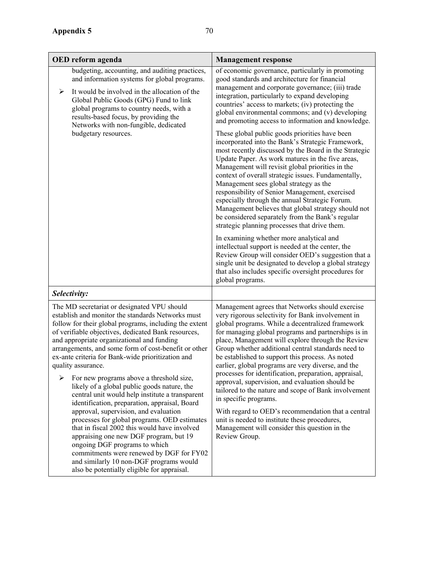| OED reform agenda                                                                                                                                                                                                                                                                                                                                                                                                                                                                                                                                                                                      | <b>Management response</b>                                                                                                                                                                                                                                                                                                                                                                                                                                                                                                                                                                                                                                                                                                                                                                                                                                                                                                                                                                                                                                   |  |  |  |
|--------------------------------------------------------------------------------------------------------------------------------------------------------------------------------------------------------------------------------------------------------------------------------------------------------------------------------------------------------------------------------------------------------------------------------------------------------------------------------------------------------------------------------------------------------------------------------------------------------|--------------------------------------------------------------------------------------------------------------------------------------------------------------------------------------------------------------------------------------------------------------------------------------------------------------------------------------------------------------------------------------------------------------------------------------------------------------------------------------------------------------------------------------------------------------------------------------------------------------------------------------------------------------------------------------------------------------------------------------------------------------------------------------------------------------------------------------------------------------------------------------------------------------------------------------------------------------------------------------------------------------------------------------------------------------|--|--|--|
| budgeting, accounting, and auditing practices,<br>and information systems for global programs.<br>It would be involved in the allocation of the<br>➤<br>Global Public Goods (GPG) Fund to link<br>global programs to country needs, with a<br>results-based focus, by providing the<br>Networks with non-fungible, dedicated<br>budgetary resources.                                                                                                                                                                                                                                                   | of economic governance, particularly in promoting<br>good standards and architecture for financial<br>management and corporate governance; (iii) trade<br>integration, particularly to expand developing<br>countries' access to markets; (iv) protecting the<br>global environmental commons; and (v) developing<br>and promoting access to information and knowledge.<br>These global public goods priorities have been<br>incorporated into the Bank's Strategic Framework,<br>most recently discussed by the Board in the Strategic<br>Update Paper. As work matures in the five areas,<br>Management will revisit global priorities in the<br>context of overall strategic issues. Fundamentally,<br>Management sees global strategy as the<br>responsibility of Senior Management, exercised<br>especially through the annual Strategic Forum.<br>Management believes that global strategy should not<br>be considered separately from the Bank's regular<br>strategic planning processes that drive them.<br>In examining whether more analytical and |  |  |  |
|                                                                                                                                                                                                                                                                                                                                                                                                                                                                                                                                                                                                        | intellectual support is needed at the center, the<br>Review Group will consider OED's suggestion that a<br>single unit be designated to develop a global strategy<br>that also includes specific oversight procedures for<br>global programs.                                                                                                                                                                                                                                                                                                                                                                                                                                                                                                                                                                                                                                                                                                                                                                                                                |  |  |  |
| Selectivity:                                                                                                                                                                                                                                                                                                                                                                                                                                                                                                                                                                                           |                                                                                                                                                                                                                                                                                                                                                                                                                                                                                                                                                                                                                                                                                                                                                                                                                                                                                                                                                                                                                                                              |  |  |  |
| The MD secretariat or designated VPU should<br>establish and monitor the standards Networks must<br>follow for their global programs, including the extent<br>of verifiable objectives, dedicated Bank resources,<br>and appropriate organizational and funding<br>arrangements, and some form of cost-benefit or other<br>ex-ante criteria for Bank-wide prioritization and<br>quality assurance.<br>➤<br>For new programs above a threshold size,<br>likely of a global public goods nature, the<br>central unit would help institute a transparent<br>identification, preparation, appraisal, Board | Management agrees that Networks should exercise<br>very rigorous selectivity for Bank involvement in<br>global programs. While a decentralized framework<br>for managing global programs and partnerships is in<br>place, Management will explore through the Review<br>Group whether additional central standards need to<br>be established to support this process. As noted<br>earlier, global programs are very diverse, and the<br>processes for identification, preparation, appraisal,<br>approval, supervision, and evaluation should be<br>tailored to the nature and scope of Bank involvement<br>in specific programs.                                                                                                                                                                                                                                                                                                                                                                                                                            |  |  |  |
| approval, supervision, and evaluation<br>processes for global programs. OED estimates                                                                                                                                                                                                                                                                                                                                                                                                                                                                                                                  | With regard to OED's recommendation that a central<br>unit is needed to institute these procedures,                                                                                                                                                                                                                                                                                                                                                                                                                                                                                                                                                                                                                                                                                                                                                                                                                                                                                                                                                          |  |  |  |

that in fiscal 2002 this would have involved appraising one new DGF program, but 19

commitments were renewed by DGF for FY02 and similarly 10 non-DGF programs would also be potentially eligible for appraisal.

ongoing DGF programs to which

unit is needed to institute these procedures, Management will consider this question in the Review Group.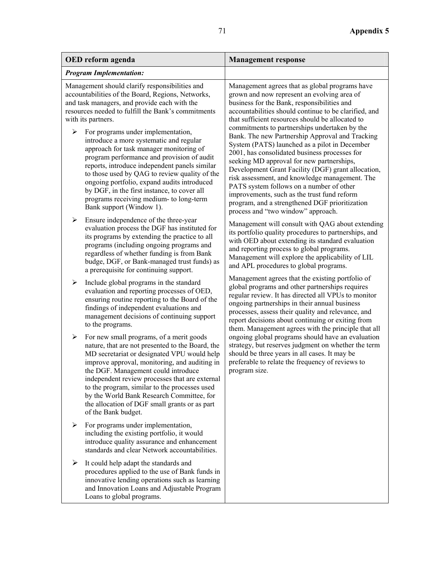| OED reform agenda              |                                                                                                                                                                                                                                                                                                                                                                                                                                                                                                                                                                                                                                                                                  | <b>Management response</b>                                                                                                                                                                                                                                                                                                                                                                                                                                                                                                                                                                                                                                                                                                                                                                              |  |
|--------------------------------|----------------------------------------------------------------------------------------------------------------------------------------------------------------------------------------------------------------------------------------------------------------------------------------------------------------------------------------------------------------------------------------------------------------------------------------------------------------------------------------------------------------------------------------------------------------------------------------------------------------------------------------------------------------------------------|---------------------------------------------------------------------------------------------------------------------------------------------------------------------------------------------------------------------------------------------------------------------------------------------------------------------------------------------------------------------------------------------------------------------------------------------------------------------------------------------------------------------------------------------------------------------------------------------------------------------------------------------------------------------------------------------------------------------------------------------------------------------------------------------------------|--|
| <b>Program Implementation:</b> |                                                                                                                                                                                                                                                                                                                                                                                                                                                                                                                                                                                                                                                                                  |                                                                                                                                                                                                                                                                                                                                                                                                                                                                                                                                                                                                                                                                                                                                                                                                         |  |
| ➤                              | Management should clarify responsibilities and<br>accountabilities of the Board, Regions, Networks,<br>and task managers, and provide each with the<br>resources needed to fulfill the Bank's commitments<br>with its partners.<br>For programs under implementation,<br>introduce a more systematic and regular<br>approach for task manager monitoring of<br>program performance and provision of audit<br>reports, introduce independent panels similar<br>to those used by QAG to review quality of the<br>ongoing portfolio, expand audits introduced<br>by DGF, in the first instance, to cover all<br>programs receiving medium- to long-term<br>Bank support (Window 1). | Management agrees that as global programs have<br>grown and now represent an evolving area of<br>business for the Bank, responsibilities and<br>accountabilities should continue to be clarified, and<br>that sufficient resources should be allocated to<br>commitments to partnerships undertaken by the<br>Bank. The new Partnership Approval and Tracking<br>System (PATS) launched as a pilot in December<br>2001, has consolidated business processes for<br>seeking MD approval for new partnerships,<br>Development Grant Facility (DGF) grant allocation,<br>risk assessment, and knowledge management. The<br>PATS system follows on a number of other<br>improvements, such as the trust fund reform<br>program, and a strengthened DGF prioritization<br>process and "two window" approach. |  |
| ➤                              | Ensure independence of the three-year<br>evaluation process the DGF has instituted for<br>its programs by extending the practice to all<br>programs (including ongoing programs and<br>regardless of whether funding is from Bank<br>budge, DGF, or Bank-managed trust funds) as<br>a prerequisite for continuing support.                                                                                                                                                                                                                                                                                                                                                       | Management will consult with QAG about extending<br>its portfolio quality procedures to partnerships, and<br>with OED about extending its standard evaluation<br>and reporting process to global programs.<br>Management will explore the applicability of LIL<br>and APL procedures to global programs.<br>Management agrees that the existing portfolio of<br>global programs and other partnerships requires<br>regular review. It has directed all VPUs to monitor<br>ongoing partnerships in their annual business<br>processes, assess their quality and relevance, and<br>report decisions about continuing or exiting from<br>them. Management agrees with the principle that all                                                                                                               |  |
| ➤                              | Include global programs in the standard<br>evaluation and reporting processes of OED,<br>ensuring routine reporting to the Board of the<br>findings of independent evaluations and<br>management decisions of continuing support<br>to the programs.                                                                                                                                                                                                                                                                                                                                                                                                                             |                                                                                                                                                                                                                                                                                                                                                                                                                                                                                                                                                                                                                                                                                                                                                                                                         |  |
| ➤                              | For new small programs, of a merit goods<br>nature, that are not presented to the Board, the<br>MD secretariat or designated VPU would help<br>improve approval, monitoring, and auditing in<br>the DGF. Management could introduce<br>independent review processes that are external<br>to the program, similar to the processes used<br>by the World Bank Research Committee, for<br>the allocation of DGF small grants or as part<br>of the Bank budget.                                                                                                                                                                                                                      | ongoing global programs should have an evaluation<br>strategy, but reserves judgment on whether the term<br>should be three years in all cases. It may be<br>preferable to relate the frequency of reviews to<br>program size.                                                                                                                                                                                                                                                                                                                                                                                                                                                                                                                                                                          |  |
| ➤                              | For programs under implementation,<br>including the existing portfolio, it would<br>introduce quality assurance and enhancement<br>standards and clear Network accountabilities.                                                                                                                                                                                                                                                                                                                                                                                                                                                                                                 |                                                                                                                                                                                                                                                                                                                                                                                                                                                                                                                                                                                                                                                                                                                                                                                                         |  |
| ➤                              | It could help adapt the standards and<br>procedures applied to the use of Bank funds in<br>innovative lending operations such as learning<br>and Innovation Loans and Adjustable Program<br>Loans to global programs.                                                                                                                                                                                                                                                                                                                                                                                                                                                            |                                                                                                                                                                                                                                                                                                                                                                                                                                                                                                                                                                                                                                                                                                                                                                                                         |  |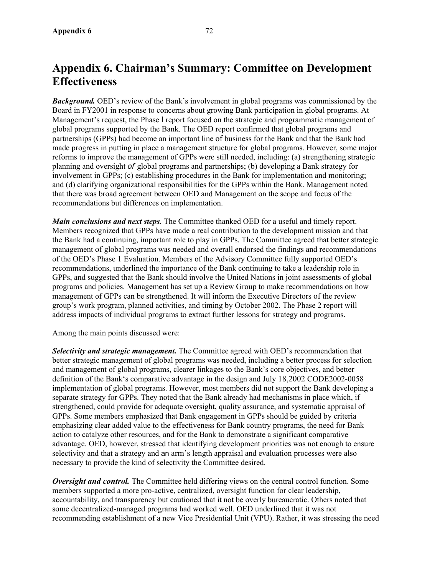### **Appendix 6. Chairman's Summary: Committee on Development Effectiveness**

*Background.* OED's review of the Bank's involvement in global programs was commissioned by the Board in FY2001 in response to concerns about growing Bank participation in global programs. At Management's request, the Phase l report focused on the strategic and programmatic management of global programs supported by the Bank. The OED report confirmed that global programs and partnerships (GPPs) had become an important line of business for the Bank and that the Bank had made progress in putting in place a management structure for global programs. However, some major reforms to improve the management of GPPs were still needed, including: (a) strengthening strategic planning and oversight *of* global programs and partnerships; (b) developing a Bank strategy for involvement in GPPs; (c) establishing procedures in the Bank for implementation and monitoring; and (d) clarifying organizational responsibilities for the GPPs within the Bank. Management noted that there was broad agreement between OED and Management on the scope and focus of the recommendations but differences on implementation.

*Main conclusions and next steps.* The Committee thanked OED for a useful and timely report. Members recognized that GPPs have made a real contribution to the development mission and that the Bank had a continuing, important role to play in GPPs. The Committee agreed that better strategic management of global programs was needed and overall endorsed the findings and recommendations of the OED's Phase 1 Evaluation. Members of the Advisory Committee fully supported OED's recommendations, underlined the importance of the Bank continuing to take a leadership role in GPPs, and suggested that the Bank should involve the United Nations in joint assessments of global programs and policies. Management has set up a Review Group to make recommendations on how management of GPPs can be strengthened. It will inform the Executive Directors of the review group's work program, planned activities, and timing by October 2002. The Phase 2 report will address impacts of individual programs to extract further lessons for strategy and programs.

Among the main points discussed were:

*Selectivity and strategic management.* The Committee agreed with OED's recommendation that better strategic management of global programs was needed, including a better process for selection and management of global programs, clearer linkages to the Bank's core objectives, and better definition of the Bank's comparative advantage in the design and July 18,2002 CODE2002-0058 implementation of global programs. However, most members did not support the Bank developing a separate strategy for GPPs. They noted that the Bank already had mechanisms in place which, if strengthened, could provide for adequate oversight, quality assurance, and systematic appraisal of GPPs. Some members emphasized that Bank engagement in GPPs should be guided by criteria emphasizing clear added value to the effectiveness for Bank country programs, the need for Bank action to catalyze other resources, and for the Bank to demonstrate a significant comparative advantage. OED, however, stressed that identifying development priorities was not enough to ensure selectivity and that a strategy and an arm's length appraisal and evaluation processes were also necessary to provide the kind of selectivity the Committee desired.

*Oversight and control.* The Committee held differing views on the central control function. Some members supported a more pro-active, centralized, oversight function for clear leadership, accountability, and transparency but cautioned that it not be overly bureaucratic. Others noted that some decentralized-managed programs had worked well. OED underlined that it was not recommending establishment of a new Vice Presidential Unit (VPU). Rather, it was stressing the need